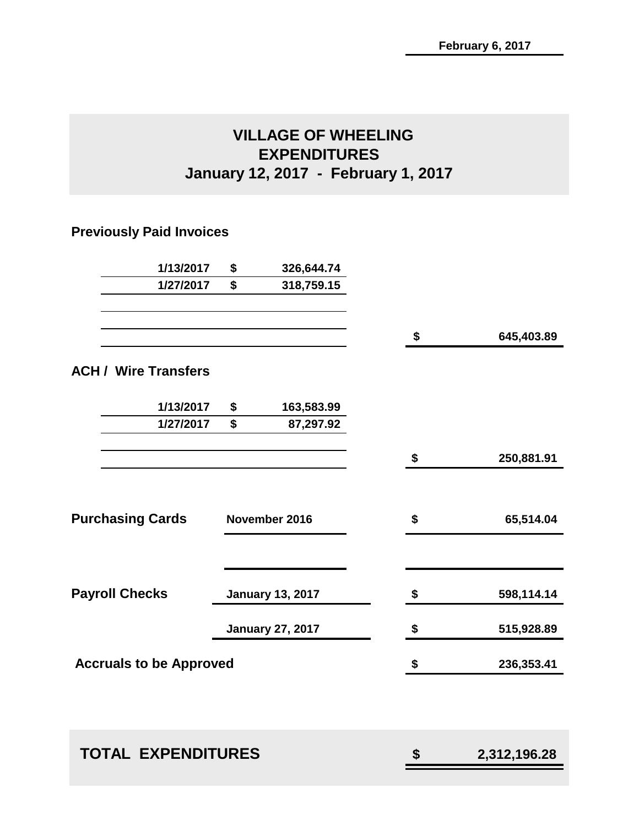## **VILLAGE OF WHEELING EXPENDITURES January 12, 2017 - February 1, 2017**

## **Previously Paid Invoices**

| 1/27/2017 |                                                                                 |                                |                                                                     |            |
|-----------|---------------------------------------------------------------------------------|--------------------------------|---------------------------------------------------------------------|------------|
|           | \$                                                                              | 318,759.15                     |                                                                     |            |
|           |                                                                                 |                                |                                                                     | 645,403.89 |
|           |                                                                                 |                                |                                                                     |            |
| 1/13/2017 | \$                                                                              | 163,583.99                     |                                                                     |            |
| 1/27/2017 | \$                                                                              | 87,297.92                      |                                                                     |            |
|           |                                                                                 |                                | \$                                                                  | 250,881.91 |
|           |                                                                                 |                                |                                                                     |            |
|           |                                                                                 |                                | \$                                                                  | 65,514.04  |
|           |                                                                                 |                                | \$                                                                  | 598,114.14 |
|           |                                                                                 |                                | \$                                                                  | 515,928.89 |
|           |                                                                                 |                                | \$                                                                  | 236,353.41 |
|           |                                                                                 |                                |                                                                     |            |
|           | <b>ACH / Wire Transfers</b><br><b>Purchasing Cards</b><br><b>Payroll Checks</b> | <b>Accruals to be Approved</b> | November 2016<br><b>January 13, 2017</b><br><b>January 27, 2017</b> | \$         |

| <b>TOTAL EXPENDITURES</b> |  |
|---------------------------|--|
|                           |  |

 **TOTAL EXPENDITURES \$ 2,312,196.28**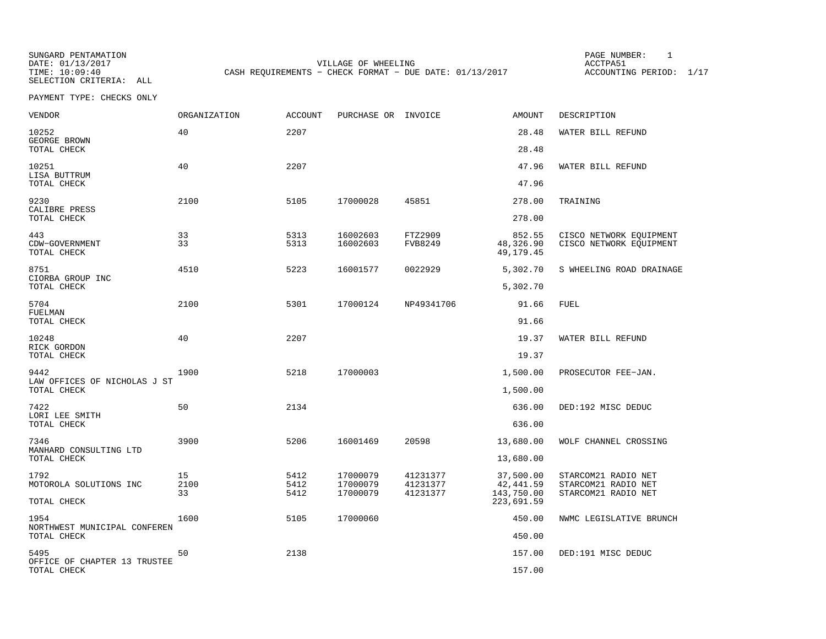SUNGARD PENTAMATION PAGE NUMBER: 1SELECTION CRITERIA: ALL

VILLAGE OF WHEELING **ACCTPA51** TIME: 10:09:40 CASH REQUIREMENTS - CHECK FORMAT - DUE DATE: 01/13/2017

ACCOUNTING PERIOD: 1/17

| <b>VENDOR</b>                               | <b>ORGANIZATION</b> | <b>ACCOUNT</b> | PURCHASE OR INVOICE  |                      | <b>AMOUNT</b>                    | DESCRIPTION                                        |
|---------------------------------------------|---------------------|----------------|----------------------|----------------------|----------------------------------|----------------------------------------------------|
| 10252<br>GEORGE BROWN                       | 40                  | 2207           |                      |                      | 28.48                            | WATER BILL REFUND                                  |
| TOTAL CHECK                                 |                     |                |                      |                      | 28.48                            |                                                    |
| 10251<br>LISA BUTTRUM<br>TOTAL CHECK        | 40                  | 2207           |                      |                      | 47.96<br>47.96                   | WATER BILL REFUND                                  |
|                                             |                     |                |                      |                      |                                  |                                                    |
| 9230<br>CALIBRE PRESS<br>TOTAL CHECK        | 2100                | 5105           | 17000028             | 45851                | 278.00<br>278.00                 | TRAINING                                           |
|                                             |                     |                |                      |                      |                                  |                                                    |
| 443<br>CDW-GOVERNMENT<br>TOTAL CHECK        | 33<br>33            | 5313<br>5313   | 16002603<br>16002603 | FTZ2909<br>FVB8249   | 852.55<br>48,326.90<br>49,179.45 | CISCO NETWORK EQUIPMENT<br>CISCO NETWORK EQUIPMENT |
| 8751<br>CIORBA GROUP INC                    | 4510                | 5223           | 16001577             | 0022929              | 5,302.70                         | S WHEELING ROAD DRAINAGE                           |
| TOTAL CHECK                                 |                     |                |                      |                      | 5,302.70                         |                                                    |
| 5704<br>FUELMAN                             | 2100                | 5301           | 17000124             | NP49341706           | 91.66                            | <b>FUEL</b>                                        |
| TOTAL CHECK                                 |                     |                |                      |                      | 91.66                            |                                                    |
| 10248<br>RICK GORDON                        | 40                  | 2207           |                      |                      | 19.37                            | WATER BILL REFUND                                  |
| TOTAL CHECK                                 |                     |                |                      |                      | 19.37                            |                                                    |
| 9442<br>LAW OFFICES OF NICHOLAS J ST        | 1900                | 5218           | 17000003             |                      | 1,500.00                         | PROSECUTOR FEE-JAN.                                |
| TOTAL CHECK                                 |                     |                |                      |                      | 1,500.00                         |                                                    |
| 7422<br>LORI LEE SMITH                      | 50                  | 2134           |                      |                      | 636.00                           | DED:192 MISC DEDUC                                 |
| TOTAL CHECK                                 |                     |                |                      |                      | 636.00                           |                                                    |
| 7346<br>MANHARD CONSULTING LTD              | 3900                | 5206           | 16001469             | 20598                | 13,680.00                        | WOLF CHANNEL CROSSING                              |
| TOTAL CHECK                                 |                     |                |                      |                      | 13,680.00                        |                                                    |
| 1792<br>MOTOROLA SOLUTIONS INC              | 15<br>2100          | 5412<br>5412   | 17000079<br>17000079 | 41231377<br>41231377 | 37,500.00<br>42, 441.59          | STARCOM21 RADIO NET<br>STARCOM21 RADIO NET         |
| TOTAL CHECK                                 | 33                  | 5412           | 17000079             | 41231377             | 143,750.00<br>223,691.59         | STARCOM21 RADIO NET                                |
| 1954                                        | 1600                | 5105           | 17000060             |                      | 450.00                           | NWMC LEGISLATIVE BRUNCH                            |
| NORTHWEST MUNICIPAL CONFEREN<br>TOTAL CHECK |                     |                |                      |                      | 450.00                           |                                                    |
| 5495<br>OFFICE OF CHAPTER 13 TRUSTEE        | 50                  | 2138           |                      |                      | 157.00                           | DED:191 MISC DEDUC                                 |
| TOTAL CHECK                                 |                     |                |                      |                      | 157.00                           |                                                    |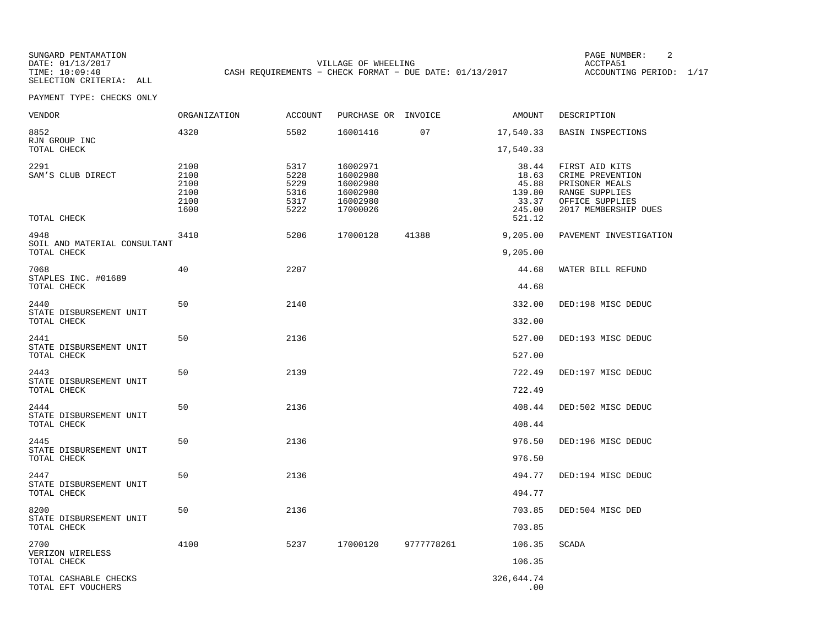SELECTION CRITERIA: ALL

SUNGARD PENTAMATION PAGE NUMBER: 2VILLAGE OF WHEELING **ACCTPA51** TIME: 10:09:40 CASH REQUIREMENTS - CHECK FORMAT - DUE DATE: 01/13/2017

ACCOUNTING PERIOD: 1/17

| VENDOR                                      | ORGANIZATION                                 | ACCOUNT                                      | PURCHASE OR INVOICE                                                  |            | AMOUNT                                                         | DESCRIPTION                                                                                                       |
|---------------------------------------------|----------------------------------------------|----------------------------------------------|----------------------------------------------------------------------|------------|----------------------------------------------------------------|-------------------------------------------------------------------------------------------------------------------|
| 8852<br>RJN GROUP INC                       | 4320                                         | 5502                                         | 16001416                                                             | 07         | 17,540.33                                                      | BASIN INSPECTIONS                                                                                                 |
| TOTAL CHECK                                 |                                              |                                              |                                                                      |            | 17,540.33                                                      |                                                                                                                   |
| 2291<br>SAM'S CLUB DIRECT<br>TOTAL CHECK    | 2100<br>2100<br>2100<br>2100<br>2100<br>1600 | 5317<br>5228<br>5229<br>5316<br>5317<br>5222 | 16002971<br>16002980<br>16002980<br>16002980<br>16002980<br>17000026 |            | 38.44<br>18.63<br>45.88<br>139.80<br>33.37<br>245.00<br>521.12 | FIRST AID KITS<br>CRIME PREVENTION<br>PRISONER MEALS<br>RANGE SUPPLIES<br>OFFICE SUPPLIES<br>2017 MEMBERSHIP DUES |
| 4948                                        | 3410                                         | 5206                                         | 17000128                                                             | 41388      | 9,205.00                                                       | PAVEMENT INVESTIGATION                                                                                            |
| SOIL AND MATERIAL CONSULTANT<br>TOTAL CHECK |                                              |                                              |                                                                      |            | 9,205.00                                                       |                                                                                                                   |
| 7068                                        | 40                                           | 2207                                         |                                                                      |            | 44.68                                                          | WATER BILL REFUND                                                                                                 |
| STAPLES INC. #01689<br>TOTAL CHECK          |                                              |                                              |                                                                      |            | 44.68                                                          |                                                                                                                   |
| 2440                                        | 50                                           | 2140                                         |                                                                      |            | 332.00                                                         | DED:198 MISC DEDUC                                                                                                |
| STATE DISBURSEMENT UNIT<br>TOTAL CHECK      |                                              |                                              |                                                                      |            | 332.00                                                         |                                                                                                                   |
| 2441                                        | 50                                           | 2136                                         |                                                                      |            | 527.00                                                         | DED:193 MISC DEDUC                                                                                                |
| STATE DISBURSEMENT UNIT<br>TOTAL CHECK      |                                              |                                              |                                                                      |            | 527.00                                                         |                                                                                                                   |
| 2443                                        | 50                                           | 2139                                         |                                                                      |            | 722.49                                                         | DED:197 MISC DEDUC                                                                                                |
| STATE DISBURSEMENT UNIT<br>TOTAL CHECK      |                                              |                                              |                                                                      |            | 722.49                                                         |                                                                                                                   |
| 2444                                        | 50                                           | 2136                                         |                                                                      |            | 408.44                                                         | DED:502 MISC DEDUC                                                                                                |
| STATE DISBURSEMENT UNIT<br>TOTAL CHECK      |                                              |                                              |                                                                      |            | 408.44                                                         |                                                                                                                   |
| 2445                                        | 50                                           | 2136                                         |                                                                      |            | 976.50                                                         | DED:196 MISC DEDUC                                                                                                |
| STATE DISBURSEMENT UNIT<br>TOTAL CHECK      |                                              |                                              |                                                                      |            | 976.50                                                         |                                                                                                                   |
| 2447                                        | 50                                           | 2136                                         |                                                                      |            | 494.77                                                         | DED:194 MISC DEDUC                                                                                                |
| STATE DISBURSEMENT UNIT<br>TOTAL CHECK      |                                              |                                              |                                                                      |            | 494.77                                                         |                                                                                                                   |
| 8200                                        | 50                                           | 2136                                         |                                                                      |            | 703.85                                                         | DED:504 MISC DED                                                                                                  |
| STATE DISBURSEMENT UNIT<br>TOTAL CHECK      |                                              |                                              |                                                                      |            | 703.85                                                         |                                                                                                                   |
| 2700                                        | 4100                                         | 5237                                         | 17000120                                                             | 9777778261 | 106.35                                                         | <b>SCADA</b>                                                                                                      |
| VERIZON WIRELESS<br>TOTAL CHECK             |                                              |                                              |                                                                      |            | 106.35                                                         |                                                                                                                   |
| TOTAL CASHABLE CHECKS<br>TOTAL EFT VOUCHERS |                                              |                                              |                                                                      |            | 326,644.74<br>.00                                              |                                                                                                                   |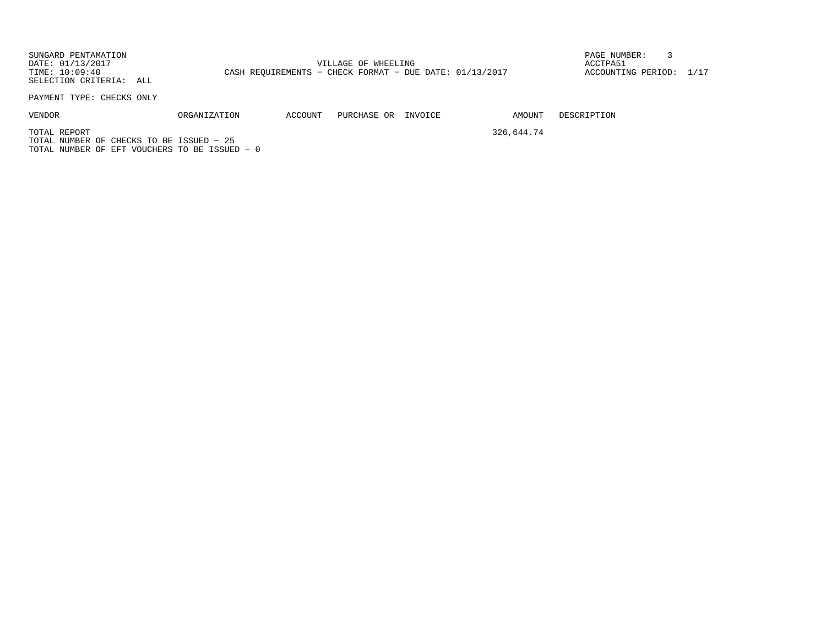SUNGARD PENTAMATION PAGE NUMBER: 3DATE:  $01/13/2017$  ACCTPA51 ACCOUNTING PERIOD: 1/17 TIME: 10:09:40 CASH REQUIREMENTS - CHECK FORMAT - DUE DATE: 01/13/2017 SELECTION CRITERIA: ALL

PAYMENT TYPE: CHECKS ONLY

| ΟR<br>PURCHASE<br>ACCOUNT<br><b>ORGANIZATION</b><br>VENDOR<br>INVOICE.<br>____<br>.<br>__ |  |
|-------------------------------------------------------------------------------------------|--|
|-------------------------------------------------------------------------------------------|--|

AMOUNT DESCRIPTION

TOTAL REPORT 326,644.74 TOTAL NUMBER OF CHECKS TO BE ISSUED − 25TOTAL NUMBER OF EFT VOUCHERS TO BE ISSUED − 0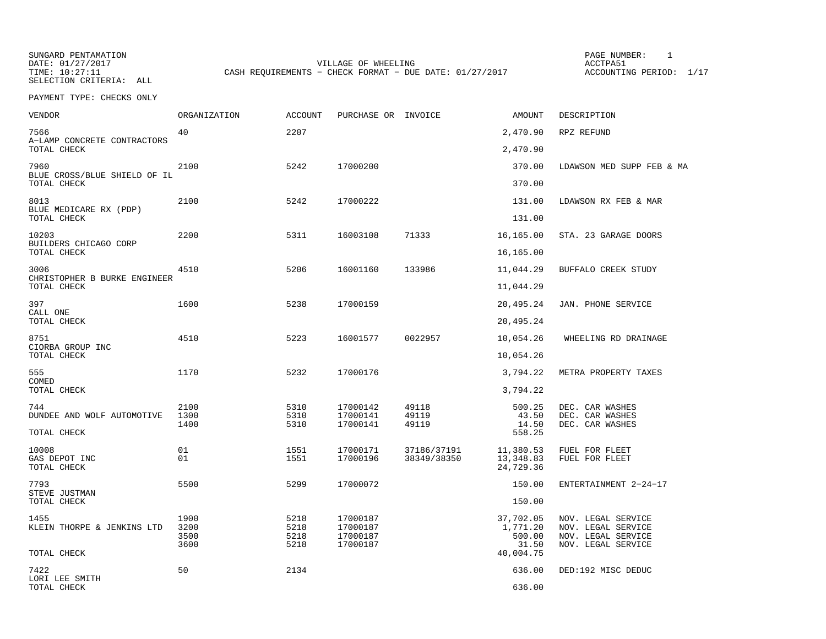SUNGARD PENTAMATION SUNGARD PENTAMATION SUNG PAGE NUMBER: 1 SELECTION CRITERIA: ALL

VILLAGE OF WHEELING **ACCTPA51** TIME: 10:27:11 CASH REQUIREMENTS - CHECK FORMAT - DUE DATE: 01/27/2017

ACCOUNTING PERIOD: 1/17

| VENDOR                                      | ORGANIZATION | <b>ACCOUNT</b> | PURCHASE OR INVOICE  |                | AMOUNT                  | DESCRIPTION                              |
|---------------------------------------------|--------------|----------------|----------------------|----------------|-------------------------|------------------------------------------|
| 7566<br>A-LAMP CONCRETE CONTRACTORS         | 40           | 2207           |                      |                | 2,470.90                | RPZ REFUND                               |
| TOTAL CHECK                                 |              |                |                      |                | 2,470.90                |                                          |
| 7960<br>BLUE CROSS/BLUE SHIELD OF IL        | 2100         | 5242           | 17000200             |                | 370.00<br>370.00        | LDAWSON MED SUPP FEB & MA                |
| TOTAL CHECK                                 |              |                |                      |                |                         |                                          |
| 8013<br>BLUE MEDICARE RX (PDP)              | 2100         | 5242           | 17000222             |                | 131.00                  | LDAWSON RX FEB & MAR                     |
| TOTAL CHECK                                 |              |                |                      |                | 131.00                  |                                          |
| 10203                                       | 2200         | 5311           | 16003108             | 71333          | 16,165.00               | STA. 23 GARAGE DOORS                     |
| BUILDERS CHICAGO CORP<br>TOTAL CHECK        |              |                |                      |                | 16,165.00               |                                          |
| 3006                                        | 4510         | 5206           | 16001160             | 133986         | 11,044.29               | BUFFALO CREEK STUDY                      |
| CHRISTOPHER B BURKE ENGINEER<br>TOTAL CHECK |              |                |                      |                | 11,044.29               |                                          |
| 397                                         | 1600         | 5238           | 17000159             |                | 20,495.24               | JAN. PHONE SERVICE                       |
| CALL ONE<br>TOTAL CHECK                     |              |                |                      |                | 20,495.24               |                                          |
| 8751                                        | 4510         | 5223           | 16001577             | 0022957        | 10,054.26               | WHEELING RD DRAINAGE                     |
| CIORBA GROUP INC<br>TOTAL CHECK             |              |                |                      |                | 10,054.26               |                                          |
| 555                                         | 1170         | 5232           | 17000176             |                | 3,794.22                | METRA PROPERTY TAXES                     |
| COMED<br>TOTAL CHECK                        |              |                |                      |                | 3,794.22                |                                          |
| 744                                         | 2100         | 5310           | 17000142             | 49118          | 500.25                  | DEC. CAR WASHES                          |
| DUNDEE AND WOLF AUTOMOTIVE                  | 1300<br>1400 | 5310<br>5310   | 17000141<br>17000141 | 49119<br>49119 | 43.50<br>14.50          | DEC. CAR WASHES<br>DEC. CAR WASHES       |
| TOTAL CHECK                                 |              |                |                      |                | 558.25                  |                                          |
| 10008                                       | 01           | 1551           | 17000171             | 37186/37191    | 11,380.53               | FUEL FOR FLEET                           |
| GAS DEPOT INC<br>TOTAL CHECK                | 01           | 1551           | 17000196             | 38349/38350    | 13, 348.83<br>24,729.36 | FUEL FOR FLEET                           |
| 7793                                        | 5500         | 5299           | 17000072             |                | 150.00                  | ENTERTAINMENT 2-24-17                    |
| STEVE JUSTMAN<br>TOTAL CHECK                |              |                |                      |                | 150.00                  |                                          |
| 1455                                        | 1900         | 5218           | 17000187             |                | 37,702.05               | NOV. LEGAL SERVICE                       |
| KLEIN THORPE & JENKINS LTD                  | 3200<br>3500 | 5218<br>5218   | 17000187<br>17000187 |                | 1,771.20<br>500.00      | NOV. LEGAL SERVICE<br>NOV. LEGAL SERVICE |
|                                             | 3600         | 5218           | 17000187             |                | 31.50                   | NOV. LEGAL SERVICE                       |
| TOTAL CHECK                                 |              |                |                      |                | 40,004.75               |                                          |
| 7422<br>LORI LEE SMITH                      | 50           | 2134           |                      |                | 636.00                  | DED:192 MISC DEDUC                       |
| TOTAL CHECK                                 |              |                |                      |                | 636.00                  |                                          |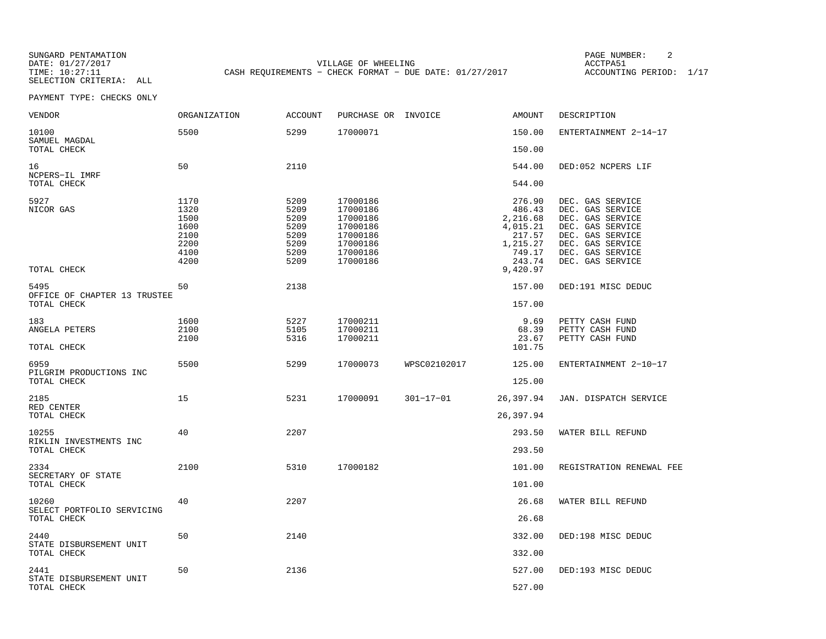SELECTION CRITERIA: ALL

SUNGARD PENTAMATION SUNGARD PENTAMATION SUNG PAGE NUMBER: 2 VILLAGE OF WHEELING **ACCTPA51** TIME: 10:27:11 CASH REQUIREMENTS - CHECK FORMAT - DUE DATE: 01/27/2017

ACCOUNTING PERIOD: 1/17

| VENDOR                                         | <b>ORGANIZATION</b>                                          | <b>ACCOUNT</b>                                               | PURCHASE OR INVOICE                                                                          |                 | AMOUNT                                                                                         | DESCRIPTION                                                                                                                                                  |
|------------------------------------------------|--------------------------------------------------------------|--------------------------------------------------------------|----------------------------------------------------------------------------------------------|-----------------|------------------------------------------------------------------------------------------------|--------------------------------------------------------------------------------------------------------------------------------------------------------------|
| 10100<br>SAMUEL MAGDAL                         | 5500                                                         | 5299                                                         | 17000071                                                                                     |                 | 150.00                                                                                         | ENTERTAINMENT 2-14-17                                                                                                                                        |
| TOTAL CHECK                                    |                                                              |                                                              |                                                                                              |                 | 150.00                                                                                         |                                                                                                                                                              |
| 16<br>NCPERS-IL IMRF                           | 50                                                           | 2110                                                         |                                                                                              |                 | 544.00                                                                                         | DED:052 NCPERS LIF                                                                                                                                           |
| TOTAL CHECK                                    |                                                              |                                                              |                                                                                              |                 | 544.00                                                                                         |                                                                                                                                                              |
| 5927<br>NICOR GAS<br>TOTAL CHECK               | 1170<br>1320<br>1500<br>1600<br>2100<br>2200<br>4100<br>4200 | 5209<br>5209<br>5209<br>5209<br>5209<br>5209<br>5209<br>5209 | 17000186<br>17000186<br>17000186<br>17000186<br>17000186<br>17000186<br>17000186<br>17000186 |                 | 276.90<br>486.43<br>2,216.68<br>4,015.21<br>217.57<br>1,215.27<br>749.17<br>243.74<br>9,420.97 | DEC. GAS SERVICE<br>DEC. GAS SERVICE<br>DEC. GAS SERVICE<br>DEC. GAS SERVICE<br>DEC. GAS SERVICE<br>DEC. GAS SERVICE<br>DEC. GAS SERVICE<br>DEC. GAS SERVICE |
| 5495                                           | 50                                                           | 2138                                                         |                                                                                              |                 | 157.00                                                                                         | DED:191 MISC DEDUC                                                                                                                                           |
| OFFICE OF CHAPTER 13 TRUSTEE<br>TOTAL CHECK    |                                                              |                                                              |                                                                                              |                 | 157.00                                                                                         |                                                                                                                                                              |
| 183<br>ANGELA PETERS                           | 1600<br>2100<br>2100                                         | 5227<br>5105<br>5316                                         | 17000211<br>17000211<br>17000211                                                             |                 | 9.69<br>68.39<br>23.67                                                                         | PETTY CASH FUND<br>PETTY CASH FUND<br>PETTY CASH FUND                                                                                                        |
| TOTAL CHECK                                    |                                                              |                                                              |                                                                                              |                 | 101.75                                                                                         |                                                                                                                                                              |
| 6959<br>PILGRIM PRODUCTIONS INC<br>TOTAL CHECK | 5500                                                         | 5299                                                         | 17000073                                                                                     | WPSC02102017    | 125.00<br>125.00                                                                               | ENTERTAINMENT 2-10-17                                                                                                                                        |
|                                                |                                                              |                                                              |                                                                                              |                 |                                                                                                |                                                                                                                                                              |
| 2185<br>RED CENTER<br>TOTAL CHECK              | 15                                                           | 5231                                                         | 17000091                                                                                     | $301 - 17 - 01$ | 26,397.94<br>26,397.94                                                                         | JAN. DISPATCH SERVICE                                                                                                                                        |
| 10255                                          | 40                                                           | 2207                                                         |                                                                                              |                 | 293.50                                                                                         | WATER BILL REFUND                                                                                                                                            |
| RIKLIN INVESTMENTS INC<br>TOTAL CHECK          |                                                              |                                                              |                                                                                              |                 | 293.50                                                                                         |                                                                                                                                                              |
| 2334                                           | 2100                                                         | 5310                                                         | 17000182                                                                                     |                 | 101.00                                                                                         | REGISTRATION RENEWAL FEE                                                                                                                                     |
| SECRETARY OF STATE<br>TOTAL CHECK              |                                                              |                                                              |                                                                                              |                 | 101.00                                                                                         |                                                                                                                                                              |
| 10260<br>SELECT PORTFOLIO SERVICING            | 40                                                           | 2207                                                         |                                                                                              |                 | 26.68                                                                                          | WATER BILL REFUND                                                                                                                                            |
| TOTAL CHECK                                    |                                                              |                                                              |                                                                                              |                 | 26.68                                                                                          |                                                                                                                                                              |
| 2440<br>STATE DISBURSEMENT UNIT                | 50                                                           | 2140                                                         |                                                                                              |                 | 332.00                                                                                         | DED:198 MISC DEDUC                                                                                                                                           |
| TOTAL CHECK                                    |                                                              |                                                              |                                                                                              |                 | 332.00                                                                                         |                                                                                                                                                              |
| 2441<br>STATE DISBURSEMENT UNIT<br>TOTAL CHECK | 50                                                           | 2136                                                         |                                                                                              |                 | 527.00<br>527.00                                                                               | DED:193 MISC DEDUC                                                                                                                                           |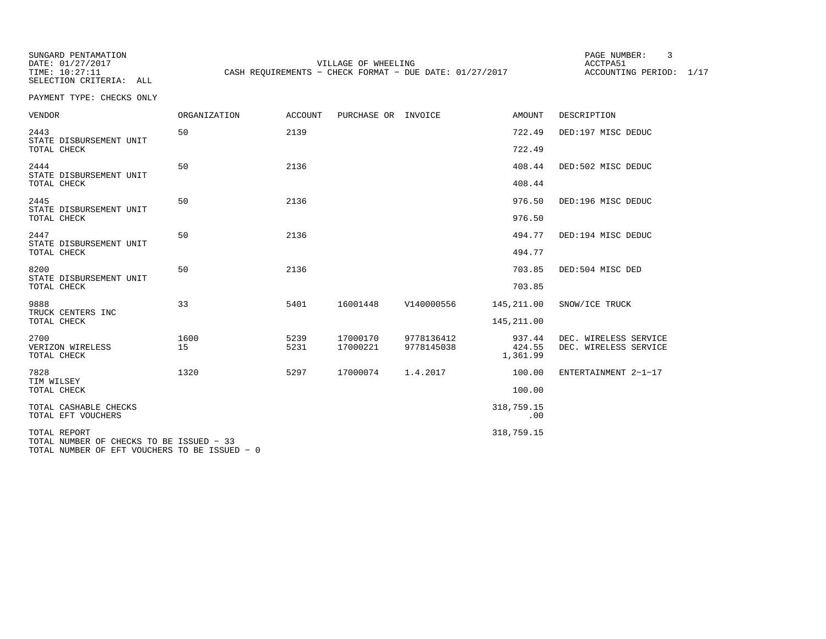SUNGARD PENTAMATION PAGE NUMBER: 3SELECTION CRITERIA: ALL

DATE: 01/27/2017 VILLAGE OF WHEELING ACCTPA51TIME: 10:27:11 CASH REQUIREMENTS - CHECK FORMAT - DUE DATE: 01/27/2017

ACCOUNTING PERIOD: 1/17

PAYMENT TYPE: CHECKS ONLY

| <b>VENDOR</b>                                            | <b>ORGANIZATION</b> | <b>ACCOUNT</b> | PURCHASE OR INVOICE |            | <b>AMOUNT</b>      | DESCRIPTION           |
|----------------------------------------------------------|---------------------|----------------|---------------------|------------|--------------------|-----------------------|
| 2443<br>STATE DISBURSEMENT UNIT                          | 50                  | 2139           |                     |            | 722.49             | DED:197 MISC DEDUC    |
| TOTAL CHECK                                              |                     |                |                     |            | 722.49             |                       |
| 2444<br>STATE DISBURSEMENT UNIT                          | 50                  | 2136           |                     |            | 408.44             | DED:502 MISC DEDUC    |
| TOTAL CHECK                                              |                     |                |                     |            | 408.44             |                       |
| 2445<br>STATE DISBURSEMENT UNIT                          | 50                  | 2136           |                     |            | 976.50             | DED:196 MISC DEDUC    |
| TOTAL CHECK                                              |                     |                |                     |            | 976.50             |                       |
| 2447<br>STATE DISBURSEMENT UNIT                          | 50                  | 2136           |                     |            | 494.77             | DED:194 MISC DEDUC    |
| TOTAL CHECK                                              |                     |                |                     |            | 494.77             |                       |
| 8200<br>STATE DISBURSEMENT UNIT                          | 50                  | 2136           |                     |            | 703.85             | DED:504 MISC DED      |
| TOTAL CHECK                                              |                     |                |                     |            | 703.85             |                       |
| 9888<br>TRUCK CENTERS INC                                | 33                  | 5401           | 16001448            | V140000556 | 145,211.00         | SNOW/ICE TRUCK        |
| TOTAL CHECK                                              |                     |                |                     |            | 145, 211.00        |                       |
| 2700                                                     | 1600                | 5239           | 17000170            | 9778136412 | 937.44             | DEC. WIRELESS SERVICE |
| VERIZON WIRELESS<br>TOTAL CHECK                          | 15                  | 5231           | 17000221            | 9778145038 | 424.55<br>1,361.99 | DEC. WIRELESS SERVICE |
| 7828<br>TIM WILSEY                                       | 1320                | 5297           | 17000074            | 1.4.2017   | 100.00             | ENTERTAINMENT 2-1-17  |
| TOTAL CHECK                                              |                     |                |                     |            | 100.00             |                       |
| TOTAL CASHABLE CHECKS<br>TOTAL EFT VOUCHERS              |                     |                |                     |            | 318,759.15<br>.00  |                       |
| TOTAL REPORT<br>TOTAL NUMBER OF CHECKS TO BE ISSUED - 33 |                     |                |                     |            | 318,759.15         |                       |

TOTAL NUMBER OF EFT VOUCHERS TO BE ISSUED − 0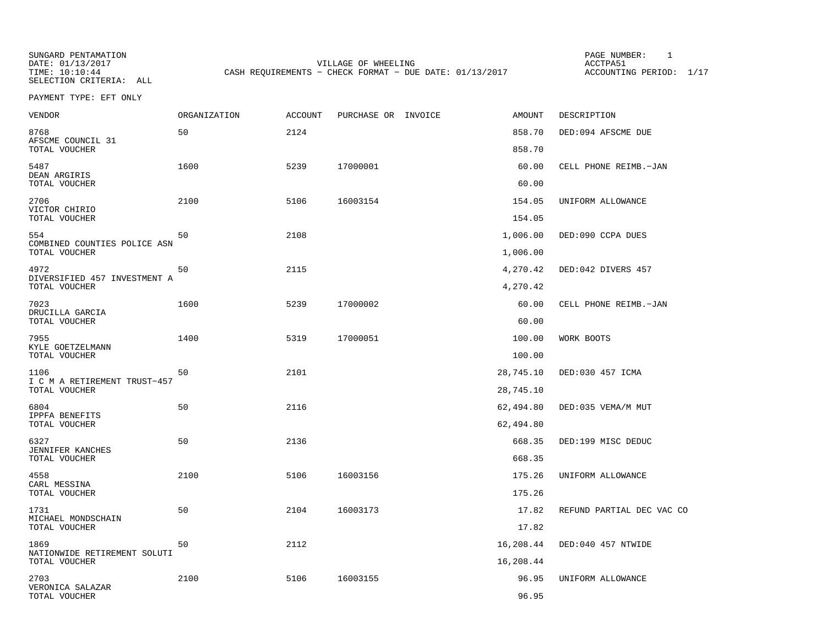SELECTION CRITERIA: ALL

SUNGARD PENTAMATION PAGE NUMBER: 1DATE: 01/13/2017 VILLAGE OF WHEELING ACCTPA51CASH REQUIREMENTS - CHECK FORMAT - DUE DATE: 01/13/2017

ACCOUNTING PERIOD: 1/17

PAYMENT TYPE: EFT ONLY

| VENDOR                                        | ORGANIZATION | ACCOUNT | PURCHASE OR INVOICE | AMOUNT    | DESCRIPTION               |
|-----------------------------------------------|--------------|---------|---------------------|-----------|---------------------------|
| 8768<br>AFSCME COUNCIL 31                     | 50           | 2124    |                     | 858.70    | DED:094 AFSCME DUE        |
| TOTAL VOUCHER                                 |              |         |                     | 858.70    |                           |
| 5487<br>DEAN ARGIRIS                          | 1600         | 5239    | 17000001            | 60.00     | CELL PHONE REIMB.-JAN     |
| TOTAL VOUCHER                                 |              |         |                     | 60.00     |                           |
| 2706<br>VICTOR CHIRIO                         | 2100         | 5106    | 16003154            | 154.05    | UNIFORM ALLOWANCE         |
| TOTAL VOUCHER                                 |              |         |                     | 154.05    |                           |
| 554<br>COMBINED COUNTIES POLICE ASN           | 50           | 2108    |                     | 1,006.00  | DED:090 CCPA DUES         |
| TOTAL VOUCHER                                 |              |         |                     | 1,006.00  |                           |
| 4972<br>DIVERSIFIED 457 INVESTMENT A          | 50           | 2115    |                     | 4,270.42  | DED:042 DIVERS 457        |
| TOTAL VOUCHER                                 |              |         |                     | 4,270.42  |                           |
| 7023                                          | 1600         | 5239    | 17000002            | 60.00     | CELL PHONE REIMB.-JAN     |
| DRUCILLA GARCIA<br>TOTAL VOUCHER              |              |         |                     | 60.00     |                           |
| 7955<br>KYLE GOETZELMANN                      | 1400         | 5319    | 17000051            | 100.00    | WORK BOOTS                |
| TOTAL VOUCHER                                 |              |         |                     | 100.00    |                           |
| 1106                                          | 50           | 2101    |                     | 28,745.10 | DED:030 457 ICMA          |
| I C M A RETIREMENT TRUST-457<br>TOTAL VOUCHER |              |         |                     | 28,745.10 |                           |
| 6804                                          | 50           | 2116    |                     | 62,494.80 | DED:035 VEMA/M MUT        |
| <b>IPPFA BENEFITS</b><br>TOTAL VOUCHER        |              |         |                     | 62,494.80 |                           |
| 6327                                          | 50           | 2136    |                     | 668.35    | DED:199 MISC DEDUC        |
| JENNIFER KANCHES<br>TOTAL VOUCHER             |              |         |                     | 668.35    |                           |
| 4558                                          | 2100         | 5106    | 16003156            | 175.26    | UNIFORM ALLOWANCE         |
| CARL MESSINA<br>TOTAL VOUCHER                 |              |         |                     | 175.26    |                           |
| 1731                                          | 50           | 2104    | 16003173            | 17.82     | REFUND PARTIAL DEC VAC CO |
| MICHAEL MONDSCHAIN<br>TOTAL VOUCHER           |              |         |                     | 17.82     |                           |
| 1869                                          | 50           | 2112    |                     | 16,208.44 | DED:040 457 NTWIDE        |
| NATIONWIDE RETIREMENT SOLUTI<br>TOTAL VOUCHER |              |         |                     | 16,208.44 |                           |
| 2703                                          | 2100         | 5106    | 16003155            | 96.95     | UNIFORM ALLOWANCE         |
| VERONICA SALAZAR<br>TOTAL VOUCHER             |              |         |                     | 96.95     |                           |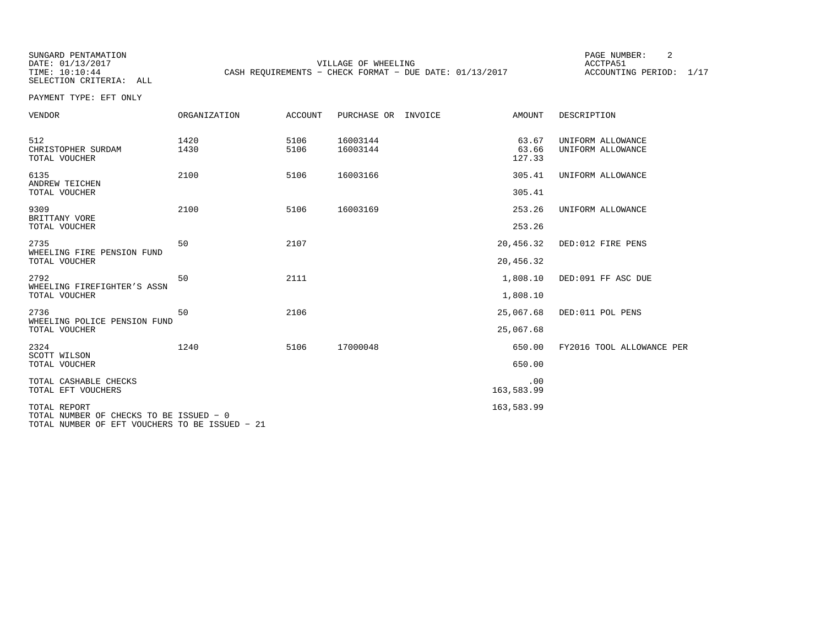SELECTION CRITERIA: ALL

SUNGARD PENTAMATION SUNGARD PENTAMATION SUNGARD PAGE NUMBER: 2 VILLAGE OF WHEELING **ACCTPA51** TIME: 10:10:44 CASH REQUIREMENTS - CHECK FORMAT - DUE DATE: 01/13/2017

ACCOUNTING PERIOD: 1/17

PAYMENT TYPE: EFT ONLY

| VENDOR                                                                                                    | ORGANIZATION | <b>ACCOUNT</b> | PURCHASE OR INVOICE  | AMOUNT                   | DESCRIPTION                            |
|-----------------------------------------------------------------------------------------------------------|--------------|----------------|----------------------|--------------------------|----------------------------------------|
| 512<br>CHRISTOPHER SURDAM<br>TOTAL VOUCHER                                                                | 1420<br>1430 | 5106<br>5106   | 16003144<br>16003144 | 63.67<br>63.66<br>127.33 | UNIFORM ALLOWANCE<br>UNIFORM ALLOWANCE |
| 6135<br>ANDREW TEICHEN                                                                                    | 2100         | 5106           | 16003166             | 305.41                   | UNIFORM ALLOWANCE                      |
| TOTAL VOUCHER                                                                                             |              |                |                      | 305.41                   |                                        |
| 9309<br>BRITTANY VORE                                                                                     | 2100         | 5106           | 16003169             | 253.26                   | UNIFORM ALLOWANCE                      |
| TOTAL VOUCHER                                                                                             |              |                |                      | 253.26                   |                                        |
| 2735<br>WHEELING FIRE PENSION FUND                                                                        | 50           | 2107           |                      | 20,456.32                | DED:012 FIRE PENS                      |
| TOTAL VOUCHER                                                                                             |              |                |                      | 20,456.32                |                                        |
| 2792<br>WHEELING FIREFIGHTER'S ASSN                                                                       | 50           | 2111           |                      | 1,808.10                 | DED:091 FF ASC DUE                     |
| TOTAL VOUCHER                                                                                             |              |                |                      | 1,808.10                 |                                        |
| 2736<br>WHEELING POLICE PENSION FUND                                                                      | 50           | 2106           |                      | 25,067.68                | DED:011 POL PENS                       |
| TOTAL VOUCHER                                                                                             |              |                |                      | 25,067.68                |                                        |
| 2324<br>SCOTT WILSON                                                                                      | 1240         | 5106           | 17000048             | 650.00                   | FY2016 TOOL ALLOWANCE PER              |
| TOTAL VOUCHER                                                                                             |              |                |                      | 650.00                   |                                        |
| TOTAL CASHABLE CHECKS<br>TOTAL EFT VOUCHERS                                                               |              |                |                      | .00<br>163,583.99        |                                        |
| TOTAL REPORT<br>TOTAL NUMBER OF CHECKS TO BE ISSUED - 0<br>TOTAL NUMBER OF EFT VOUCHERS TO BE ISSUED - 21 |              |                |                      | 163,583.99               |                                        |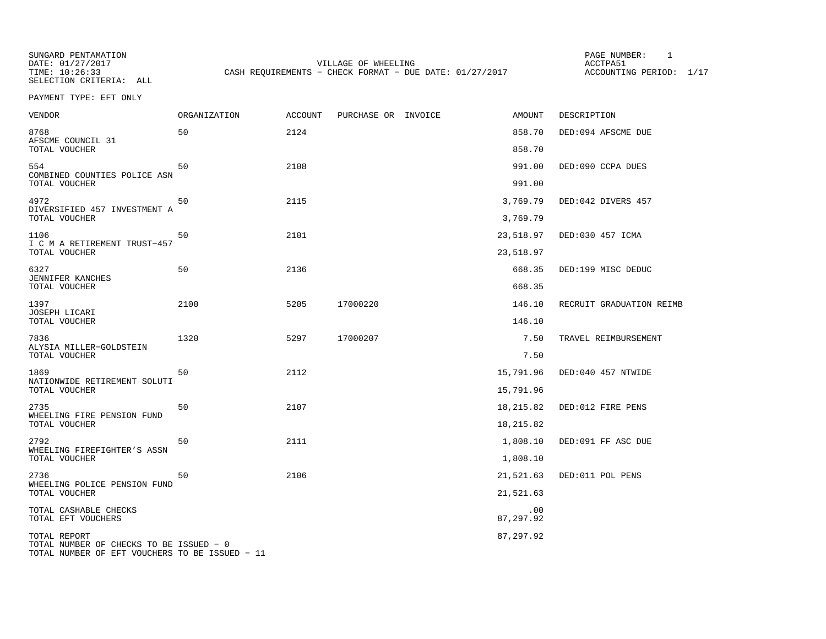SUNGARD PENTAMATION PAGE NUMBER: 1SELECTION CRITERIA: ALL

DATE: 01/27/2017 VILLAGE OF WHEELING ACCTPA51TIME: 10:26:33 CASH REQUIREMENTS - CHECK FORMAT - DUE DATE: 01/27/2017

ACCOUNTING PERIOD: 1/17

PAYMENT TYPE: EFT ONLY

| VENDOR                                                  | <b>ORGANIZATION</b> | <b>ACCOUNT</b> | PURCHASE OR INVOICE | AMOUNT           | DESCRIPTION              |
|---------------------------------------------------------|---------------------|----------------|---------------------|------------------|--------------------------|
| 8768<br>AFSCME COUNCIL 31                               | 50                  | 2124           |                     | 858.70           | DED:094 AFSCME DUE       |
| TOTAL VOUCHER                                           |                     |                |                     | 858.70           |                          |
| 554<br>COMBINED COUNTIES POLICE ASN<br>TOTAL VOUCHER    | 50                  | 2108           |                     | 991.00<br>991.00 | DED:090 CCPA DUES        |
| 4972<br>DIVERSIFIED 457 INVESTMENT A                    | 50                  | 2115           |                     | 3,769.79         | DED:042 DIVERS 457       |
| TOTAL VOUCHER                                           |                     |                |                     | 3,769.79         |                          |
| 1106<br>I C M A RETIREMENT TRUST-457                    | 50                  | 2101           |                     | 23,518.97        | DED:030 457 ICMA         |
| TOTAL VOUCHER                                           |                     |                |                     | 23,518.97        |                          |
| 6327<br><b>JENNIFER KANCHES</b>                         | 50                  | 2136           |                     | 668.35           | DED:199 MISC DEDUC       |
| TOTAL VOUCHER                                           |                     |                |                     | 668.35           |                          |
| 1397<br>JOSEPH LICARI                                   | 2100                | 5205           | 17000220            | 146.10           | RECRUIT GRADUATION REIMB |
| TOTAL VOUCHER                                           |                     |                |                     | 146.10           |                          |
| 7836<br>ALYSIA MILLER-GOLDSTEIN                         | 1320                | 5297           | 17000207            | 7.50             | TRAVEL REIMBURSEMENT     |
| TOTAL VOUCHER                                           |                     |                |                     | 7.50             |                          |
| 1869<br>NATIONWIDE RETIREMENT SOLUTI                    | 50                  | 2112           |                     | 15,791.96        | DED:040 457 NTWIDE       |
| TOTAL VOUCHER                                           |                     |                |                     | 15,791.96        |                          |
| 2735<br>WHEELING FIRE PENSION FUND                      | 50                  | 2107           |                     | 18,215.82        | DED:012 FIRE PENS        |
| TOTAL VOUCHER                                           |                     |                |                     | 18,215.82        |                          |
| 2792<br>WHEELING FIREFIGHTER'S ASSN                     | 50                  | 2111           |                     | 1,808.10         | DED:091 FF ASC DUE       |
| TOTAL VOUCHER                                           |                     |                |                     | 1,808.10         |                          |
| 2736<br>WHEELING POLICE PENSION FUND                    | 50                  | 2106           |                     | 21,521.63        | DED:011 POL PENS         |
| TOTAL VOUCHER                                           |                     |                |                     | 21,521.63        |                          |
| TOTAL CASHABLE CHECKS<br>TOTAL EFT VOUCHERS             |                     |                |                     | .00<br>87,297.92 |                          |
| TOTAL REPORT<br>TOTAL NUMBER OF CHECKS TO BE ISSUED - 0 |                     |                |                     | 87,297.92        |                          |

TOTAL NUMBER OF EFT VOUCHERS TO BE ISSUED − 11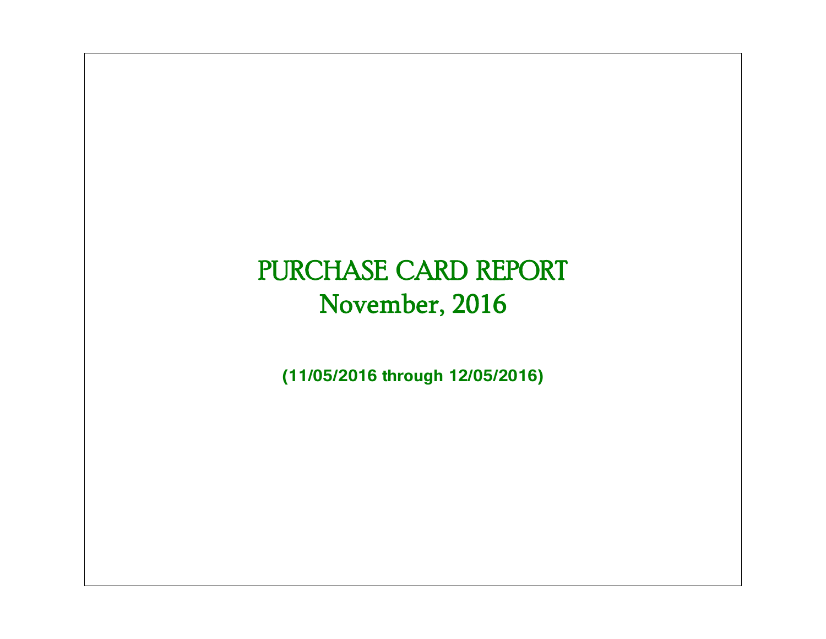# PURCHASE CARD REPORT November, 2016

**(11/05/2016 through 12/05/2016)**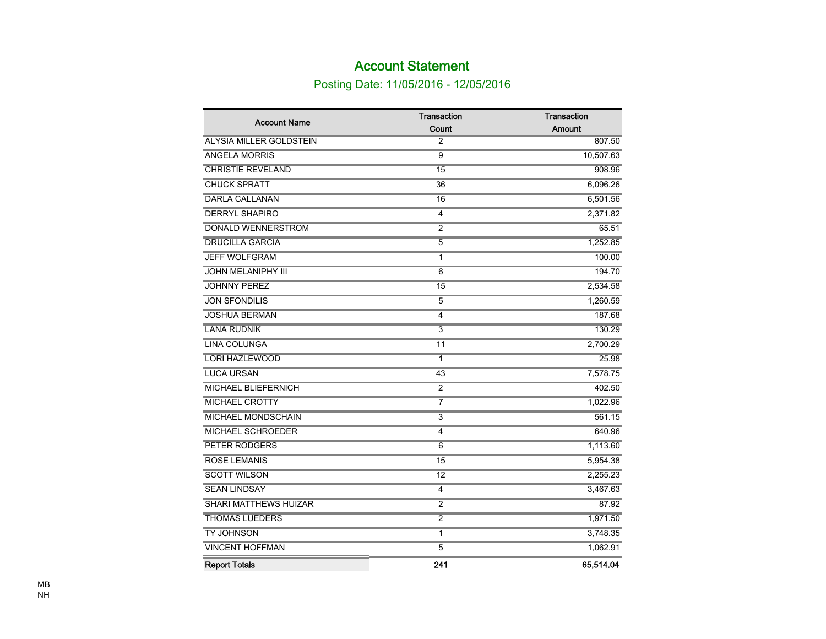## Account Statement

## Posting Date: 11/05/2016 - 12/05/2016

| <b>Account Name</b>            | <b>Transaction</b>        | <b>Transaction</b> |
|--------------------------------|---------------------------|--------------------|
|                                | Count                     | Amount             |
| <b>ALYSIA MILLER GOLDSTEIN</b> | 2                         | 807.50             |
| <b>ANGELA MORRIS</b>           | 9                         | 10,507.63          |
| <b>CHRISTIE REVELAND</b>       | 15                        | 908.96             |
| <b>CHUCK SPRATT</b>            | 36                        | 6,096.26           |
| <b>DARLA CALLANAN</b>          | $\overline{16}$           | 6,501.56           |
| <b>DERRYL SHAPIRO</b>          | $\overline{4}$            | 2,371.82           |
| <b>DONALD WENNERSTROM</b>      | $\overline{2}$            | 65.51              |
| <b>DRUCILLA GARCIA</b>         | $\overline{5}$            | 1,252.85           |
| <b>JEFF WOLFGRAM</b>           | $\mathbf{1}$              | 100.00             |
| <b>JOHN MELANIPHY III</b>      | $\overline{6}$            | 194.70             |
| <b>JOHNNY PEREZ</b>            | $\overline{15}$           | 2,534.58           |
| <b>JON SFONDILIS</b>           | 5                         | 1,260.59           |
| <b>JOSHUA BERMAN</b>           | 4                         | 187.68             |
| <b>LANA RUDNIK</b>             | $\overline{\overline{3}}$ | 130.29             |
| <b>LINA COLUNGA</b>            | $\overline{11}$           | 2,700.29           |
| <b>LORI HAZLEWOOD</b>          | $\mathbf{1}$              | 25.98              |
| <b>LUCA URSAN</b>              | 43                        | 7,578.75           |
| <b>MICHAEL BLIEFERNICH</b>     | $\overline{2}$            | 402.50             |
| <b>MICHAEL CROTTY</b>          |                           | 1,022.96           |
| <b>MICHAEL MONDSCHAIN</b>      | $\overline{3}$            | 561.15             |
| <b>MICHAEL SCHROEDER</b>       | $\overline{4}$            | 640.96             |
| PETER RODGERS                  | $\overline{6}$            | 1,113.60           |
| <b>ROSE LEMANIS</b>            | $\overline{15}$           | 5,954.38           |
| <b>SCOTT WILSON</b>            | $\overline{12}$           | 2,255.23           |
| <b>SEAN LINDSAY</b>            | $\overline{\mathbf{4}}$   | 3,467.63           |
| <b>SHARI MATTHEWS HUIZAR</b>   | $\overline{2}$            | 87.92              |
| <b>THOMAS LUEDERS</b>          | $\overline{2}$            | 1,971.50           |
| <b>TY JOHNSON</b>              | 1                         | 3,748.35           |
| <b>VINCENT HOFFMAN</b>         | $\overline{5}$            | 1,062.91           |
| <b>Report Totals</b>           | 241                       | 65,514.04          |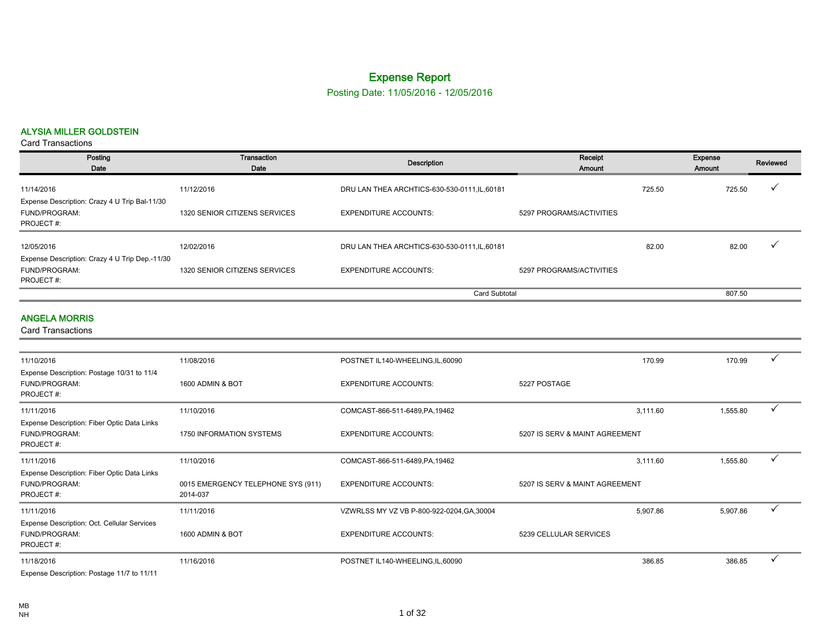## Expense Report

Posting Date: 11/05/2016 - 12/05/2016

#### ALYSIA MILLER GOLDSTEIN

| Posting<br>Date                                                                                                                                                                                                                                                                                                                                                                                                                                                                            | Transaction<br>Date           | Description                                   | Receipt<br>Amount        |        | Expense<br>Amount | Reviewed |
|--------------------------------------------------------------------------------------------------------------------------------------------------------------------------------------------------------------------------------------------------------------------------------------------------------------------------------------------------------------------------------------------------------------------------------------------------------------------------------------------|-------------------------------|-----------------------------------------------|--------------------------|--------|-------------------|----------|
| 11/14/2016                                                                                                                                                                                                                                                                                                                                                                                                                                                                                 | 11/12/2016                    | DRU LAN THEA ARCHTICS-630-530-0111, IL, 60181 |                          | 725.50 | 725.50            |          |
| Expense Description: Crazy 4 U Trip Bal-11/30<br>FUND/PROGRAM:<br>PROJECT#:                                                                                                                                                                                                                                                                                                                                                                                                                | 1320 SENIOR CITIZENS SERVICES | <b>EXPENDITURE ACCOUNTS:</b>                  | 5297 PROGRAMS/ACTIVITIES |        |                   |          |
| 12/05/2016                                                                                                                                                                                                                                                                                                                                                                                                                                                                                 | 12/02/2016                    | DRU LAN THEA ARCHTICS-630-530-0111, IL, 60181 |                          | 82.00  | 82.00             |          |
| Expense Description: Crazy 4 U Trip Dep.-11/30                                                                                                                                                                                                                                                                                                                                                                                                                                             |                               |                                               |                          |        |                   |          |
| FUND/PROGRAM:<br>PROJECT#:                                                                                                                                                                                                                                                                                                                                                                                                                                                                 | 1320 SENIOR CITIZENS SERVICES | <b>EXPENDITURE ACCOUNTS:</b>                  | 5297 PROGRAMS/ACTIVITIES |        |                   |          |
|                                                                                                                                                                                                                                                                                                                                                                                                                                                                                            |                               | <b>Card Subtotal</b>                          |                          |        | 807.50            |          |
| <b>ANGELA MORRIS</b><br><b>Card Transactions</b>                                                                                                                                                                                                                                                                                                                                                                                                                                           |                               |                                               |                          |        |                   |          |
| 11/10/2016                                                                                                                                                                                                                                                                                                                                                                                                                                                                                 | 11/08/2016                    |                                               |                          | 170.99 | 170.99            |          |
| $\blacksquare$ $\blacksquare$ $\blacksquare$ $\blacksquare$ $\blacksquare$ $\blacksquare$ $\blacksquare$ $\blacksquare$ $\blacksquare$ $\blacksquare$ $\blacksquare$ $\blacksquare$ $\blacksquare$ $\blacksquare$ $\blacksquare$ $\blacksquare$ $\blacksquare$ $\blacksquare$ $\blacksquare$ $\blacksquare$ $\blacksquare$ $\blacksquare$ $\blacksquare$ $\blacksquare$ $\blacksquare$ $\blacksquare$ $\blacksquare$ $\blacksquare$ $\blacksquare$ $\blacksquare$ $\blacksquare$ $\blacks$ |                               | POSTNET IL140-WHEELING, IL, 60090             |                          |        |                   |          |

| Expense Description: Postage 10/31 to 11/4<br><b>FUND/PROGRAM:</b><br>PROJECT#:  | 1600 ADMIN & BOT                               | <b>EXPENDITURE ACCOUNTS:</b>               | 5227 POSTAGE                   |          |          |              |
|----------------------------------------------------------------------------------|------------------------------------------------|--------------------------------------------|--------------------------------|----------|----------|--------------|
| 11/11/2016                                                                       | 11/10/2016                                     | COMCAST-866-511-6489, PA, 19462            |                                | 3,111.60 | 1,555.80 | $\checkmark$ |
| Expense Description: Fiber Optic Data Links<br><b>FUND/PROGRAM:</b><br>PROJECT#: | 1750 INFORMATION SYSTEMS                       | <b>EXPENDITURE ACCOUNTS:</b>               | 5207 IS SERV & MAINT AGREEMENT |          |          |              |
| 11/11/2016                                                                       | 11/10/2016                                     | COMCAST-866-511-6489, PA, 19462            |                                | 3,111.60 | 1,555.80 | $\checkmark$ |
| Expense Description: Fiber Optic Data Links<br><b>FUND/PROGRAM:</b><br>PROJECT#: | 0015 EMERGENCY TELEPHONE SYS (911)<br>2014-037 | <b>EXPENDITURE ACCOUNTS:</b>               | 5207 IS SERV & MAINT AGREEMENT |          |          |              |
| 11/11/2016                                                                       | 11/11/2016                                     | VZWRLSS MY VZ VB P-800-922-0204, GA, 30004 |                                | 5,907.86 | 5,907.86 | $\checkmark$ |
| Expense Description: Oct. Cellular Services<br><b>FUND/PROGRAM:</b><br>PROJECT#: | 1600 ADMIN & BOT                               | <b>EXPENDITURE ACCOUNTS:</b>               | 5239 CELLULAR SERVICES         |          |          |              |
| 11/18/2016                                                                       | 11/16/2016                                     | POSTNET IL140-WHEELING, IL, 60090          |                                | 386.85   | 386.85   | $\checkmark$ |
| Expense Description: Postage 11/7 to 11/11                                       |                                                |                                            |                                |          |          |              |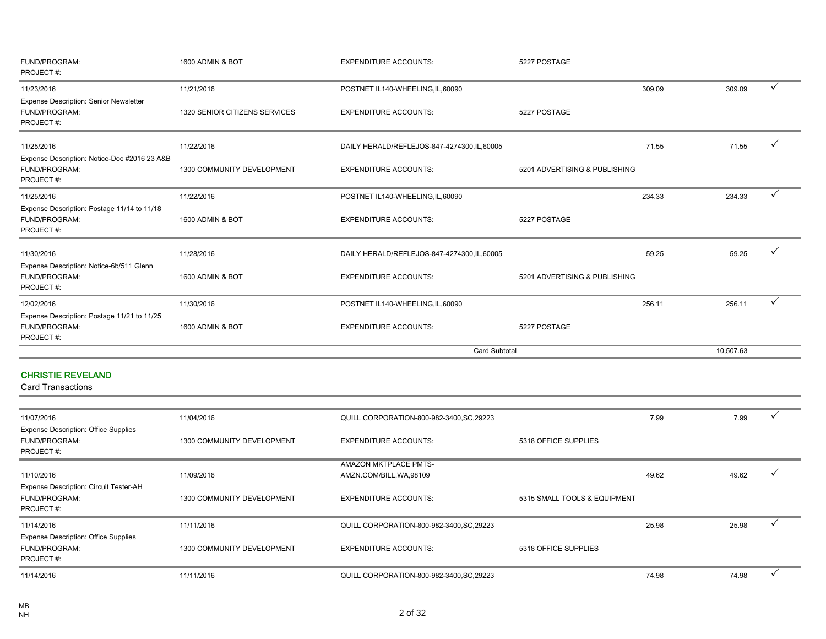| FUND/PROGRAM:<br>PROJECT#:                                                 | 1600 ADMIN & BOT              | <b>EXPENDITURE ACCOUNTS:</b>                 | 5227 POSTAGE                  |        |           |              |
|----------------------------------------------------------------------------|-------------------------------|----------------------------------------------|-------------------------------|--------|-----------|--------------|
| 11/23/2016                                                                 | 11/21/2016                    | POSTNET IL140-WHEELING,IL,60090              |                               | 309.09 | 309.09    | ✓            |
| Expense Description: Senior Newsletter<br>FUND/PROGRAM:<br>PROJECT#:       | 1320 SENIOR CITIZENS SERVICES | <b>EXPENDITURE ACCOUNTS:</b>                 | 5227 POSTAGE                  |        |           |              |
| 11/25/2016                                                                 | 11/22/2016                    | DAILY HERALD/REFLEJOS-847-4274300, IL, 60005 |                               | 71.55  | 71.55     |              |
| Expense Description: Notice-Doc #2016 23 A&B<br>FUND/PROGRAM:<br>PROJECT#: | 1300 COMMUNITY DEVELOPMENT    | <b>EXPENDITURE ACCOUNTS:</b>                 | 5201 ADVERTISING & PUBLISHING |        |           |              |
| 11/25/2016                                                                 | 11/22/2016                    | POSTNET IL140-WHEELING, IL, 60090            |                               | 234.33 | 234.33    | $\checkmark$ |
| Expense Description: Postage 11/14 to 11/18<br>FUND/PROGRAM:<br>PROJECT#:  | 1600 ADMIN & BOT              | <b>EXPENDITURE ACCOUNTS:</b>                 | 5227 POSTAGE                  |        |           |              |
| 11/30/2016                                                                 | 11/28/2016                    | DAILY HERALD/REFLEJOS-847-4274300, IL, 60005 |                               | 59.25  | 59.25     | ✓            |
| Expense Description: Notice-6b/511 Glenn<br>FUND/PROGRAM:<br>PROJECT#:     | 1600 ADMIN & BOT              | <b>EXPENDITURE ACCOUNTS:</b>                 | 5201 ADVERTISING & PUBLISHING |        |           |              |
| 12/02/2016                                                                 | 11/30/2016                    | POSTNET IL140-WHEELING,IL,60090              |                               | 256.11 | 256.11    | $\checkmark$ |
| Expense Description: Postage 11/21 to 11/25<br>FUND/PROGRAM:<br>PROJECT#:  | 1600 ADMIN & BOT              | <b>EXPENDITURE ACCOUNTS:</b>                 | 5227 POSTAGE                  |        |           |              |
|                                                                            |                               | <b>Card Subtotal</b>                         |                               |        | 10,507.63 |              |

#### CHRISTIE REVELAND

| 11/07/2016                                    | 11/04/2016                 | QUILL CORPORATION-800-982-3400, SC, 29223 |                              | 7.99  | 7.99  |  |
|-----------------------------------------------|----------------------------|-------------------------------------------|------------------------------|-------|-------|--|
| <b>Expense Description: Office Supplies</b>   |                            |                                           |                              |       |       |  |
| <b>FUND/PROGRAM:</b>                          | 1300 COMMUNITY DEVELOPMENT | <b>EXPENDITURE ACCOUNTS:</b>              | 5318 OFFICE SUPPLIES         |       |       |  |
| PROJECT#:                                     |                            |                                           |                              |       |       |  |
|                                               |                            | <b>AMAZON MKTPLACE PMTS-</b>              |                              |       |       |  |
| 11/10/2016                                    | 11/09/2016                 | AMZN.COM/BILL, WA, 98109                  |                              | 49.62 | 49.62 |  |
| <b>Expense Description: Circuit Tester-AH</b> |                            |                                           |                              |       |       |  |
| <b>FUND/PROGRAM:</b>                          | 1300 COMMUNITY DEVELOPMENT | <b>EXPENDITURE ACCOUNTS:</b>              | 5315 SMALL TOOLS & EQUIPMENT |       |       |  |
| PROJECT#:                                     |                            |                                           |                              |       |       |  |
| 11/14/2016                                    | 11/11/2016                 | QUILL CORPORATION-800-982-3400, SC, 29223 |                              | 25.98 | 25.98 |  |
| <b>Expense Description: Office Supplies</b>   |                            |                                           |                              |       |       |  |
| <b>FUND/PROGRAM:</b>                          | 1300 COMMUNITY DEVELOPMENT | <b>EXPENDITURE ACCOUNTS:</b>              | 5318 OFFICE SUPPLIES         |       |       |  |
| PROJECT#:                                     |                            |                                           |                              |       |       |  |
| 11/14/2016                                    | 11/11/2016                 | QUILL CORPORATION-800-982-3400, SC, 29223 |                              | 74.98 | 74.98 |  |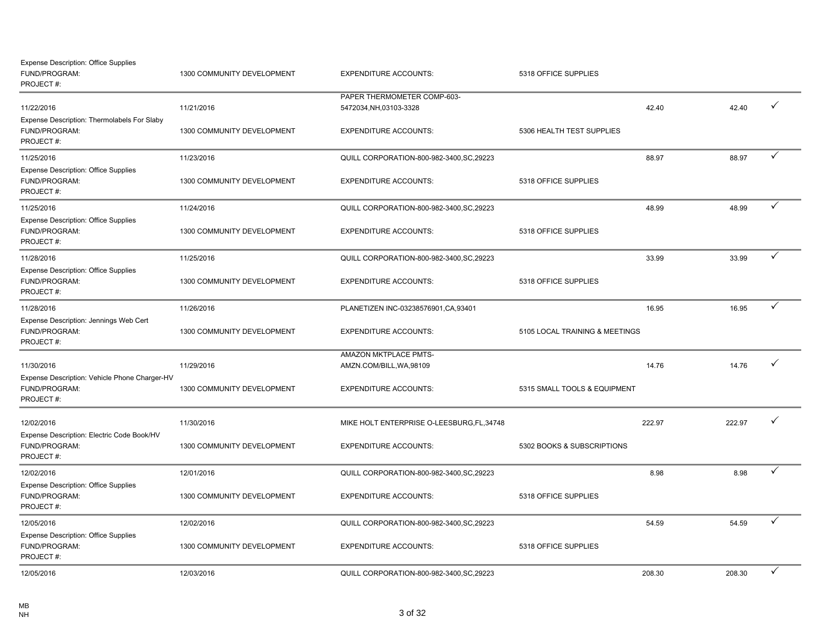| <b>Expense Description: Office Supplies</b><br>FUND/PROGRAM:<br>PROJECT#: | 1300 COMMUNITY DEVELOPMENT | <b>EXPENDITURE ACCOUNTS:</b>                           | 5318 OFFICE SUPPLIES           |        |        |              |
|---------------------------------------------------------------------------|----------------------------|--------------------------------------------------------|--------------------------------|--------|--------|--------------|
| 11/22/2016<br>Expense Description: Thermolabels For Slaby                 | 11/21/2016                 | PAPER THERMOMETER COMP-603-<br>5472034, NH, 03103-3328 |                                | 42.40  | 42.40  | $\checkmark$ |
| FUND/PROGRAM:<br>PROJECT#:                                                | 1300 COMMUNITY DEVELOPMENT | <b>EXPENDITURE ACCOUNTS:</b>                           | 5306 HEALTH TEST SUPPLIES      |        |        |              |
| 11/25/2016                                                                | 11/23/2016                 | QUILL CORPORATION-800-982-3400, SC, 29223              |                                | 88.97  | 88.97  | $\checkmark$ |
| <b>Expense Description: Office Supplies</b><br>FUND/PROGRAM:<br>PROJECT#: | 1300 COMMUNITY DEVELOPMENT | <b>EXPENDITURE ACCOUNTS:</b>                           | 5318 OFFICE SUPPLIES           |        |        |              |
| 11/25/2016                                                                | 11/24/2016                 | QUILL CORPORATION-800-982-3400, SC, 29223              |                                | 48.99  | 48.99  | $\checkmark$ |
| <b>Expense Description: Office Supplies</b><br>FUND/PROGRAM:<br>PROJECT#: | 1300 COMMUNITY DEVELOPMENT | <b>EXPENDITURE ACCOUNTS:</b>                           | 5318 OFFICE SUPPLIES           |        |        |              |
| 11/28/2016                                                                | 11/25/2016                 | QUILL CORPORATION-800-982-3400, SC, 29223              |                                | 33.99  | 33.99  | $\checkmark$ |
| <b>Expense Description: Office Supplies</b><br>FUND/PROGRAM:<br>PROJECT#: | 1300 COMMUNITY DEVELOPMENT | <b>EXPENDITURE ACCOUNTS:</b>                           | 5318 OFFICE SUPPLIES           |        |        |              |
| 11/28/2016                                                                | 11/26/2016                 | PLANETIZEN INC-03238576901, CA, 93401                  |                                | 16.95  | 16.95  | $\checkmark$ |
| Expense Description: Jennings Web Cert<br>FUND/PROGRAM:<br>PROJECT#:      | 1300 COMMUNITY DEVELOPMENT | <b>EXPENDITURE ACCOUNTS:</b>                           | 5105 LOCAL TRAINING & MEETINGS |        |        |              |
| 11/30/2016<br>Expense Description: Vehicle Phone Charger-HV               | 11/29/2016                 | AMAZON MKTPLACE PMTS-<br>AMZN.COM/BILL, WA, 98109      |                                | 14.76  | 14.76  | $\checkmark$ |
| FUND/PROGRAM:<br>PROJECT#:                                                | 1300 COMMUNITY DEVELOPMENT | <b>EXPENDITURE ACCOUNTS:</b>                           | 5315 SMALL TOOLS & EQUIPMENT   |        |        |              |
| 12/02/2016<br>Expense Description: Electric Code Book/HV                  | 11/30/2016                 | MIKE HOLT ENTERPRISE O-LEESBURG, FL, 34748             |                                | 222.97 | 222.97 | $\checkmark$ |
| FUND/PROGRAM:<br>PROJECT#:                                                | 1300 COMMUNITY DEVELOPMENT | <b>EXPENDITURE ACCOUNTS:</b>                           | 5302 BOOKS & SUBSCRIPTIONS     |        |        |              |
| 12/02/2016                                                                | 12/01/2016                 | QUILL CORPORATION-800-982-3400, SC, 29223              |                                | 8.98   | 8.98   | $\checkmark$ |
| <b>Expense Description: Office Supplies</b><br>FUND/PROGRAM:<br>PROJECT#: | 1300 COMMUNITY DEVELOPMENT | <b>EXPENDITURE ACCOUNTS:</b>                           | 5318 OFFICE SUPPLIES           |        |        |              |
| 12/05/2016                                                                | 12/02/2016                 | QUILL CORPORATION-800-982-3400, SC, 29223              |                                | 54.59  | 54.59  | $\checkmark$ |
| <b>Expense Description: Office Supplies</b><br>FUND/PROGRAM:<br>PROJECT#: | 1300 COMMUNITY DEVELOPMENT | <b>EXPENDITURE ACCOUNTS:</b>                           | 5318 OFFICE SUPPLIES           |        |        |              |
| 12/05/2016                                                                | 12/03/2016                 | QUILL CORPORATION-800-982-3400, SC, 29223              |                                | 208.30 | 208.30 | $\checkmark$ |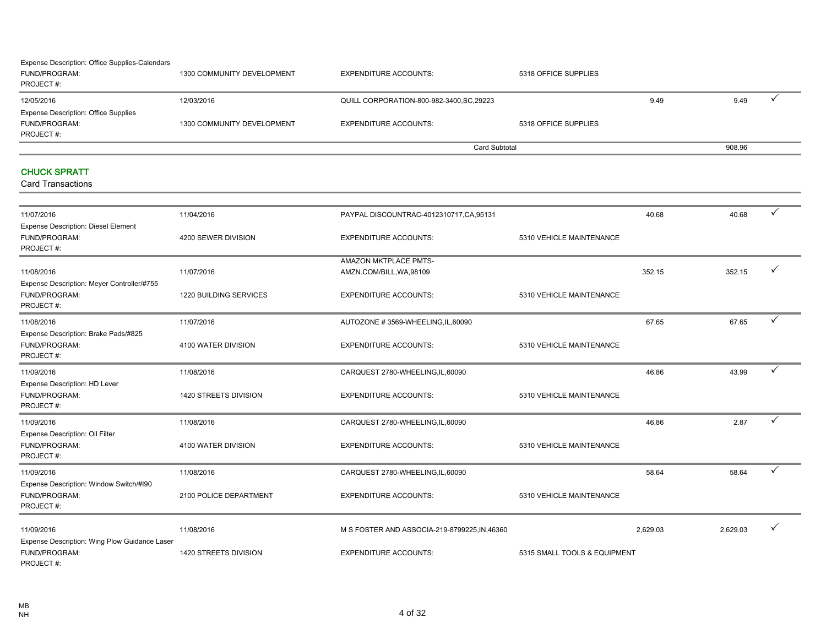#### FUND/PROGRAM: 1300 COMMUNITY DEVELOPMENT EXPENDITURE ACCOUNTS: 5318 OFFICE SUPPLIES PROJECT #: 12/05/2016 12/03/2016 QUILL CORPORATION-800-982-3400,SC,29223 9.49 9.49 3 FUND/PROGRAM: 1300 COMMUNITY DEVELOPMENT EXPENDITURE ACCOUNTS: 5318 OFFICE SUPPLIES PROJECT #: Expense Description: Office Supplies Card Subtotal 908.96 Expense Description: Office Supplies-Calendars

#### CHUCK SPRATT

| 11/07/2016                                                                  | 11/04/2016             | PAYPAL DISCOUNTRAC-4012310717, CA, 95131          |                              | 40.68    | 40.68    | ✓            |
|-----------------------------------------------------------------------------|------------------------|---------------------------------------------------|------------------------------|----------|----------|--------------|
| <b>Expense Description: Diesel Element</b><br>FUND/PROGRAM:<br>PROJECT#:    | 4200 SEWER DIVISION    | <b>EXPENDITURE ACCOUNTS:</b>                      | 5310 VEHICLE MAINTENANCE     |          |          |              |
| 11/08/2016                                                                  | 11/07/2016             | AMAZON MKTPLACE PMTS-<br>AMZN.COM/BILL, WA, 98109 |                              | 352.15   | 352.15   |              |
| Expense Description: Meyer Controller/#755<br>FUND/PROGRAM:<br>PROJECT#:    | 1220 BUILDING SERVICES | <b>EXPENDITURE ACCOUNTS:</b>                      | 5310 VEHICLE MAINTENANCE     |          |          |              |
| 11/08/2016                                                                  | 11/07/2016             | AUTOZONE #3569-WHEELING,IL,60090                  |                              | 67.65    | 67.65    | ✓            |
| Expense Description: Brake Pads/#825<br>FUND/PROGRAM:<br>PROJECT#:          | 4100 WATER DIVISION    | <b>EXPENDITURE ACCOUNTS:</b>                      | 5310 VEHICLE MAINTENANCE     |          |          |              |
| 11/09/2016                                                                  | 11/08/2016             | CARQUEST 2780-WHEELING,IL,60090                   |                              | 46.86    | 43.99    | ✓            |
| Expense Description: HD Lever<br>FUND/PROGRAM:<br>PROJECT#:                 | 1420 STREETS DIVISION  | <b>EXPENDITURE ACCOUNTS:</b>                      | 5310 VEHICLE MAINTENANCE     |          |          |              |
| 11/09/2016                                                                  | 11/08/2016             | CARQUEST 2780-WHEELING,IL,60090                   |                              | 46.86    | 2.87     | $\checkmark$ |
| Expense Description: Oil Filter<br>FUND/PROGRAM:<br>PROJECT#:               | 4100 WATER DIVISION    | <b>EXPENDITURE ACCOUNTS:</b>                      | 5310 VEHICLE MAINTENANCE     |          |          |              |
| 11/09/2016                                                                  | 11/08/2016             | CARQUEST 2780-WHEELING,IL,60090                   |                              | 58.64    | 58.64    | $\checkmark$ |
| Expense Description: Window Switch/#190<br>FUND/PROGRAM:<br>PROJECT#:       | 2100 POLICE DEPARTMENT | <b>EXPENDITURE ACCOUNTS:</b>                      | 5310 VEHICLE MAINTENANCE     |          |          |              |
| 11/09/2016                                                                  | 11/08/2016             | M S FOSTER AND ASSOCIA-219-8799225, IN, 46360     |                              | 2,629.03 | 2.629.03 | $\checkmark$ |
| Expense Description: Wing Plow Guidance Laser<br>FUND/PROGRAM:<br>PROJECT#: | 1420 STREETS DIVISION  | <b>EXPENDITURE ACCOUNTS:</b>                      | 5315 SMALL TOOLS & EQUIPMENT |          |          |              |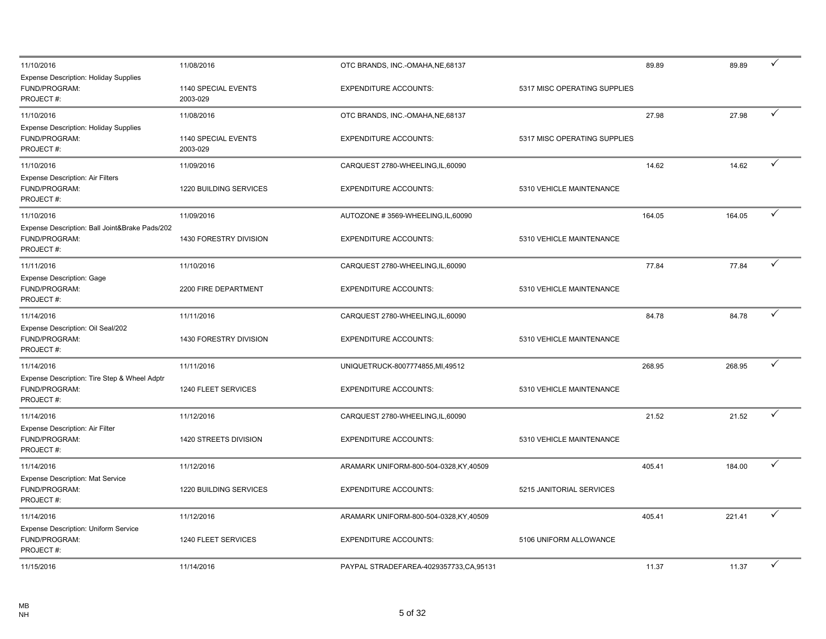| 11/10/2016                                                                   | 11/08/2016                      | OTC BRANDS, INC.-OMAHA, NE, 68137       |                              | 89.89  | 89.89  | ✓            |
|------------------------------------------------------------------------------|---------------------------------|-----------------------------------------|------------------------------|--------|--------|--------------|
| <b>Expense Description: Holiday Supplies</b><br>FUND/PROGRAM:<br>PROJECT#:   | 1140 SPECIAL EVENTS<br>2003-029 | <b>EXPENDITURE ACCOUNTS:</b>            | 5317 MISC OPERATING SUPPLIES |        |        |              |
| 11/10/2016                                                                   | 11/08/2016                      | OTC BRANDS, INC.-OMAHA, NE, 68137       |                              | 27.98  | 27.98  | $\checkmark$ |
| <b>Expense Description: Holiday Supplies</b><br>FUND/PROGRAM:<br>PROJECT#:   | 1140 SPECIAL EVENTS<br>2003-029 | <b>EXPENDITURE ACCOUNTS:</b>            | 5317 MISC OPERATING SUPPLIES |        |        |              |
| 11/10/2016                                                                   | 11/09/2016                      | CARQUEST 2780-WHEELING, IL, 60090       |                              | 14.62  | 14.62  | ✓            |
| Expense Description: Air Filters<br>FUND/PROGRAM:<br>PROJECT#:               | 1220 BUILDING SERVICES          | <b>EXPENDITURE ACCOUNTS:</b>            | 5310 VEHICLE MAINTENANCE     |        |        |              |
| 11/10/2016                                                                   | 11/09/2016                      | AUTOZONE #3569-WHEELING,IL,60090        |                              | 164.05 | 164.05 | $\checkmark$ |
| Expense Description: Ball Joint&Brake Pads/202<br>FUND/PROGRAM:<br>PROJECT#: | <b>1430 FORESTRY DIVISION</b>   | <b>EXPENDITURE ACCOUNTS:</b>            | 5310 VEHICLE MAINTENANCE     |        |        |              |
| 11/11/2016                                                                   | 11/10/2016                      | CARQUEST 2780-WHEELING, IL, 60090       |                              | 77.84  | 77.84  | ✓            |
| <b>Expense Description: Gage</b><br>FUND/PROGRAM:<br>PROJECT#:               | 2200 FIRE DEPARTMENT            | <b>EXPENDITURE ACCOUNTS:</b>            | 5310 VEHICLE MAINTENANCE     |        |        |              |
| 11/14/2016                                                                   | 11/11/2016                      | CARQUEST 2780-WHEELING, IL, 60090       |                              | 84.78  | 84.78  | ✓            |
| Expense Description: Oil Seal/202<br>FUND/PROGRAM:<br>PROJECT#:              | 1430 FORESTRY DIVISION          | <b>EXPENDITURE ACCOUNTS:</b>            | 5310 VEHICLE MAINTENANCE     |        |        |              |
| 11/14/2016                                                                   | 11/11/2016                      | UNIQUETRUCK-8007774855,MI,49512         |                              | 268.95 | 268.95 | $\checkmark$ |
| Expense Description: Tire Step & Wheel Adptr<br>FUND/PROGRAM:<br>PROJECT#:   | 1240 FLEET SERVICES             | <b>EXPENDITURE ACCOUNTS:</b>            | 5310 VEHICLE MAINTENANCE     |        |        |              |
| 11/14/2016                                                                   | 11/12/2016                      | CARQUEST 2780-WHEELING,IL,60090         |                              | 21.52  | 21.52  | ✓            |
| Expense Description: Air Filter<br>FUND/PROGRAM:<br>PROJECT#:                | 1420 STREETS DIVISION           | <b>EXPENDITURE ACCOUNTS:</b>            | 5310 VEHICLE MAINTENANCE     |        |        |              |
| 11/14/2016                                                                   | 11/12/2016                      | ARAMARK UNIFORM-800-504-0328, KY, 40509 |                              | 405.41 | 184.00 | ✓            |
| <b>Expense Description: Mat Service</b><br>FUND/PROGRAM:<br>PROJECT#:        | 1220 BUILDING SERVICES          | <b>EXPENDITURE ACCOUNTS:</b>            | 5215 JANITORIAL SERVICES     |        |        |              |
| 11/14/2016                                                                   | 11/12/2016                      | ARAMARK UNIFORM-800-504-0328,KY,40509   |                              | 405.41 | 221.41 | ✓            |
| Expense Description: Uniform Service<br>FUND/PROGRAM:<br>PROJECT#:           | 1240 FLEET SERVICES             | <b>EXPENDITURE ACCOUNTS:</b>            | 5106 UNIFORM ALLOWANCE       |        |        |              |
| 11/15/2016                                                                   | 11/14/2016                      | PAYPAL STRADEFAREA-4029357733,CA,95131  |                              | 11.37  | 11.37  |              |
|                                                                              |                                 |                                         |                              |        |        |              |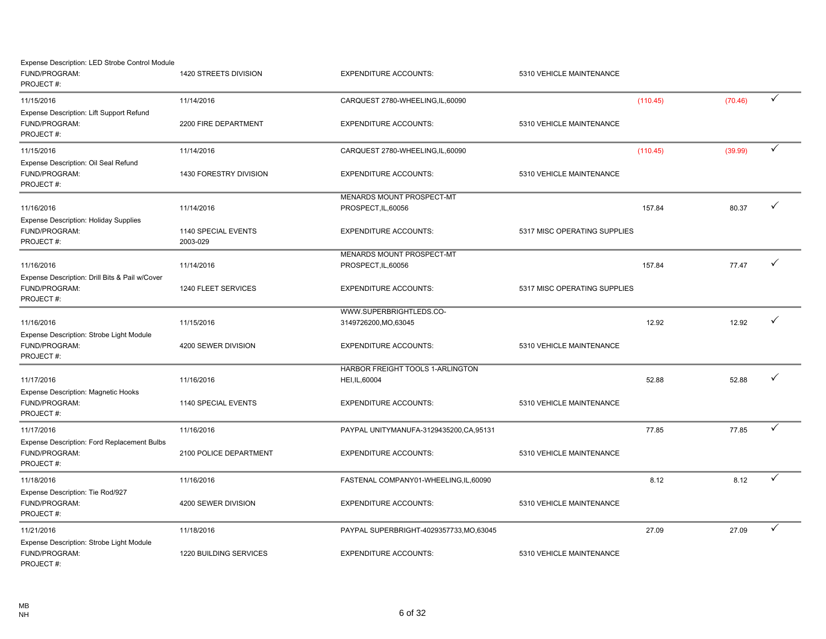| Expense Description: LED Strobe Control Module<br>FUND/PROGRAM:<br>PROJECT#: | 1420 STREETS DIVISION           | <b>EXPENDITURE ACCOUNTS:</b>                       | 5310 VEHICLE MAINTENANCE     |         |              |
|------------------------------------------------------------------------------|---------------------------------|----------------------------------------------------|------------------------------|---------|--------------|
| 11/15/2016                                                                   | 11/14/2016                      | CARQUEST 2780-WHEELING, IL, 60090                  | (110.45)                     | (70.46) | $\checkmark$ |
| Expense Description: Lift Support Refund<br>FUND/PROGRAM:<br>PROJECT#:       | 2200 FIRE DEPARTMENT            | <b>EXPENDITURE ACCOUNTS:</b>                       | 5310 VEHICLE MAINTENANCE     |         |              |
| 11/15/2016                                                                   | 11/14/2016                      | CARQUEST 2780-WHEELING,IL,60090                    | (110.45)                     | (39.99) | $\checkmark$ |
| Expense Description: Oil Seal Refund<br>FUND/PROGRAM:<br>PROJECT#:           | 1430 FORESTRY DIVISION          | <b>EXPENDITURE ACCOUNTS:</b>                       | 5310 VEHICLE MAINTENANCE     |         |              |
| 11/16/2016                                                                   | 11/14/2016                      | MENARDS MOUNT PROSPECT-MT<br>PROSPECT, IL, 60056   | 157.84                       | 80.37   | ✓            |
| <b>Expense Description: Holiday Supplies</b><br>FUND/PROGRAM:<br>PROJECT#:   | 1140 SPECIAL EVENTS<br>2003-029 | <b>EXPENDITURE ACCOUNTS:</b>                       | 5317 MISC OPERATING SUPPLIES |         |              |
| 11/16/2016                                                                   | 11/14/2016                      | MENARDS MOUNT PROSPECT-MT<br>PROSPECT, IL, 60056   | 157.84                       | 77.47   | ✓            |
| Expense Description: Drill Bits & Pail w/Cover<br>FUND/PROGRAM:<br>PROJECT#: | 1240 FLEET SERVICES             | <b>EXPENDITURE ACCOUNTS:</b>                       | 5317 MISC OPERATING SUPPLIES |         |              |
| 11/16/2016                                                                   | 11/15/2016                      | WWW.SUPERBRIGHTLEDS.CO-<br>3149726200, MO, 63045   | 12.92                        | 12.92   | ✓            |
| Expense Description: Strobe Light Module<br>FUND/PROGRAM:<br>PROJECT#:       | 4200 SEWER DIVISION             | <b>EXPENDITURE ACCOUNTS:</b>                       | 5310 VEHICLE MAINTENANCE     |         |              |
| 11/17/2016                                                                   | 11/16/2016                      | HARBOR FREIGHT TOOLS 1-ARLINGTON<br>HEI, IL, 60004 | 52.88                        | 52.88   | ✓            |
| <b>Expense Description: Magnetic Hooks</b><br>FUND/PROGRAM:<br>PROJECT#:     | 1140 SPECIAL EVENTS             | <b>EXPENDITURE ACCOUNTS:</b>                       | 5310 VEHICLE MAINTENANCE     |         |              |
| 11/17/2016                                                                   | 11/16/2016                      | PAYPAL UNITYMANUFA-3129435200, CA, 95131           | 77.85                        | 77.85   | ✓            |
| Expense Description: Ford Replacement Bulbs<br>FUND/PROGRAM:<br>PROJECT#:    | 2100 POLICE DEPARTMENT          | <b>EXPENDITURE ACCOUNTS:</b>                       | 5310 VEHICLE MAINTENANCE     |         |              |
| 11/18/2016                                                                   | 11/16/2016                      | FASTENAL COMPANY01-WHEELING,IL,60090               | 8.12                         | 8.12    | $\checkmark$ |
| Expense Description: Tie Rod/927<br>FUND/PROGRAM:<br>PROJECT#:               | 4200 SEWER DIVISION             | <b>EXPENDITURE ACCOUNTS:</b>                       | 5310 VEHICLE MAINTENANCE     |         |              |
| 11/21/2016                                                                   | 11/18/2016                      | PAYPAL SUPERBRIGHT-4029357733, MO, 63045           | 27.09                        | 27.09   | $\checkmark$ |
| Expense Description: Strobe Light Module<br>FUND/PROGRAM:<br>PROJECT#:       | 1220 BUILDING SERVICES          | <b>EXPENDITURE ACCOUNTS:</b>                       | 5310 VEHICLE MAINTENANCE     |         |              |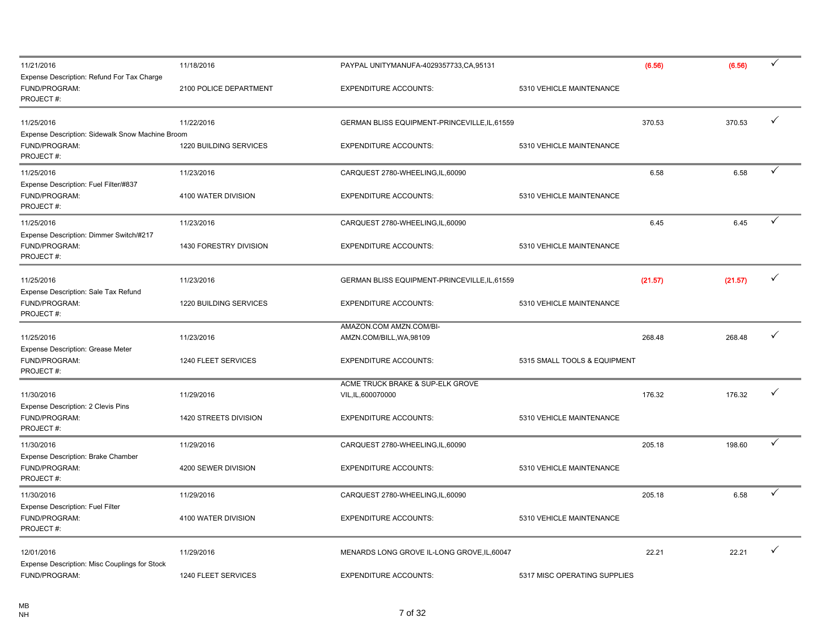| 11/21/2016                                                                     | 11/18/2016             | PAYPAL UNITYMANUFA-4029357733,CA,95131              |                              | (6.56)  | (6.56)  | $\checkmark$ |
|--------------------------------------------------------------------------------|------------------------|-----------------------------------------------------|------------------------------|---------|---------|--------------|
| Expense Description: Refund For Tax Charge<br>FUND/PROGRAM:<br>PROJECT#:       | 2100 POLICE DEPARTMENT | <b>EXPENDITURE ACCOUNTS:</b>                        | 5310 VEHICLE MAINTENANCE     |         |         |              |
| 11/25/2016                                                                     | 11/22/2016             | GERMAN BLISS EQUIPMENT-PRINCEVILLE, IL, 61559       |                              | 370.53  | 370.53  | $\checkmark$ |
| Expense Description: Sidewalk Snow Machine Broom<br>FUND/PROGRAM:<br>PROJECT#: | 1220 BUILDING SERVICES | <b>EXPENDITURE ACCOUNTS:</b>                        | 5310 VEHICLE MAINTENANCE     |         |         |              |
| 11/25/2016                                                                     | 11/23/2016             | CARQUEST 2780-WHEELING, IL, 60090                   |                              | 6.58    | 6.58    | ✓            |
| Expense Description: Fuel Filter/#837<br>FUND/PROGRAM:<br>PROJECT#:            | 4100 WATER DIVISION    | <b>EXPENDITURE ACCOUNTS:</b>                        | 5310 VEHICLE MAINTENANCE     |         |         |              |
| 11/25/2016                                                                     | 11/23/2016             | CARQUEST 2780-WHEELING,IL,60090                     |                              | 6.45    | 6.45    | $\checkmark$ |
| Expense Description: Dimmer Switch/#217<br>FUND/PROGRAM:<br>PROJECT#:          | 1430 FORESTRY DIVISION | <b>EXPENDITURE ACCOUNTS:</b>                        | 5310 VEHICLE MAINTENANCE     |         |         |              |
| 11/25/2016                                                                     | 11/23/2016             | GERMAN BLISS EQUIPMENT-PRINCEVILLE, IL, 61559       |                              | (21.57) | (21.57) | $\checkmark$ |
| Expense Description: Sale Tax Refund<br>FUND/PROGRAM:<br>PROJECT#:             | 1220 BUILDING SERVICES | <b>EXPENDITURE ACCOUNTS:</b>                        | 5310 VEHICLE MAINTENANCE     |         |         |              |
| 11/25/2016                                                                     | 11/23/2016             | AMAZON.COM AMZN.COM/BI-<br>AMZN.COM/BILL, WA, 98109 |                              | 268.48  | 268.48  | $\checkmark$ |
| Expense Description: Grease Meter<br>FUND/PROGRAM:<br>PROJECT#:                | 1240 FLEET SERVICES    | <b>EXPENDITURE ACCOUNTS:</b>                        | 5315 SMALL TOOLS & EQUIPMENT |         |         |              |
| 11/30/2016                                                                     | 11/29/2016             | ACME TRUCK BRAKE & SUP-ELK GROVE                    |                              | 176.32  | 176.32  | $\checkmark$ |
| Expense Description: 2 Clevis Pins<br>FUND/PROGRAM:<br>PROJECT#:               | 1420 STREETS DIVISION  | VIL, IL, 600070000<br><b>EXPENDITURE ACCOUNTS:</b>  | 5310 VEHICLE MAINTENANCE     |         |         |              |
| 11/30/2016                                                                     | 11/29/2016             | CARQUEST 2780-WHEELING, IL, 60090                   |                              | 205.18  | 198.60  | ✓            |
| Expense Description: Brake Chamber<br>FUND/PROGRAM:<br>PROJECT#:               | 4200 SEWER DIVISION    | <b>EXPENDITURE ACCOUNTS:</b>                        | 5310 VEHICLE MAINTENANCE     |         |         |              |
| 11/30/2016                                                                     | 11/29/2016             | CARQUEST 2780-WHEELING,IL,60090                     |                              | 205.18  | 6.58    | $\checkmark$ |
| Expense Description: Fuel Filter<br>FUND/PROGRAM:<br>PROJECT#:                 | 4100 WATER DIVISION    | <b>EXPENDITURE ACCOUNTS:</b>                        | 5310 VEHICLE MAINTENANCE     |         |         |              |
| 12/01/2016                                                                     | 11/29/2016             | MENARDS LONG GROVE IL-LONG GROVE, IL, 60047         |                              | 22.21   | 22.21   | $\checkmark$ |
| Expense Description: Misc Couplings for Stock<br>FUND/PROGRAM:                 | 1240 FLEET SERVICES    | <b>EXPENDITURE ACCOUNTS:</b>                        | 5317 MISC OPERATING SUPPLIES |         |         |              |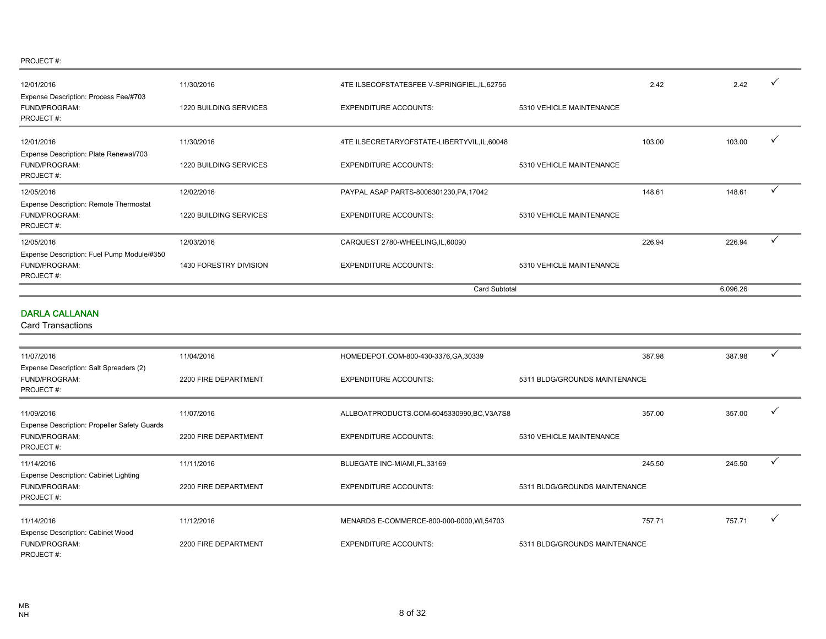| 12/01/2016                                                                         | 11/30/2016                    | 4TE ILSECOFSTATESFEE V-SPRINGFIEL, IL, 62756 |                          | 2.42   | 2.42     | ✓            |
|------------------------------------------------------------------------------------|-------------------------------|----------------------------------------------|--------------------------|--------|----------|--------------|
| Expense Description: Process Fee/#703<br>FUND/PROGRAM:<br>PROJECT#:                | 1220 BUILDING SERVICES        | <b>EXPENDITURE ACCOUNTS:</b>                 | 5310 VEHICLE MAINTENANCE |        |          |              |
| 12/01/2016                                                                         | 11/30/2016                    | 4TE ILSECRETARYOFSTATE-LIBERTYVIL,IL,60048   |                          | 103.00 | 103.00   | v            |
| Expense Description: Plate Renewal/703<br>FUND/PROGRAM:<br>PROJECT#:               | <b>1220 BUILDING SERVICES</b> | <b>EXPENDITURE ACCOUNTS:</b>                 | 5310 VEHICLE MAINTENANCE |        |          |              |
| 12/05/2016                                                                         | 12/02/2016                    | PAYPAL ASAP PARTS-8006301230, PA, 17042      |                          | 148.61 | 148.61   | $\checkmark$ |
| <b>Expense Description: Remote Thermostat</b><br><b>FUND/PROGRAM:</b><br>PROJECT#: | <b>1220 BUILDING SERVICES</b> | <b>EXPENDITURE ACCOUNTS:</b>                 | 5310 VEHICLE MAINTENANCE |        |          |              |
| 12/05/2016                                                                         | 12/03/2016                    | CARQUEST 2780-WHEELING, IL, 60090            |                          | 226.94 | 226.94   | $\checkmark$ |
| Expense Description: Fuel Pump Module/#350<br>FUND/PROGRAM:<br>PROJECT#:           | 1430 FORESTRY DIVISION        | <b>EXPENDITURE ACCOUNTS:</b>                 | 5310 VEHICLE MAINTENANCE |        |          |              |
|                                                                                    |                               | Card Subtotal                                |                          |        | 6,096.26 |              |
| <b>DARLA CALLANAN</b>                                                              |                               |                                              |                          |        |          |              |

| 11/07/2016                                                                        | 11/04/2016           | HOMEDEPOT.COM-800-430-3376,GA,30339        |                               | 387.98<br>387.98 |              |
|-----------------------------------------------------------------------------------|----------------------|--------------------------------------------|-------------------------------|------------------|--------------|
| Expense Description: Salt Spreaders (2)                                           |                      |                                            |                               |                  |              |
| FUND/PROGRAM:<br>PROJECT#:                                                        | 2200 FIRE DEPARTMENT | <b>EXPENDITURE ACCOUNTS:</b>               | 5311 BLDG/GROUNDS MAINTENANCE |                  |              |
| 11/09/2016                                                                        | 11/07/2016           | ALLBOATPRODUCTS.COM-6045330990,BC,V3A7S8   |                               | 357.00<br>357.00 |              |
| Expense Description: Propeller Safety Guards<br><b>FUND/PROGRAM:</b><br>PROJECT#: | 2200 FIRE DEPARTMENT | <b>EXPENDITURE ACCOUNTS:</b>               | 5310 VEHICLE MAINTENANCE      |                  |              |
| 11/14/2016                                                                        | 11/11/2016           | BLUEGATE INC-MIAMI,FL,33169                |                               | 245.50<br>245.50 |              |
| <b>Expense Description: Cabinet Lighting</b><br><b>FUND/PROGRAM:</b><br>PROJECT#: | 2200 FIRE DEPARTMENT | <b>EXPENDITURE ACCOUNTS:</b>               | 5311 BLDG/GROUNDS MAINTENANCE |                  |              |
| 11/14/2016                                                                        | 11/12/2016           | MENARDS E-COMMERCE-800-000-0000, WI, 54703 |                               | 757.71<br>757.71 | $\mathbf{v}$ |
| <b>Expense Description: Cabinet Wood</b>                                          |                      |                                            |                               |                  |              |
| <b>FUND/PROGRAM:</b><br>PROJECT#:                                                 | 2200 FIRE DEPARTMENT | <b>EXPENDITURE ACCOUNTS:</b>               | 5311 BLDG/GROUNDS MAINTENANCE |                  |              |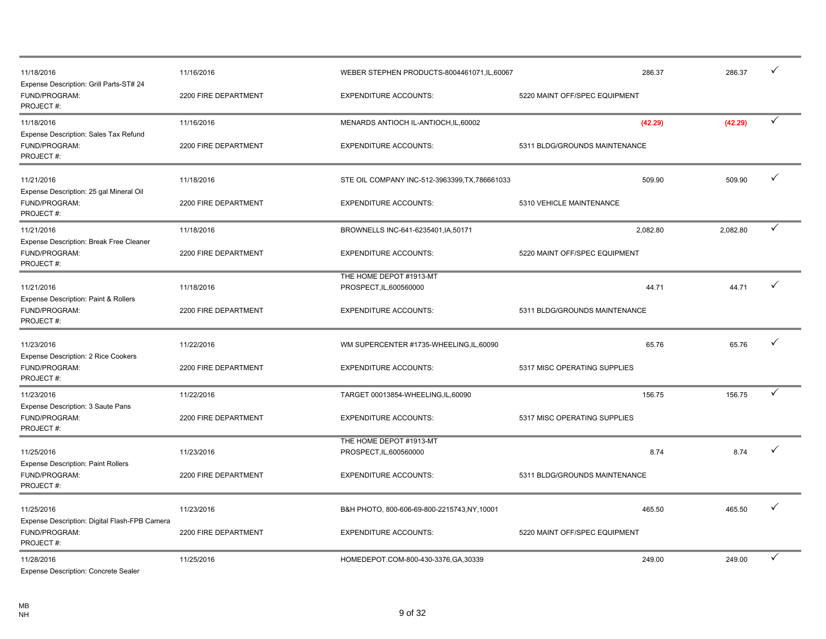| 11/18/2016<br>Expense Description: Grill Parts-ST# 24                       | 11/16/2016           | WEBER STEPHEN PRODUCTS-8004461071,IL,60067         | 286.37                        | 286.37   | ✓            |
|-----------------------------------------------------------------------------|----------------------|----------------------------------------------------|-------------------------------|----------|--------------|
| FUND/PROGRAM:<br>PROJECT#:                                                  | 2200 FIRE DEPARTMENT | <b>EXPENDITURE ACCOUNTS:</b>                       | 5220 MAINT OFF/SPEC EQUIPMENT |          |              |
| 11/18/2016                                                                  | 11/16/2016           | MENARDS ANTIOCH IL-ANTIOCH, IL, 60002              | (42.29)                       | (42.29)  | $\checkmark$ |
| Expense Description: Sales Tax Refund<br>FUND/PROGRAM:<br>PROJECT#:         | 2200 FIRE DEPARTMENT | <b>EXPENDITURE ACCOUNTS:</b>                       | 5311 BLDG/GROUNDS MAINTENANCE |          |              |
| 11/21/2016                                                                  | 11/18/2016           | STE OIL COMPANY INC-512-3963399, TX, 786661033     | 509.90                        | 509.90   | ✓            |
| Expense Description: 25 gal Mineral Oil<br>FUND/PROGRAM:<br>PROJECT#:       | 2200 FIRE DEPARTMENT | <b>EXPENDITURE ACCOUNTS:</b>                       | 5310 VEHICLE MAINTENANCE      |          |              |
| 11/21/2016                                                                  | 11/18/2016           | BROWNELLS INC-641-6235401, IA, 50171               | 2,082.80                      | 2,082.80 | ✓            |
| Expense Description: Break Free Cleaner<br>FUND/PROGRAM:<br>PROJECT#:       | 2200 FIRE DEPARTMENT | <b>EXPENDITURE ACCOUNTS:</b>                       | 5220 MAINT OFF/SPEC EQUIPMENT |          |              |
| 11/21/2016                                                                  | 11/18/2016           | THE HOME DEPOT #1913-MT<br>PROSPECT, IL, 600560000 | 44.71                         | 44.71    | ✓            |
| Expense Description: Paint & Rollers<br>FUND/PROGRAM:<br>PROJECT#:          | 2200 FIRE DEPARTMENT | <b>EXPENDITURE ACCOUNTS:</b>                       | 5311 BLDG/GROUNDS MAINTENANCE |          |              |
| 11/23/2016                                                                  | 11/22/2016           | WM SUPERCENTER #1735-WHEELING, IL, 60090           | 65.76                         | 65.76    | ✓            |
| Expense Description: 2 Rice Cookers<br>FUND/PROGRAM:<br>PROJECT#:           | 2200 FIRE DEPARTMENT | <b>EXPENDITURE ACCOUNTS:</b>                       | 5317 MISC OPERATING SUPPLIES  |          |              |
| 11/23/2016                                                                  | 11/22/2016           | TARGET 00013854-WHEELING,IL,60090                  | 156.75                        | 156.75   | ✓            |
| Expense Description: 3 Saute Pans<br>FUND/PROGRAM:<br>PROJECT#:             | 2200 FIRE DEPARTMENT | <b>EXPENDITURE ACCOUNTS:</b>                       | 5317 MISC OPERATING SUPPLIES  |          |              |
| 11/25/2016                                                                  | 11/23/2016           | THE HOME DEPOT #1913-MT<br>PROSPECT, IL, 600560000 | 8.74                          | 8.74     | ✓            |
| <b>Expense Description: Paint Rollers</b><br>FUND/PROGRAM:<br>PROJECT#:     | 2200 FIRE DEPARTMENT | <b>EXPENDITURE ACCOUNTS:</b>                       | 5311 BLDG/GROUNDS MAINTENANCE |          |              |
| 11/25/2016                                                                  | 11/23/2016           | B&H PHOTO, 800-606-69-800-2215743, NY, 10001       | 465.50                        | 465.50   | ✓            |
| Expense Description: Digital Flash-FPB Camera<br>FUND/PROGRAM:<br>PROJECT#: | 2200 FIRE DEPARTMENT | <b>EXPENDITURE ACCOUNTS:</b>                       | 5220 MAINT OFF/SPEC EQUIPMENT |          |              |
| 11/28/2016<br><b>Expense Description: Concrete Sealer</b>                   | 11/25/2016           | HOMEDEPOT.COM-800-430-3376,GA,30339                | 249.00                        | 249.00   | ✓            |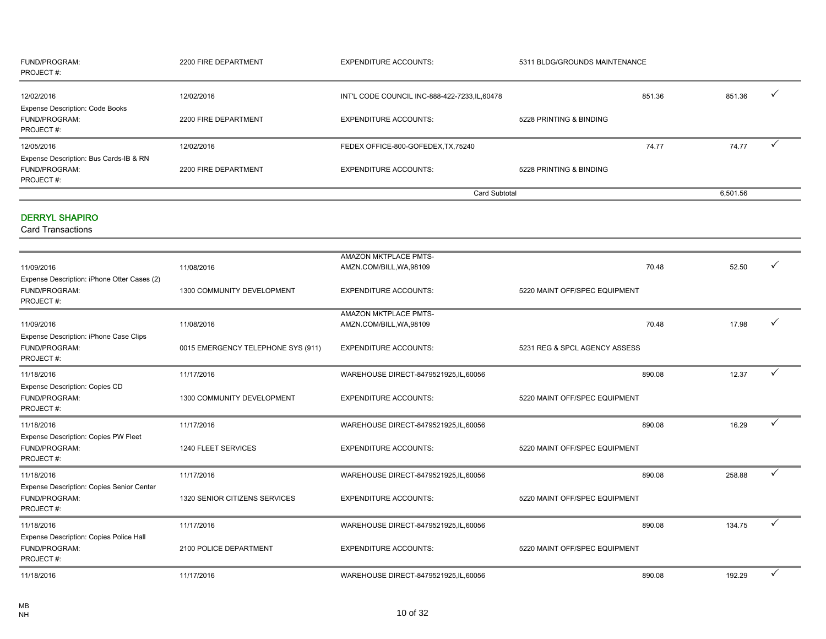| FUND/PROGRAM:<br>PROJECT#:                                                | 2200 FIRE DEPARTMENT               | <b>EXPENDITURE ACCOUNTS:</b>                   | 5311 BLDG/GROUNDS MAINTENANCE |          |              |
|---------------------------------------------------------------------------|------------------------------------|------------------------------------------------|-------------------------------|----------|--------------|
| 12/02/2016<br><b>Expense Description: Code Books</b>                      | 12/02/2016                         | INT'L CODE COUNCIL INC-888-422-7233, IL, 60478 | 851.36                        | 851.36   | ✓            |
| FUND/PROGRAM:<br>PROJECT#:                                                | 2200 FIRE DEPARTMENT               | <b>EXPENDITURE ACCOUNTS:</b>                   | 5228 PRINTING & BINDING       |          |              |
| 12/05/2016                                                                | 12/02/2016                         | FEDEX OFFICE-800-GOFEDEX, TX, 75240            | 74.77                         | 74.77    |              |
| Expense Description: Bus Cards-IB & RN<br>FUND/PROGRAM:<br>PROJECT#:      | 2200 FIRE DEPARTMENT               | <b>EXPENDITURE ACCOUNTS:</b>                   | 5228 PRINTING & BINDING       |          |              |
|                                                                           |                                    | <b>Card Subtotal</b>                           |                               | 6,501.56 |              |
| <b>DERRYL SHAPIRO</b><br><b>Card Transactions</b>                         |                                    |                                                |                               |          |              |
|                                                                           |                                    | AMAZON MKTPLACE PMTS-                          |                               |          |              |
| 11/09/2016                                                                | 11/08/2016                         | AMZN.COM/BILL, WA, 98109                       | 70.48                         | 52.50    | ✓            |
| Expense Description: iPhone Otter Cases (2)<br>FUND/PROGRAM:<br>PROJECT#: | 1300 COMMUNITY DEVELOPMENT         | <b>EXPENDITURE ACCOUNTS:</b>                   | 5220 MAINT OFF/SPEC EQUIPMENT |          |              |
|                                                                           |                                    | AMAZON MKTPLACE PMTS-                          |                               |          | ✓            |
| 11/09/2016<br>Expense Description: iPhone Case Clips                      | 11/08/2016                         | AMZN.COM/BILL, WA, 98109                       | 70.48                         | 17.98    |              |
| FUND/PROGRAM:<br>PROJECT#:                                                | 0015 EMERGENCY TELEPHONE SYS (911) | <b>EXPENDITURE ACCOUNTS:</b>                   | 5231 REG & SPCL AGENCY ASSESS |          |              |
| 11/18/2016                                                                | 11/17/2016                         | WAREHOUSE DIRECT-8479521925, IL, 60056         | 890.08                        | 12.37    | $\checkmark$ |
| Expense Description: Copies CD<br>FUND/PROGRAM:<br>PROJECT#:              | 1300 COMMUNITY DEVELOPMENT         | <b>EXPENDITURE ACCOUNTS:</b>                   | 5220 MAINT OFF/SPEC EQUIPMENT |          |              |
| 11/18/2016                                                                | 11/17/2016                         | WAREHOUSE DIRECT-8479521925, IL, 60056         | 890.08                        | 16.29    | ✓            |
| Expense Description: Copies PW Fleet<br>FUND/PROGRAM:<br>PROJECT#:        | 1240 FLEET SERVICES                | <b>EXPENDITURE ACCOUNTS:</b>                   | 5220 MAINT OFF/SPEC EQUIPMENT |          |              |
| 11/18/2016                                                                | 11/17/2016                         | WAREHOUSE DIRECT-8479521925, IL, 60056         | 890.08                        | 258.88   | ✓            |
| Expense Description: Copies Senior Center<br>FUND/PROGRAM:<br>PROJECT#:   | 1320 SENIOR CITIZENS SERVICES      | <b>EXPENDITURE ACCOUNTS:</b>                   | 5220 MAINT OFF/SPEC EQUIPMENT |          |              |
| 11/18/2016                                                                | 11/17/2016                         | WAREHOUSE DIRECT-8479521925, IL, 60056         | 890.08                        | 134.75   | $\checkmark$ |
| Expense Description: Copies Police Hall<br>FUND/PROGRAM:<br>PROJECT#:     | 2100 POLICE DEPARTMENT             | <b>EXPENDITURE ACCOUNTS:</b>                   | 5220 MAINT OFF/SPEC EQUIPMENT |          |              |
| 11/18/2016                                                                | 11/17/2016                         | WAREHOUSE DIRECT-8479521925, IL, 60056         | 890.08                        | 192.29   | ✓            |
|                                                                           |                                    |                                                |                               |          |              |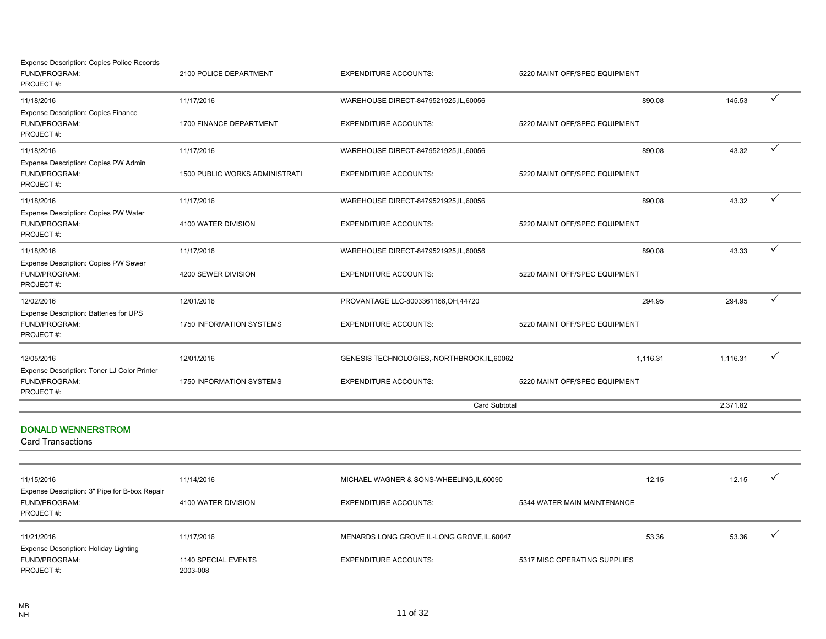| <b>Expense Description: Copies Police Records</b><br>FUND/PROGRAM:<br>PROJECT#: | 2100 POLICE DEPARTMENT          | <b>EXPENDITURE ACCOUNTS:</b>                | 5220 MAINT OFF/SPEC EQUIPMENT |          |              |
|---------------------------------------------------------------------------------|---------------------------------|---------------------------------------------|-------------------------------|----------|--------------|
| 11/18/2016                                                                      | 11/17/2016                      | WAREHOUSE DIRECT-8479521925, IL, 60056      | 890.08                        | 145.53   | ✓            |
| <b>Expense Description: Copies Finance</b><br>FUND/PROGRAM:<br>PROJECT#:        | 1700 FINANCE DEPARTMENT         | <b>EXPENDITURE ACCOUNTS:</b>                | 5220 MAINT OFF/SPEC EQUIPMENT |          |              |
| 11/18/2016                                                                      | 11/17/2016                      | WAREHOUSE DIRECT-8479521925, IL, 60056      | 890.08                        | 43.32    | $\checkmark$ |
| Expense Description: Copies PW Admin<br>FUND/PROGRAM:<br>PROJECT#:              | 1500 PUBLIC WORKS ADMINISTRATI  | <b>EXPENDITURE ACCOUNTS:</b>                | 5220 MAINT OFF/SPEC EQUIPMENT |          |              |
| 11/18/2016                                                                      | 11/17/2016                      | WAREHOUSE DIRECT-8479521925, IL, 60056      | 890.08                        | 43.32    | $\checkmark$ |
| Expense Description: Copies PW Water<br>FUND/PROGRAM:<br>PROJECT#:              | 4100 WATER DIVISION             | <b>EXPENDITURE ACCOUNTS:</b>                | 5220 MAINT OFF/SPEC EQUIPMENT |          |              |
| 11/18/2016                                                                      | 11/17/2016                      | WAREHOUSE DIRECT-8479521925, IL, 60056      | 890.08                        | 43.33    | ✓            |
| Expense Description: Copies PW Sewer<br>FUND/PROGRAM:<br>PROJECT#:              | 4200 SEWER DIVISION             | <b>EXPENDITURE ACCOUNTS:</b>                | 5220 MAINT OFF/SPEC EQUIPMENT |          |              |
| 12/02/2016                                                                      | 12/01/2016                      | PROVANTAGE LLC-8003361166, OH, 44720        | 294.95                        | 294.95   | $\checkmark$ |
| Expense Description: Batteries for UPS<br>FUND/PROGRAM:<br>PROJECT#:            | 1750 INFORMATION SYSTEMS        | <b>EXPENDITURE ACCOUNTS:</b>                | 5220 MAINT OFF/SPEC EQUIPMENT |          |              |
| 12/05/2016<br>Expense Description: Toner LJ Color Printer                       | 12/01/2016                      | GENESIS TECHNOLOGIES,-NORTHBROOK,IL,60062   | 1,116.31                      | 1,116.31 | ✓            |
| FUND/PROGRAM:<br>PROJECT#:                                                      | 1750 INFORMATION SYSTEMS        | <b>EXPENDITURE ACCOUNTS:</b>                | 5220 MAINT OFF/SPEC EQUIPMENT |          |              |
|                                                                                 |                                 | <b>Card Subtotal</b>                        |                               | 2,371.82 |              |
| <b>DONALD WENNERSTROM</b><br><b>Card Transactions</b>                           |                                 |                                             |                               |          |              |
|                                                                                 |                                 |                                             |                               |          |              |
| 11/15/2016                                                                      | 11/14/2016                      | MICHAEL WAGNER & SONS-WHEELING, IL, 60090   | 12.15                         | 12.15    | ✓            |
| Expense Description: 3" Pipe for B-box Repair<br>FUND/PROGRAM:<br>PROJECT#:     | 4100 WATER DIVISION             | <b>EXPENDITURE ACCOUNTS:</b>                | 5344 WATER MAIN MAINTENANCE   |          |              |
| 11/21/2016                                                                      | 11/17/2016                      | MENARDS LONG GROVE IL-LONG GROVE, IL, 60047 | 53.36                         | 53.36    | ✓            |
| Expense Description: Holiday Lighting<br>FUND/PROGRAM:<br>PROJECT#:             | 1140 SPECIAL EVENTS<br>2003-008 | <b>EXPENDITURE ACCOUNTS:</b>                | 5317 MISC OPERATING SUPPLIES  |          |              |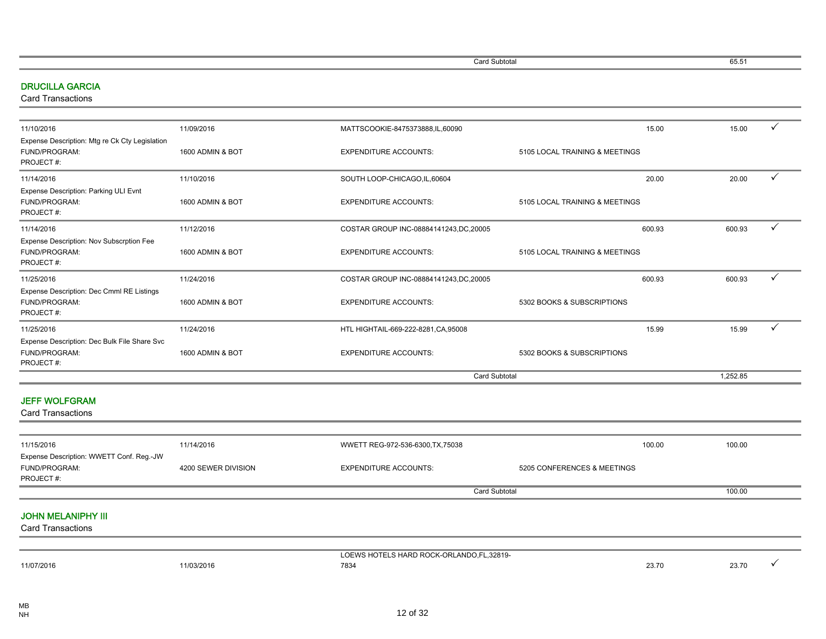Card Subtotal 65.51

#### DRUCILLA GARCIA

Card Transactions

|                     | MATTSCOOKIE-8475373888,IL,60090         |                                   |                                                                 | ✓               |
|---------------------|-----------------------------------------|-----------------------------------|-----------------------------------------------------------------|-----------------|
| 1600 ADMIN & BOT    | <b>EXPENDITURE ACCOUNTS:</b>            | 5105 LOCAL TRAINING & MEETINGS    |                                                                 |                 |
| 11/10/2016          | SOUTH LOOP-CHICAGO, IL, 60604           | 20.00                             | 20.00                                                           | ✓               |
| 1600 ADMIN & BOT    | <b>EXPENDITURE ACCOUNTS:</b>            | 5105 LOCAL TRAINING & MEETINGS    |                                                                 |                 |
| 11/12/2016          | COSTAR GROUP INC-08884141243, DC, 20005 | 600.93                            | 600.93                                                          | $\checkmark$    |
| 1600 ADMIN & BOT    | <b>EXPENDITURE ACCOUNTS:</b>            | 5105 LOCAL TRAINING & MEETINGS    |                                                                 |                 |
| 11/24/2016          | COSTAR GROUP INC-08884141243, DC, 20005 | 600.93                            | 600.93                                                          | $\checkmark$    |
| 1600 ADMIN & BOT    | <b>EXPENDITURE ACCOUNTS:</b>            | 5302 BOOKS & SUBSCRIPTIONS        |                                                                 |                 |
| 11/24/2016          | HTL HIGHTAIL-669-222-8281, CA, 95008    | 15.99                             | 15.99                                                           | ✓               |
| 1600 ADMIN & BOT    | <b>EXPENDITURE ACCOUNTS:</b>            | 5302 BOOKS & SUBSCRIPTIONS        |                                                                 |                 |
|                     |                                         |                                   | 1.252.85                                                        |                 |
|                     |                                         |                                   |                                                                 |                 |
|                     |                                         |                                   |                                                                 |                 |
|                     |                                         |                                   |                                                                 |                 |
| 4200 SEWER DIVISION | <b>EXPENDITURE ACCOUNTS:</b>            | 5205 CONFERENCES & MEETINGS       |                                                                 |                 |
|                     |                                         |                                   | 100.00                                                          |                 |
|                     | 11/09/2016<br>11/14/2016                | WWETT REG-972-536-6300, TX, 75038 | 15.00<br><b>Card Subtotal</b><br>100.00<br><b>Card Subtotal</b> | 15.00<br>100.00 |

|            |          | - S HARD ROCK-OP'<br>LANDO.F<br>$\sim$ $ \sim$ $\sim$<br>.32819-<br>the contract of the contract of the contract of the contract of the contract of the contract of the contract of |       |       |  |
|------------|----------|-------------------------------------------------------------------------------------------------------------------------------------------------------------------------------------|-------|-------|--|
| 11/07/2016 | /03/2016 | 7834                                                                                                                                                                                | 23.70 | 23.70 |  |
|            |          |                                                                                                                                                                                     |       |       |  |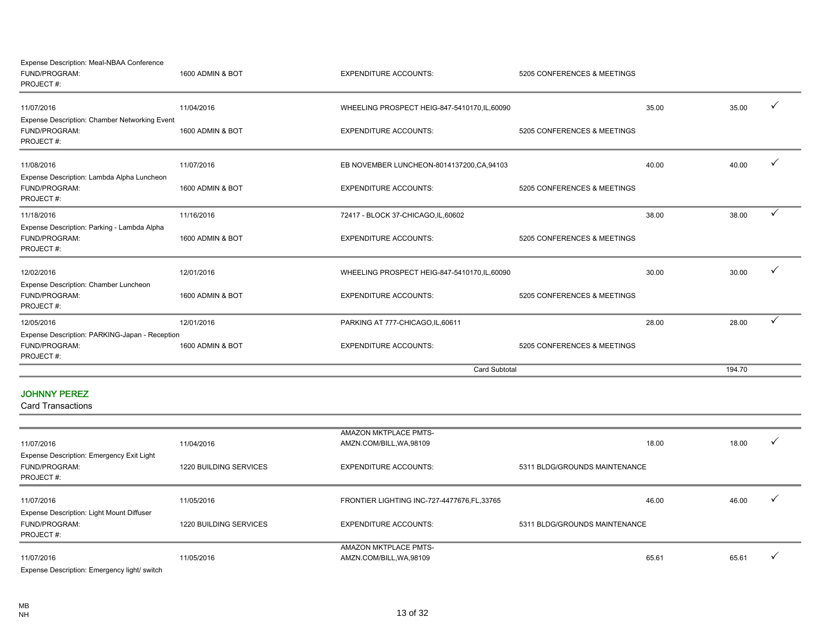Expense Description: Meal-NBAA Conference

| FUND/PROGRAM:<br>PROJECT#:                     | 1600 ADMIN & BOT | <b>EXPENDITURE ACCOUNTS:</b>                  | 5205 CONFERENCES & MEETINGS |       |        |              |
|------------------------------------------------|------------------|-----------------------------------------------|-----------------------------|-------|--------|--------------|
| 11/07/2016                                     | 11/04/2016       | WHEELING PROSPECT HEIG-847-5410170, IL, 60090 |                             | 35.00 | 35.00  |              |
| Expense Description: Chamber Networking Event  |                  |                                               |                             |       |        |              |
| FUND/PROGRAM:                                  | 1600 ADMIN & BOT | <b>EXPENDITURE ACCOUNTS:</b>                  | 5205 CONFERENCES & MEETINGS |       |        |              |
| PROJECT#:                                      |                  |                                               |                             |       |        |              |
| 11/08/2016                                     | 11/07/2016       | EB NOVEMBER LUNCHEON-8014137200,CA,94103      |                             | 40.00 | 40.00  |              |
| Expense Description: Lambda Alpha Luncheon     |                  |                                               |                             |       |        |              |
| FUND/PROGRAM:<br>PROJECT#:                     | 1600 ADMIN & BOT | <b>EXPENDITURE ACCOUNTS:</b>                  | 5205 CONFERENCES & MEETINGS |       |        |              |
| 11/18/2016                                     | 11/16/2016       | 72417 - BLOCK 37-CHICAGO, IL, 60602           |                             | 38.00 | 38.00  | $\checkmark$ |
| Expense Description: Parking - Lambda Alpha    |                  |                                               |                             |       |        |              |
| FUND/PROGRAM:                                  | 1600 ADMIN & BOT | <b>EXPENDITURE ACCOUNTS:</b>                  | 5205 CONFERENCES & MEETINGS |       |        |              |
| PROJECT#:                                      |                  |                                               |                             |       |        |              |
| 12/02/2016                                     | 12/01/2016       | WHEELING PROSPECT HEIG-847-5410170, IL, 60090 |                             | 30.00 | 30.00  |              |
| Expense Description: Chamber Luncheon          |                  |                                               |                             |       |        |              |
| FUND/PROGRAM:                                  | 1600 ADMIN & BOT | <b>EXPENDITURE ACCOUNTS:</b>                  | 5205 CONFERENCES & MEETINGS |       |        |              |
| PROJECT#:                                      |                  |                                               |                             |       |        |              |
| 12/05/2016                                     | 12/01/2016       | PARKING AT 777-CHICAGO,IL,60611               |                             | 28.00 | 28.00  |              |
| Expense Description: PARKING-Japan - Reception |                  |                                               |                             |       |        |              |
| FUND/PROGRAM:                                  | 1600 ADMIN & BOT | <b>EXPENDITURE ACCOUNTS:</b>                  | 5205 CONFERENCES & MEETINGS |       |        |              |
| PROJECT#:                                      |                  |                                               |                             |       |        |              |
|                                                |                  | <b>Card Subtotal</b>                          |                             |       | 194.70 |              |
|                                                |                  |                                               |                             |       |        |              |

#### JOHNNY PEREZ

|                                                  |                        | <b>AMAZON MKTPLACE PMTS-</b>                 |                               |       |       |  |
|--------------------------------------------------|------------------------|----------------------------------------------|-------------------------------|-------|-------|--|
| 11/07/2016                                       | 11/04/2016             | AMZN.COM/BILL, WA, 98109                     |                               | 18.00 | 18.00 |  |
| <b>Expense Description: Emergency Exit Light</b> |                        |                                              |                               |       |       |  |
| <b>FUND/PROGRAM:</b>                             | 1220 BUILDING SERVICES | <b>EXPENDITURE ACCOUNTS:</b>                 | 5311 BLDG/GROUNDS MAINTENANCE |       |       |  |
| PROJECT#:                                        |                        |                                              |                               |       |       |  |
| 11/07/2016                                       | 11/05/2016             | FRONTIER LIGHTING INC-727-4477676, FL, 33765 |                               | 46.00 | 46.00 |  |
| Expense Description: Light Mount Diffuser        |                        |                                              |                               |       |       |  |
| <b>FUND/PROGRAM:</b>                             | 1220 BUILDING SERVICES | <b>EXPENDITURE ACCOUNTS:</b>                 | 5311 BLDG/GROUNDS MAINTENANCE |       |       |  |
| PROJECT#:                                        |                        |                                              |                               |       |       |  |
|                                                  |                        | AMAZON MKTPLACE PMTS-                        |                               |       |       |  |
| 11/07/2016                                       | 11/05/2016             | AMZN.COM/BILL, WA, 98109                     |                               | 65.61 | 65.61 |  |
| Expense Description: Emergency light/ switch     |                        |                                              |                               |       |       |  |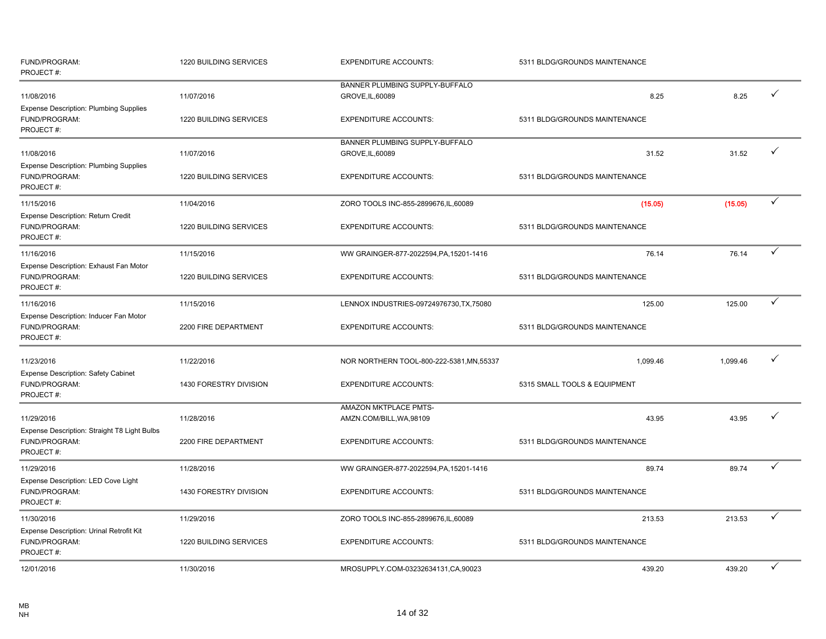| FUND/PROGRAM:<br>PROJECT#:                                                  | 1220 BUILDING SERVICES | <b>EXPENDITURE ACCOUNTS:</b>                       | 5311 BLDG/GROUNDS MAINTENANCE |          |              |
|-----------------------------------------------------------------------------|------------------------|----------------------------------------------------|-------------------------------|----------|--------------|
| 11/08/2016                                                                  | 11/07/2016             | BANNER PLUMBING SUPPLY-BUFFALO<br>GROVE, IL, 60089 | 8.25                          | 8.25     | ✓            |
| <b>Expense Description: Plumbing Supplies</b><br>FUND/PROGRAM:<br>PROJECT#: | 1220 BUILDING SERVICES | <b>EXPENDITURE ACCOUNTS:</b>                       | 5311 BLDG/GROUNDS MAINTENANCE |          |              |
| 11/08/2016                                                                  | 11/07/2016             | BANNER PLUMBING SUPPLY-BUFFALO<br>GROVE, IL, 60089 | 31.52                         | 31.52    | $\checkmark$ |
| <b>Expense Description: Plumbing Supplies</b><br>FUND/PROGRAM:<br>PROJECT#: | 1220 BUILDING SERVICES | <b>EXPENDITURE ACCOUNTS:</b>                       | 5311 BLDG/GROUNDS MAINTENANCE |          |              |
| 11/15/2016                                                                  | 11/04/2016             | ZORO TOOLS INC-855-2899676, IL, 60089              | (15.05)                       | (15.05)  | ✓            |
| <b>Expense Description: Return Credit</b><br>FUND/PROGRAM:<br>PROJECT#:     | 1220 BUILDING SERVICES | <b>EXPENDITURE ACCOUNTS:</b>                       | 5311 BLDG/GROUNDS MAINTENANCE |          |              |
| 11/16/2016                                                                  | 11/15/2016             | WW GRAINGER-877-2022594, PA, 15201-1416            | 76.14                         | 76.14    | ✓            |
| Expense Description: Exhaust Fan Motor<br>FUND/PROGRAM:<br>PROJECT#:        | 1220 BUILDING SERVICES | <b>EXPENDITURE ACCOUNTS:</b>                       | 5311 BLDG/GROUNDS MAINTENANCE |          |              |
| 11/16/2016                                                                  | 11/15/2016             | LENNOX INDUSTRIES-09724976730, TX, 75080           | 125.00                        | 125.00   | $\checkmark$ |
| Expense Description: Inducer Fan Motor<br>FUND/PROGRAM:<br>PROJECT#:        | 2200 FIRE DEPARTMENT   | <b>EXPENDITURE ACCOUNTS:</b>                       | 5311 BLDG/GROUNDS MAINTENANCE |          |              |
| 11/23/2016                                                                  | 11/22/2016             | NOR NORTHERN TOOL-800-222-5381, MN, 55337          | 1,099.46                      | 1,099.46 | ✓            |
| <b>Expense Description: Safety Cabinet</b><br>FUND/PROGRAM:<br>PROJECT#:    | 1430 FORESTRY DIVISION | <b>EXPENDITURE ACCOUNTS:</b>                       | 5315 SMALL TOOLS & EQUIPMENT  |          |              |
| 11/29/2016                                                                  | 11/28/2016             | AMAZON MKTPLACE PMTS-<br>AMZN.COM/BILL, WA, 98109  | 43.95                         | 43.95    | ✓            |
| Expense Description: Straight T8 Light Bulbs<br>FUND/PROGRAM:<br>PROJECT#:  | 2200 FIRE DEPARTMENT   | <b>EXPENDITURE ACCOUNTS:</b>                       | 5311 BLDG/GROUNDS MAINTENANCE |          |              |
| 11/29/2016                                                                  | 11/28/2016             | WW GRAINGER-877-2022594, PA, 15201-1416            | 89.74                         | 89.74    |              |
| Expense Description: LED Cove Light<br>FUND/PROGRAM:<br>PROJECT#:           | 1430 FORESTRY DIVISION | <b>EXPENDITURE ACCOUNTS:</b>                       | 5311 BLDG/GROUNDS MAINTENANCE |          |              |
| 11/30/2016                                                                  | 11/29/2016             | ZORO TOOLS INC-855-2899676, IL, 60089              | 213.53                        | 213.53   | ✓            |
| Expense Description: Urinal Retrofit Kit<br>FUND/PROGRAM:<br>PROJECT#:      | 1220 BUILDING SERVICES | <b>EXPENDITURE ACCOUNTS:</b>                       | 5311 BLDG/GROUNDS MAINTENANCE |          |              |
| 12/01/2016                                                                  | 11/30/2016             | MROSUPPLY.COM-03232634131,CA,90023                 | 439.20                        | 439.20   | ✓            |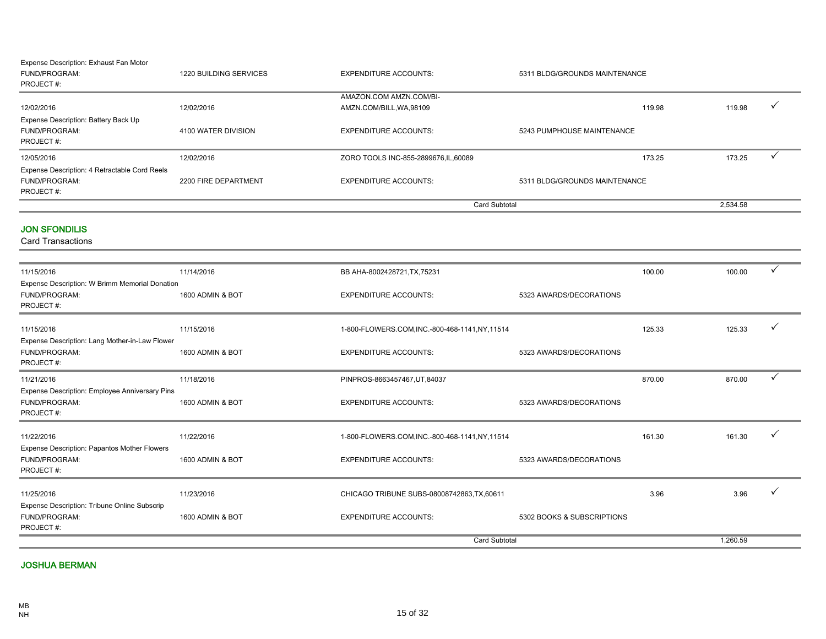| Expense Description: Exhaust Fan Motor        |                        |                                       |                               |          |  |
|-----------------------------------------------|------------------------|---------------------------------------|-------------------------------|----------|--|
| FUND/PROGRAM:                                 | 1220 BUILDING SERVICES | <b>EXPENDITURE ACCOUNTS:</b>          | 5311 BLDG/GROUNDS MAINTENANCE |          |  |
| PROJECT#:                                     |                        |                                       |                               |          |  |
|                                               |                        | AMAZON.COM AMZN.COM/BI-               |                               |          |  |
| 12/02/2016                                    | 12/02/2016             | AMZN.COM/BILL, WA, 98109              | 119.98                        | 119.98   |  |
| Expense Description: Battery Back Up          |                        |                                       |                               |          |  |
| FUND/PROGRAM:                                 | 4100 WATER DIVISION    | <b>EXPENDITURE ACCOUNTS:</b>          | 5243 PUMPHOUSE MAINTENANCE    |          |  |
| PROJECT#:                                     |                        |                                       |                               |          |  |
| 12/05/2016                                    | 12/02/2016             | ZORO TOOLS INC-855-2899676, IL, 60089 | 173.25                        | 173.25   |  |
| Expense Description: 4 Retractable Cord Reels |                        |                                       |                               |          |  |
| FUND/PROGRAM:                                 | 2200 FIRE DEPARTMENT   | <b>EXPENDITURE ACCOUNTS:</b>          | 5311 BLDG/GROUNDS MAINTENANCE |          |  |
| PROJECT#:                                     |                        |                                       |                               |          |  |
|                                               |                        |                                       | Card Subtotal                 | 2,534.58 |  |

#### JON SFONDILIS

Card Transactions

| 11/15/2016                                                                   | 11/14/2016       | BB AHA-8002428721, TX, 75231                    |                            | 100.00 | 100.00   | $\checkmark$ |
|------------------------------------------------------------------------------|------------------|-------------------------------------------------|----------------------------|--------|----------|--------------|
| Expense Description: W Brimm Memorial Donation                               |                  |                                                 |                            |        |          |              |
| FUND/PROGRAM:<br>PROJECT#:                                                   | 1600 ADMIN & BOT | <b>EXPENDITURE ACCOUNTS:</b>                    | 5323 AWARDS/DECORATIONS    |        |          |              |
| 11/15/2016                                                                   | 11/15/2016       | 1-800-FLOWERS.COM, INC.-800-468-1141, NY, 11514 |                            | 125.33 | 125.33   |              |
| Expense Description: Lang Mother-in-Law Flower<br>FUND/PROGRAM:<br>PROJECT#: | 1600 ADMIN & BOT | <b>EXPENDITURE ACCOUNTS:</b>                    | 5323 AWARDS/DECORATIONS    |        |          |              |
| 11/21/2016                                                                   | 11/18/2016       | PINPROS-8663457467, UT, 84037                   |                            | 870.00 | 870.00   | $\checkmark$ |
| Expense Description: Employee Anniversary Pins<br>FUND/PROGRAM:<br>PROJECT#: | 1600 ADMIN & BOT | <b>EXPENDITURE ACCOUNTS:</b>                    | 5323 AWARDS/DECORATIONS    |        |          |              |
| 11/22/2016                                                                   | 11/22/2016       | 1-800-FLOWERS.COM, INC.-800-468-1141, NY, 11514 |                            | 161.30 | 161.30   |              |
| Expense Description: Papantos Mother Flowers<br>FUND/PROGRAM:<br>PROJECT#:   | 1600 ADMIN & BOT | <b>EXPENDITURE ACCOUNTS:</b>                    | 5323 AWARDS/DECORATIONS    |        |          |              |
| 11/25/2016                                                                   | 11/23/2016       | CHICAGO TRIBUNE SUBS-08008742863, TX, 60611     |                            | 3.96   | 3.96     |              |
| Expense Description: Tribune Online Subscrip<br>FUND/PROGRAM:<br>PROJECT#:   | 1600 ADMIN & BOT | <b>EXPENDITURE ACCOUNTS:</b>                    | 5302 BOOKS & SUBSCRIPTIONS |        |          |              |
|                                                                              |                  | <b>Card Subtotal</b>                            |                            |        | 1,260.59 |              |

#### JOSHUA BERMAN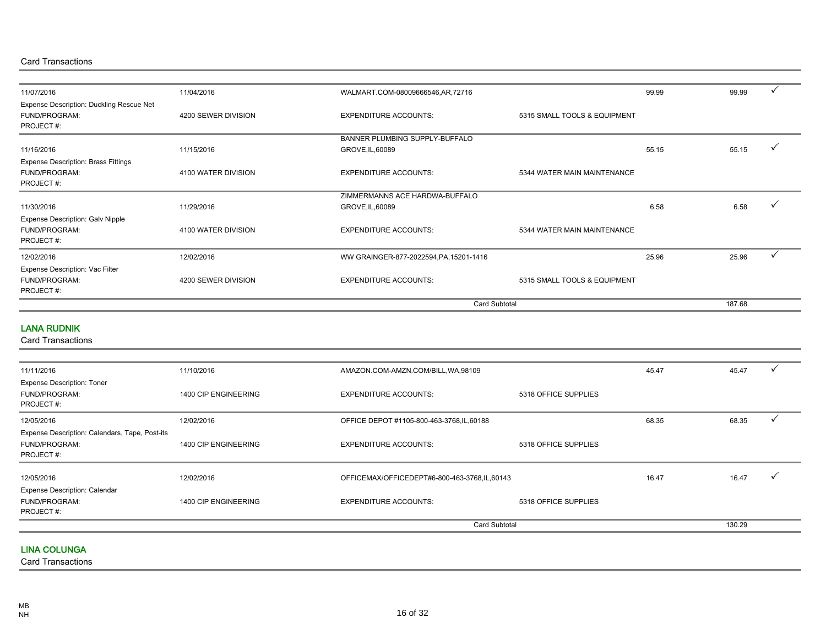Card Transactions

| 11/07/2016                                                               | 11/04/2016          | WALMART.COM-08009666546,AR,72716        |                              | 99.99 | 99.99  |  |
|--------------------------------------------------------------------------|---------------------|-----------------------------------------|------------------------------|-------|--------|--|
| Expense Description: Duckling Rescue Net<br>FUND/PROGRAM:<br>PROJECT#:   | 4200 SEWER DIVISION | <b>EXPENDITURE ACCOUNTS:</b>            | 5315 SMALL TOOLS & EQUIPMENT |       |        |  |
|                                                                          |                     | BANNER PLUMBING SUPPLY-BUFFALO          |                              |       |        |  |
| 11/16/2016                                                               | 11/15/2016          | GROVE, IL, 60089                        |                              | 55.15 | 55.15  |  |
| <b>Expense Description: Brass Fittings</b><br>FUND/PROGRAM:<br>PROJECT#: | 4100 WATER DIVISION | <b>EXPENDITURE ACCOUNTS:</b>            | 5344 WATER MAIN MAINTENANCE  |       |        |  |
|                                                                          |                     | ZIMMERMANNS ACE HARDWA-BUFFALO          |                              |       |        |  |
| 11/30/2016                                                               | 11/29/2016          | GROVE, IL, 60089                        |                              | 6.58  | 6.58   |  |
| <b>Expense Description: Galv Nipple</b><br>FUND/PROGRAM:<br>PROJECT#:    | 4100 WATER DIVISION | <b>EXPENDITURE ACCOUNTS:</b>            | 5344 WATER MAIN MAINTENANCE  |       |        |  |
| 12/02/2016                                                               | 12/02/2016          | WW GRAINGER-877-2022594, PA, 15201-1416 |                              | 25.96 | 25.96  |  |
| Expense Description: Vac Filter<br>FUND/PROGRAM:<br>PROJECT#:            | 4200 SEWER DIVISION | <b>EXPENDITURE ACCOUNTS:</b>            | 5315 SMALL TOOLS & EQUIPMENT |       |        |  |
|                                                                          |                     | <b>Card Subtotal</b>                    |                              |       | 187.68 |  |

#### LANA RUDNIK

Card Transactions

| 11/11/2016                                                                   | 11/10/2016           | AMAZON.COM-AMZN.COM/BILL, WA, 98109          |                      | 45.47 | 45.47  |  |
|------------------------------------------------------------------------------|----------------------|----------------------------------------------|----------------------|-------|--------|--|
| <b>Expense Description: Toner</b><br>FUND/PROGRAM:<br>PROJECT#:              | 1400 CIP ENGINEERING | <b>EXPENDITURE ACCOUNTS:</b>                 | 5318 OFFICE SUPPLIES |       |        |  |
| 12/05/2016                                                                   | 12/02/2016           | OFFICE DEPOT #1105-800-463-3768, IL, 60188   |                      | 68.35 | 68.35  |  |
| Expense Description: Calendars, Tape, Post-its<br>FUND/PROGRAM:<br>PROJECT#: | 1400 CIP ENGINEERING | <b>EXPENDITURE ACCOUNTS:</b>                 | 5318 OFFICE SUPPLIES |       |        |  |
| 12/05/2016                                                                   | 12/02/2016           | OFFICEMAX/OFFICEDEPT#6-800-463-3768,IL,60143 |                      | 16.47 | 16.47  |  |
| <b>Expense Description: Calendar</b><br>FUND/PROGRAM:<br>PROJECT#:           | 1400 CIP ENGINEERING | <b>EXPENDITURE ACCOUNTS:</b>                 | 5318 OFFICE SUPPLIES |       |        |  |
|                                                                              |                      |                                              | <b>Card Subtotal</b> |       | 130.29 |  |

#### LINA COLUNGA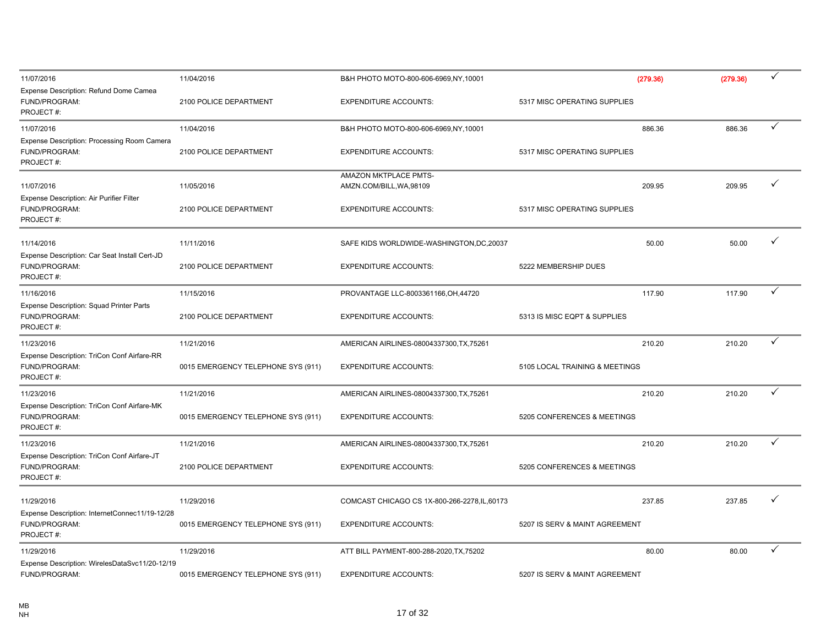| 11/07/2016                                                                   | 11/04/2016                         | B&H PHOTO MOTO-800-606-6969.NY.10001          | (279.36)                       | (279.36) | ✓ |
|------------------------------------------------------------------------------|------------------------------------|-----------------------------------------------|--------------------------------|----------|---|
| Expense Description: Refund Dome Camea<br>FUND/PROGRAM:<br>PROJECT#:         | 2100 POLICE DEPARTMENT             | <b>EXPENDITURE ACCOUNTS:</b>                  | 5317 MISC OPERATING SUPPLIES   |          |   |
| 11/07/2016                                                                   | 11/04/2016                         | B&H PHOTO MOTO-800-606-6969,NY,10001          | 886.36                         | 886.36   | ✓ |
| Expense Description: Processing Room Camera<br>FUND/PROGRAM:<br>PROJECT#:    | 2100 POLICE DEPARTMENT             | <b>EXPENDITURE ACCOUNTS:</b>                  | 5317 MISC OPERATING SUPPLIES   |          |   |
|                                                                              |                                    | AMAZON MKTPLACE PMTS-                         |                                |          |   |
| 11/07/2016                                                                   | 11/05/2016                         | AMZN.COM/BILL, WA, 98109                      | 209.95                         | 209.95   | ✓ |
| Expense Description: Air Purifier Filter<br>FUND/PROGRAM:<br>PROJECT#:       | 2100 POLICE DEPARTMENT             | <b>EXPENDITURE ACCOUNTS:</b>                  | 5317 MISC OPERATING SUPPLIES   |          |   |
| 11/14/2016                                                                   | 11/11/2016                         | SAFE KIDS WORLDWIDE-WASHINGTON, DC, 20037     | 50.00                          | 50.00    | ✓ |
| Expense Description: Car Seat Install Cert-JD<br>FUND/PROGRAM:<br>PROJECT#:  | 2100 POLICE DEPARTMENT             | <b>EXPENDITURE ACCOUNTS:</b>                  | 5222 MEMBERSHIP DUES           |          |   |
| 11/16/2016                                                                   | 11/15/2016                         | PROVANTAGE LLC-8003361166, OH, 44720          | 117.90                         | 117.90   | ✓ |
| Expense Description: Squad Printer Parts<br>FUND/PROGRAM:<br>PROJECT#:       | 2100 POLICE DEPARTMENT             | <b>EXPENDITURE ACCOUNTS:</b>                  | 5313 IS MISC EQPT & SUPPLIES   |          |   |
| 11/23/2016                                                                   | 11/21/2016                         | AMERICAN AIRLINES-08004337300, TX, 75261      | 210.20                         | 210.20   | ✓ |
| Expense Description: TriCon Conf Airfare-RR<br>FUND/PROGRAM:<br>PROJECT#:    | 0015 EMERGENCY TELEPHONE SYS (911) | <b>EXPENDITURE ACCOUNTS:</b>                  | 5105 LOCAL TRAINING & MEETINGS |          |   |
| 11/23/2016                                                                   | 11/21/2016                         | AMERICAN AIRLINES-08004337300, TX, 75261      | 210.20                         | 210.20   | ✓ |
| Expense Description: TriCon Conf Airfare-MK<br>FUND/PROGRAM:<br>PROJECT#:    | 0015 EMERGENCY TELEPHONE SYS (911) | <b>EXPENDITURE ACCOUNTS:</b>                  | 5205 CONFERENCES & MEETINGS    |          |   |
| 11/23/2016                                                                   | 11/21/2016                         | AMERICAN AIRLINES-08004337300, TX, 75261      | 210.20                         | 210.20   | ✓ |
| Expense Description: TriCon Conf Airfare-JT<br>FUND/PROGRAM:<br>PROJECT#:    | 2100 POLICE DEPARTMENT             | <b>EXPENDITURE ACCOUNTS:</b>                  | 5205 CONFERENCES & MEETINGS    |          |   |
| 11/29/2016                                                                   | 11/29/2016                         | COMCAST CHICAGO CS 1X-800-266-2278, IL, 60173 | 237.85                         | 237.85   |   |
| Expense Description: InternetConnec11/19-12/28<br>FUND/PROGRAM:<br>PROJECT#: | 0015 EMERGENCY TELEPHONE SYS (911) | <b>EXPENDITURE ACCOUNTS:</b>                  | 5207 IS SERV & MAINT AGREEMENT |          |   |
| 11/29/2016                                                                   | 11/29/2016                         | ATT BILL PAYMENT-800-288-2020, TX, 75202      | 80.00                          | 80.00    | ✓ |
| Expense Description: WirelesDataSvc11/20-12/19<br>FUND/PROGRAM:              | 0015 EMERGENCY TELEPHONE SYS (911) | <b>EXPENDITURE ACCOUNTS:</b>                  | 5207 IS SERV & MAINT AGREEMENT |          |   |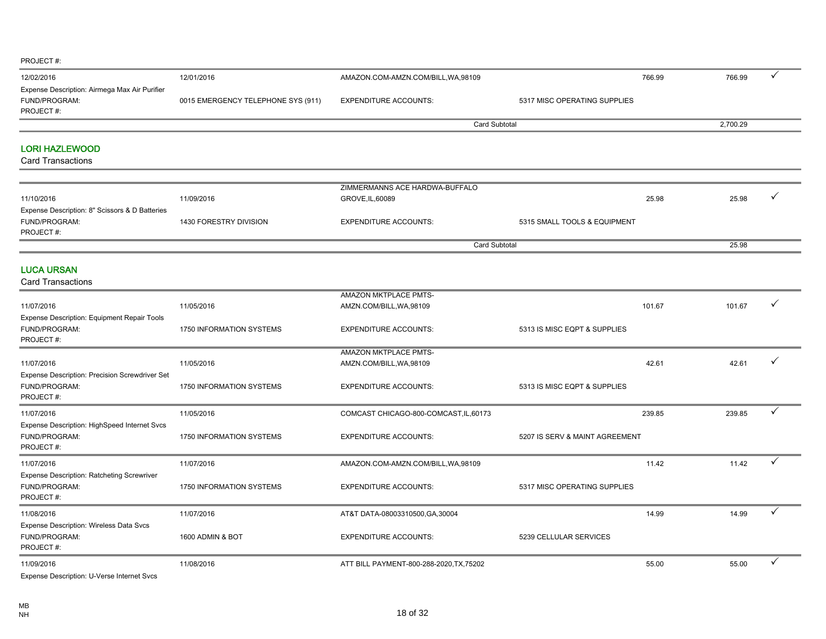| 12/02/2016                                    | 12/01/2016                         | AMAZON.COM-AMZN.COM/BILL, WA, 98109 |                              | 766.99 | 766.99   |  |
|-----------------------------------------------|------------------------------------|-------------------------------------|------------------------------|--------|----------|--|
| Expense Description: Airmega Max Air Purifier |                                    |                                     |                              |        |          |  |
| <b>FUND/PROGRAM:</b>                          | 0015 EMERGENCY TELEPHONE SYS (911) | <b>EXPENDITURE ACCOUNTS:</b>        | 5317 MISC OPERATING SUPPLIES |        |          |  |
| PROJECT#:                                     |                                    |                                     |                              |        |          |  |
|                                               |                                    | <b>Card Subtotal</b>                |                              |        | 2,700.29 |  |
|                                               |                                    |                                     |                              |        |          |  |
| <b>LORI HAZLEWOOD</b>                         |                                    |                                     |                              |        |          |  |
| <b>Card Transactions</b>                      |                                    |                                     |                              |        |          |  |
|                                               |                                    |                                     |                              |        |          |  |
|                                               |                                    |                                     |                              |        |          |  |
|                                               |                                    | ZIMMERMANNS ACE HARDWA-BUFFALO      |                              |        |          |  |
| 11/10/2016                                    | 11/09/2016                         | GROVE, IL, 60089                    |                              | 25.98  | 25.98    |  |

|                                                |                        | <b>Card Subtotal</b>         |                              | 25.98 |       |  |
|------------------------------------------------|------------------------|------------------------------|------------------------------|-------|-------|--|
| FUND/PROGRAM:<br>PROJECT#:                     | 1430 FORESTRY DIVISION | <b>EXPENDITURE ACCOUNTS:</b> | 5315 SMALL TOOLS & EQUIPMENT |       |       |  |
| Expense Description: 8" Scissors & D Batteries |                        |                              |                              |       |       |  |
| 11/10/2016                                     | 11/09/2016             | GROVE, IL, 60089             |                              | 25.98 | 25.98 |  |

LUCA URSAN

| AMAZON MKTPLACE PMTS-<br>11/05/2016<br>101.67<br>101.67<br>11/07/2016<br>AMZN.COM/BILL, WA, 98109<br>Expense Description: Equipment Repair Tools<br>FUND/PROGRAM:<br>1750 INFORMATION SYSTEMS<br>5313 IS MISC EQPT & SUPPLIES<br><b>EXPENDITURE ACCOUNTS:</b><br>PROJECT#:<br>AMAZON MKTPLACE PMTS-<br>11/05/2016<br>42.61<br>42.61<br>11/07/2016<br>AMZN.COM/BILL, WA, 98109<br>Expense Description: Precision Screwdriver Set<br>FUND/PROGRAM:<br>1750 INFORMATION SYSTEMS<br><b>EXPENDITURE ACCOUNTS:</b><br>5313 IS MISC EQPT & SUPPLIES<br>PROJECT#:<br>✓<br>11/07/2016<br>11/05/2016<br>COMCAST CHICAGO-800-COMCAST, IL, 60173<br>239.85<br>239.85<br>Expense Description: HighSpeed Internet Svcs<br>FUND/PROGRAM:<br>1750 INFORMATION SYSTEMS<br><b>EXPENDITURE ACCOUNTS:</b><br>5207 IS SERV & MAINT AGREEMENT<br>PROJECT#:<br>11.42<br>11.42<br>11/07/2016<br>11/07/2016<br>AMAZON.COM-AMZN.COM/BILL, WA, 98109<br>Expense Description: Ratcheting Screwriver |               |                          |                              |                              |  |  |
|-------------------------------------------------------------------------------------------------------------------------------------------------------------------------------------------------------------------------------------------------------------------------------------------------------------------------------------------------------------------------------------------------------------------------------------------------------------------------------------------------------------------------------------------------------------------------------------------------------------------------------------------------------------------------------------------------------------------------------------------------------------------------------------------------------------------------------------------------------------------------------------------------------------------------------------------------------------------------|---------------|--------------------------|------------------------------|------------------------------|--|--|
|                                                                                                                                                                                                                                                                                                                                                                                                                                                                                                                                                                                                                                                                                                                                                                                                                                                                                                                                                                         |               |                          |                              |                              |  |  |
|                                                                                                                                                                                                                                                                                                                                                                                                                                                                                                                                                                                                                                                                                                                                                                                                                                                                                                                                                                         |               |                          |                              |                              |  |  |
|                                                                                                                                                                                                                                                                                                                                                                                                                                                                                                                                                                                                                                                                                                                                                                                                                                                                                                                                                                         |               |                          |                              |                              |  |  |
|                                                                                                                                                                                                                                                                                                                                                                                                                                                                                                                                                                                                                                                                                                                                                                                                                                                                                                                                                                         |               |                          |                              |                              |  |  |
|                                                                                                                                                                                                                                                                                                                                                                                                                                                                                                                                                                                                                                                                                                                                                                                                                                                                                                                                                                         |               |                          |                              |                              |  |  |
|                                                                                                                                                                                                                                                                                                                                                                                                                                                                                                                                                                                                                                                                                                                                                                                                                                                                                                                                                                         |               |                          |                              |                              |  |  |
|                                                                                                                                                                                                                                                                                                                                                                                                                                                                                                                                                                                                                                                                                                                                                                                                                                                                                                                                                                         |               |                          |                              |                              |  |  |
|                                                                                                                                                                                                                                                                                                                                                                                                                                                                                                                                                                                                                                                                                                                                                                                                                                                                                                                                                                         |               |                          |                              |                              |  |  |
|                                                                                                                                                                                                                                                                                                                                                                                                                                                                                                                                                                                                                                                                                                                                                                                                                                                                                                                                                                         |               |                          |                              |                              |  |  |
|                                                                                                                                                                                                                                                                                                                                                                                                                                                                                                                                                                                                                                                                                                                                                                                                                                                                                                                                                                         |               |                          |                              |                              |  |  |
|                                                                                                                                                                                                                                                                                                                                                                                                                                                                                                                                                                                                                                                                                                                                                                                                                                                                                                                                                                         |               |                          |                              |                              |  |  |
|                                                                                                                                                                                                                                                                                                                                                                                                                                                                                                                                                                                                                                                                                                                                                                                                                                                                                                                                                                         |               |                          |                              |                              |  |  |
|                                                                                                                                                                                                                                                                                                                                                                                                                                                                                                                                                                                                                                                                                                                                                                                                                                                                                                                                                                         |               |                          |                              |                              |  |  |
|                                                                                                                                                                                                                                                                                                                                                                                                                                                                                                                                                                                                                                                                                                                                                                                                                                                                                                                                                                         |               |                          |                              |                              |  |  |
|                                                                                                                                                                                                                                                                                                                                                                                                                                                                                                                                                                                                                                                                                                                                                                                                                                                                                                                                                                         |               |                          |                              |                              |  |  |
|                                                                                                                                                                                                                                                                                                                                                                                                                                                                                                                                                                                                                                                                                                                                                                                                                                                                                                                                                                         |               |                          |                              |                              |  |  |
|                                                                                                                                                                                                                                                                                                                                                                                                                                                                                                                                                                                                                                                                                                                                                                                                                                                                                                                                                                         | FUND/PROGRAM: | 1750 INFORMATION SYSTEMS | <b>EXPENDITURE ACCOUNTS:</b> | 5317 MISC OPERATING SUPPLIES |  |  |
| PROJECT#:                                                                                                                                                                                                                                                                                                                                                                                                                                                                                                                                                                                                                                                                                                                                                                                                                                                                                                                                                               |               |                          |                              |                              |  |  |
| 11/08/2016<br>11/07/2016<br>14.99<br>14.99<br>AT&T DATA-08003310500, GA, 30004                                                                                                                                                                                                                                                                                                                                                                                                                                                                                                                                                                                                                                                                                                                                                                                                                                                                                          |               |                          |                              |                              |  |  |
| <b>Expense Description: Wireless Data Svcs</b>                                                                                                                                                                                                                                                                                                                                                                                                                                                                                                                                                                                                                                                                                                                                                                                                                                                                                                                          |               |                          |                              |                              |  |  |
| FUND/PROGRAM:<br>1600 ADMIN & BOT<br><b>EXPENDITURE ACCOUNTS:</b><br>5239 CELLULAR SERVICES                                                                                                                                                                                                                                                                                                                                                                                                                                                                                                                                                                                                                                                                                                                                                                                                                                                                             |               |                          |                              |                              |  |  |
| PROJECT#:                                                                                                                                                                                                                                                                                                                                                                                                                                                                                                                                                                                                                                                                                                                                                                                                                                                                                                                                                               |               |                          |                              |                              |  |  |
| ✓<br>ATT BILL PAYMENT-800-288-2020, TX, 75202<br>55.00<br>55.00<br>11/09/2016<br>11/08/2016                                                                                                                                                                                                                                                                                                                                                                                                                                                                                                                                                                                                                                                                                                                                                                                                                                                                             |               |                          |                              |                              |  |  |
| Expense Description: U-Verse Internet Svcs                                                                                                                                                                                                                                                                                                                                                                                                                                                                                                                                                                                                                                                                                                                                                                                                                                                                                                                              |               |                          |                              |                              |  |  |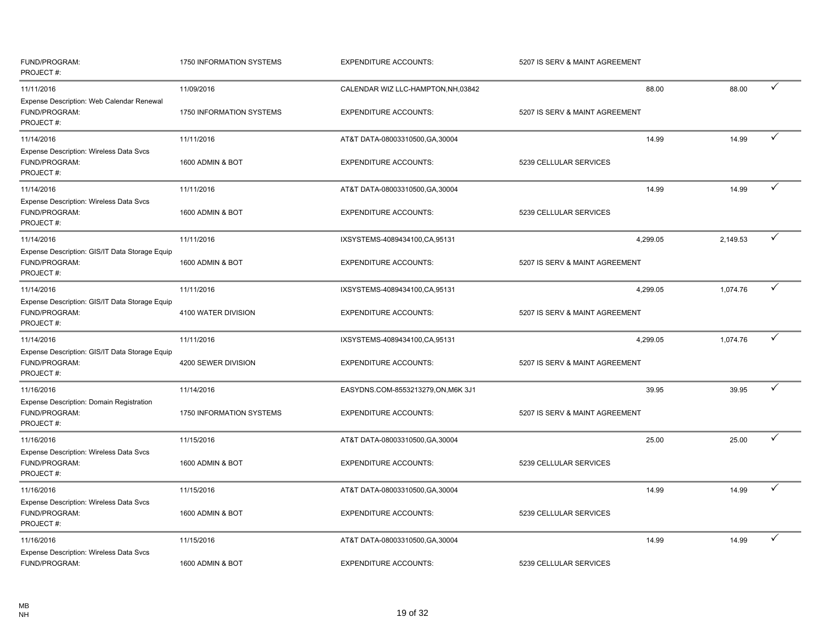| FUND/PROGRAM:<br>PROJECT#:                                                   | 1750 INFORMATION SYSTEMS | <b>EXPENDITURE ACCOUNTS:</b>        | 5207 IS SERV & MAINT AGREEMENT |          |              |
|------------------------------------------------------------------------------|--------------------------|-------------------------------------|--------------------------------|----------|--------------|
| 11/11/2016                                                                   | 11/09/2016               | CALENDAR WIZ LLC-HAMPTON, NH, 03842 | 88.00                          | 88.00    | $\checkmark$ |
| Expense Description: Web Calendar Renewal<br>FUND/PROGRAM:<br>PROJECT#:      | 1750 INFORMATION SYSTEMS | <b>EXPENDITURE ACCOUNTS:</b>        | 5207 IS SERV & MAINT AGREEMENT |          |              |
| 11/14/2016                                                                   | 11/11/2016               | AT&T DATA-08003310500, GA, 30004    | 14.99                          | 14.99    | ✓            |
| <b>Expense Description: Wireless Data Svcs</b><br>FUND/PROGRAM:<br>PROJECT#: | 1600 ADMIN & BOT         | <b>EXPENDITURE ACCOUNTS:</b>        | 5239 CELLULAR SERVICES         |          |              |
| 11/14/2016                                                                   | 11/11/2016               | AT&T DATA-08003310500, GA, 30004    | 14.99                          | 14.99    | ✓            |
| Expense Description: Wireless Data Svcs<br>FUND/PROGRAM:<br>PROJECT#:        | 1600 ADMIN & BOT         | <b>EXPENDITURE ACCOUNTS:</b>        | 5239 CELLULAR SERVICES         |          |              |
| 11/14/2016                                                                   | 11/11/2016               | IXSYSTEMS-4089434100,CA,95131       | 4,299.05                       | 2,149.53 | ✓            |
| Expense Description: GIS/IT Data Storage Equip<br>FUND/PROGRAM:<br>PROJECT#: | 1600 ADMIN & BOT         | <b>EXPENDITURE ACCOUNTS:</b>        | 5207 IS SERV & MAINT AGREEMENT |          |              |
| 11/14/2016                                                                   | 11/11/2016               | IXSYSTEMS-4089434100,CA,95131       | 4,299.05                       | 1,074.76 | ✓            |
| Expense Description: GIS/IT Data Storage Equip<br>FUND/PROGRAM:<br>PROJECT#: | 4100 WATER DIVISION      | <b>EXPENDITURE ACCOUNTS:</b>        | 5207 IS SERV & MAINT AGREEMENT |          |              |
| 11/14/2016                                                                   | 11/11/2016               | IXSYSTEMS-4089434100,CA,95131       | 4,299.05                       | 1,074.76 | ✓            |
| Expense Description: GIS/IT Data Storage Equip<br>FUND/PROGRAM:<br>PROJECT#: | 4200 SEWER DIVISION      | <b>EXPENDITURE ACCOUNTS:</b>        | 5207 IS SERV & MAINT AGREEMENT |          |              |
| 11/16/2016                                                                   | 11/14/2016               | EASYDNS.COM-8553213279,ON, M6K 3J1  | 39.95                          | 39.95    | ✓            |
| Expense Description: Domain Registration<br>FUND/PROGRAM:<br>PROJECT#:       | 1750 INFORMATION SYSTEMS | <b>EXPENDITURE ACCOUNTS:</b>        | 5207 IS SERV & MAINT AGREEMENT |          |              |
| 11/16/2016                                                                   | 11/15/2016               | AT&T DATA-08003310500, GA, 30004    | 25.00                          | 25.00    | ✓            |
| Expense Description: Wireless Data Svcs<br>FUND/PROGRAM:<br>PROJECT#:        | 1600 ADMIN & BOT         | <b>EXPENDITURE ACCOUNTS:</b>        | 5239 CELLULAR SERVICES         |          |              |
| 11/16/2016                                                                   | 11/15/2016               | AT&T DATA-08003310500, GA, 30004    | 14.99                          | 14.99    | ✓            |
| Expense Description: Wireless Data Svcs<br>FUND/PROGRAM:<br>PROJECT#:        | 1600 ADMIN & BOT         | <b>EXPENDITURE ACCOUNTS:</b>        | 5239 CELLULAR SERVICES         |          |              |
| 11/16/2016<br>Expense Description: Wireless Data Svcs                        | 11/15/2016               | AT&T DATA-08003310500, GA, 30004    | 14.99                          | 14.99    | ✓            |
| FUND/PROGRAM:                                                                | 1600 ADMIN & BOT         | <b>EXPENDITURE ACCOUNTS:</b>        | 5239 CELLULAR SERVICES         |          |              |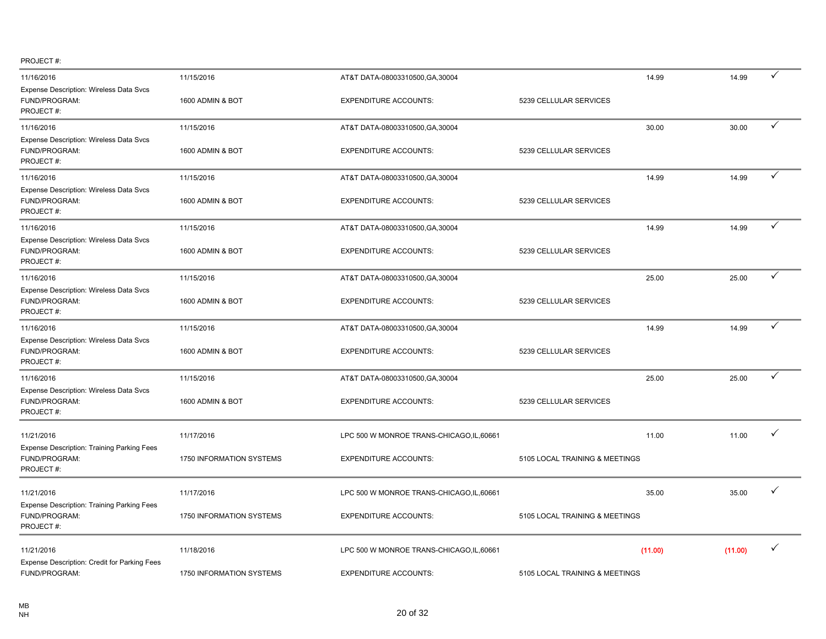| 11/16/2016                                                                      | 11/15/2016               | AT&T DATA-08003310500, GA, 30004          |                                | 14.99   | 14.99   | $\checkmark$ |
|---------------------------------------------------------------------------------|--------------------------|-------------------------------------------|--------------------------------|---------|---------|--------------|
| Expense Description: Wireless Data Svcs<br>FUND/PROGRAM:<br>PROJECT#:           | 1600 ADMIN & BOT         | <b>EXPENDITURE ACCOUNTS:</b>              | 5239 CELLULAR SERVICES         |         |         |              |
| 11/16/2016                                                                      | 11/15/2016               | AT&T DATA-08003310500, GA, 30004          |                                | 30.00   | 30.00   | ✓            |
| Expense Description: Wireless Data Svcs<br>FUND/PROGRAM:<br>PROJECT#:           | 1600 ADMIN & BOT         | <b>EXPENDITURE ACCOUNTS:</b>              | 5239 CELLULAR SERVICES         |         |         |              |
| 11/16/2016                                                                      | 11/15/2016               | AT&T DATA-08003310500, GA, 30004          |                                | 14.99   | 14.99   | $\checkmark$ |
| Expense Description: Wireless Data Svcs<br>FUND/PROGRAM:<br>PROJECT#:           | 1600 ADMIN & BOT         | <b>EXPENDITURE ACCOUNTS:</b>              | 5239 CELLULAR SERVICES         |         |         |              |
| 11/16/2016                                                                      | 11/15/2016               | AT&T DATA-08003310500, GA, 30004          |                                | 14.99   | 14.99   | ✓            |
| Expense Description: Wireless Data Svcs<br>FUND/PROGRAM:<br>PROJECT#:           | 1600 ADMIN & BOT         | <b>EXPENDITURE ACCOUNTS:</b>              | 5239 CELLULAR SERVICES         |         |         |              |
| 11/16/2016                                                                      | 11/15/2016               | AT&T DATA-08003310500, GA, 30004          |                                | 25.00   | 25.00   | ✓            |
| Expense Description: Wireless Data Svcs<br>FUND/PROGRAM:<br>PROJECT#:           | 1600 ADMIN & BOT         | <b>EXPENDITURE ACCOUNTS:</b>              | 5239 CELLULAR SERVICES         |         |         |              |
| 11/16/2016                                                                      | 11/15/2016               | AT&T DATA-08003310500, GA, 30004          |                                | 14.99   | 14.99   | ✓            |
| Expense Description: Wireless Data Svcs<br>FUND/PROGRAM:<br>PROJECT#:           | 1600 ADMIN & BOT         | <b>EXPENDITURE ACCOUNTS:</b>              | 5239 CELLULAR SERVICES         |         |         |              |
| 11/16/2016                                                                      | 11/15/2016               | AT&T DATA-08003310500, GA, 30004          |                                | 25.00   | 25.00   | $\checkmark$ |
| Expense Description: Wireless Data Svcs<br>FUND/PROGRAM:<br>PROJECT#:           | 1600 ADMIN & BOT         | <b>EXPENDITURE ACCOUNTS:</b>              | 5239 CELLULAR SERVICES         |         |         |              |
| 11/21/2016                                                                      | 11/17/2016               | LPC 500 W MONROE TRANS-CHICAGO, IL, 60661 |                                | 11.00   | 11.00   | ✓            |
| <b>Expense Description: Training Parking Fees</b><br>FUND/PROGRAM:<br>PROJECT#: | 1750 INFORMATION SYSTEMS | <b>EXPENDITURE ACCOUNTS:</b>              | 5105 LOCAL TRAINING & MEETINGS |         |         |              |
| 11/21/2016                                                                      | 11/17/2016               | LPC 500 W MONROE TRANS-CHICAGO, IL, 60661 |                                | 35.00   | 35.00   | ✓            |
| <b>Expense Description: Training Parking Fees</b><br>FUND/PROGRAM:<br>PROJECT#: | 1750 INFORMATION SYSTEMS | <b>EXPENDITURE ACCOUNTS:</b>              | 5105 LOCAL TRAINING & MEETINGS |         |         |              |
| 11/21/2016                                                                      | 11/18/2016               | LPC 500 W MONROE TRANS-CHICAGO, IL, 60661 |                                | (11.00) | (11.00) | ✓            |
| Expense Description: Credit for Parking Fees<br>FUND/PROGRAM:                   | 1750 INFORMATION SYSTEMS | <b>EXPENDITURE ACCOUNTS:</b>              | 5105 LOCAL TRAINING & MEETINGS |         |         |              |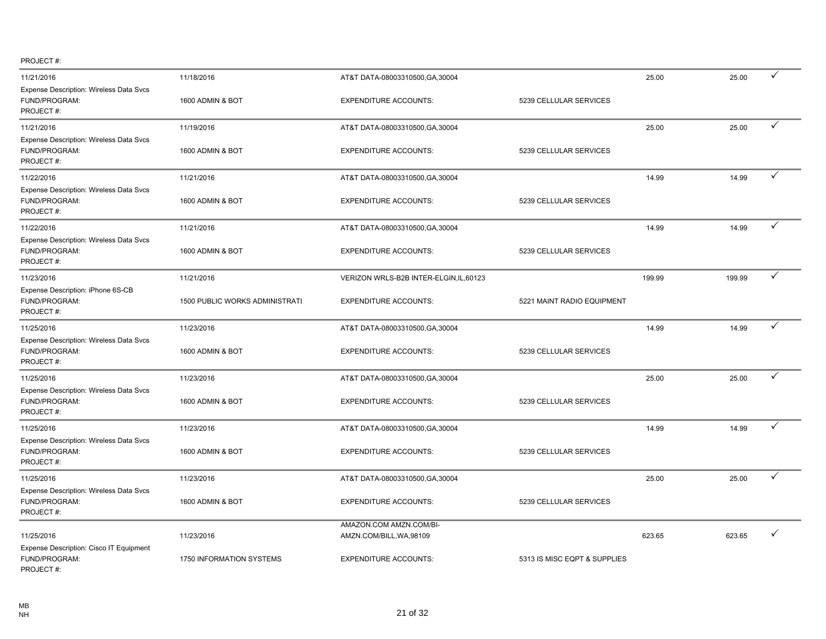| 11/21/2016                                                            | 11/18/2016                     | AT&T DATA-08003310500, GA, 30004        |                              | 25.00  | 25.00  | ✓            |
|-----------------------------------------------------------------------|--------------------------------|-----------------------------------------|------------------------------|--------|--------|--------------|
| Expense Description: Wireless Data Svcs<br>FUND/PROGRAM:<br>PROJECT#: | 1600 ADMIN & BOT               | <b>EXPENDITURE ACCOUNTS:</b>            | 5239 CELLULAR SERVICES       |        |        |              |
| 11/21/2016                                                            | 11/19/2016                     | AT&T DATA-08003310500, GA, 30004        |                              | 25.00  | 25.00  | $\checkmark$ |
| Expense Description: Wireless Data Svcs<br>FUND/PROGRAM:<br>PROJECT#: | 1600 ADMIN & BOT               | <b>EXPENDITURE ACCOUNTS:</b>            | 5239 CELLULAR SERVICES       |        |        |              |
| 11/22/2016                                                            | 11/21/2016                     | AT&T DATA-08003310500, GA, 30004        |                              | 14.99  | 14.99  | ✓            |
| Expense Description: Wireless Data Svcs<br>FUND/PROGRAM:<br>PROJECT#: | 1600 ADMIN & BOT               | <b>EXPENDITURE ACCOUNTS:</b>            | 5239 CELLULAR SERVICES       |        |        |              |
| 11/22/2016                                                            | 11/21/2016                     | AT&T DATA-08003310500, GA, 30004        |                              | 14.99  | 14.99  | $\checkmark$ |
| Expense Description: Wireless Data Svcs<br>FUND/PROGRAM:<br>PROJECT#: | 1600 ADMIN & BOT               | <b>EXPENDITURE ACCOUNTS:</b>            | 5239 CELLULAR SERVICES       |        |        |              |
| 11/23/2016                                                            | 11/21/2016                     | VERIZON WRLS-B2B INTER-ELGIN, IL, 60123 |                              | 199.99 | 199.99 | ✓            |
| Expense Description: iPhone 6S-CB<br>FUND/PROGRAM:<br>PROJECT#:       | 1500 PUBLIC WORKS ADMINISTRATI | <b>EXPENDITURE ACCOUNTS:</b>            | 5221 MAINT RADIO EQUIPMENT   |        |        |              |
| 11/25/2016                                                            | 11/23/2016                     | AT&T DATA-08003310500, GA, 30004        |                              | 14.99  | 14.99  | ✓            |
| Expense Description: Wireless Data Svcs<br>FUND/PROGRAM:<br>PROJECT#: | 1600 ADMIN & BOT               | <b>EXPENDITURE ACCOUNTS:</b>            | 5239 CELLULAR SERVICES       |        |        |              |
| 11/25/2016                                                            | 11/23/2016                     | AT&T DATA-08003310500, GA, 30004        |                              | 25.00  | 25.00  | ✓            |
| Expense Description: Wireless Data Svcs<br>FUND/PROGRAM:<br>PROJECT#: | 1600 ADMIN & BOT               | <b>EXPENDITURE ACCOUNTS:</b>            | 5239 CELLULAR SERVICES       |        |        |              |
| 11/25/2016                                                            | 11/23/2016                     | AT&T DATA-08003310500, GA, 30004        |                              | 14.99  | 14.99  | ✓            |
| Expense Description: Wireless Data Svcs<br>FUND/PROGRAM:<br>PROJECT#: | 1600 ADMIN & BOT               | <b>EXPENDITURE ACCOUNTS:</b>            | 5239 CELLULAR SERVICES       |        |        |              |
| 11/25/2016                                                            | 11/23/2016                     | AT&T DATA-08003310500, GA, 30004        |                              | 25.00  | 25.00  | ✓            |
| Expense Description: Wireless Data Svcs<br>FUND/PROGRAM:<br>PROJECT#: | 1600 ADMIN & BOT               | <b>EXPENDITURE ACCOUNTS:</b>            | 5239 CELLULAR SERVICES       |        |        |              |
|                                                                       |                                | AMAZON.COM AMZN.COM/BI-                 |                              |        |        |              |
| 11/25/2016<br>Expense Description: Cisco IT Equipment                 | 11/23/2016                     | AMZN.COM/BILL, WA, 98109                |                              | 623.65 | 623.65 |              |
| FUND/PROGRAM:<br>PROJECT#:                                            | 1750 INFORMATION SYSTEMS       | <b>EXPENDITURE ACCOUNTS:</b>            | 5313 IS MISC EQPT & SUPPLIES |        |        |              |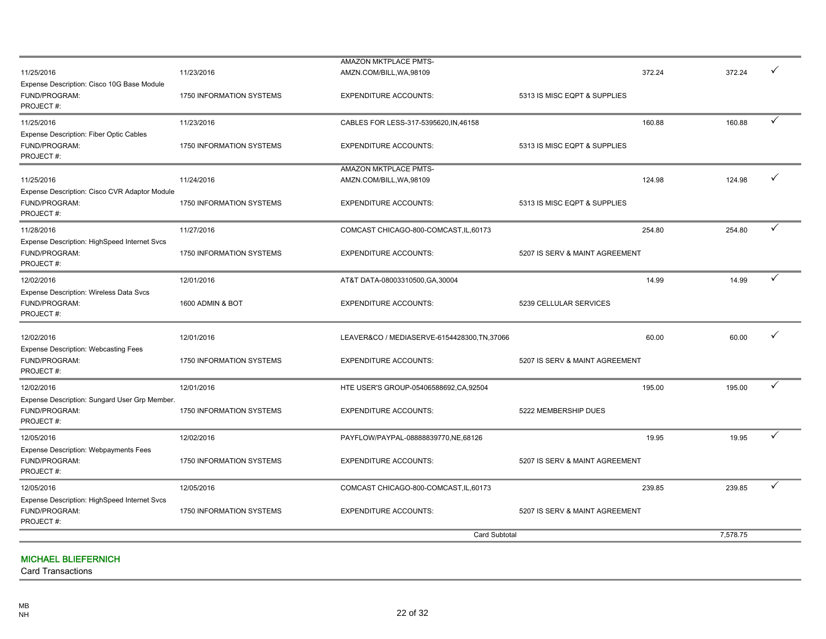|                                                                                                        |                                                             | <b>Card Subtotal</b>                                                                                          |                                                   | 7,578.75        |        |
|--------------------------------------------------------------------------------------------------------|-------------------------------------------------------------|---------------------------------------------------------------------------------------------------------------|---------------------------------------------------|-----------------|--------|
| Expense Description: HighSpeed Internet Svcs<br>FUND/PROGRAM:<br>PROJECT#:                             | 1750 INFORMATION SYSTEMS                                    | <b>EXPENDITURE ACCOUNTS:</b>                                                                                  | 5207 IS SERV & MAINT AGREEMENT                    |                 |        |
| 12/05/2016<br><b>Expense Description: Webpayments Fees</b><br>FUND/PROGRAM:<br>PROJECT#:<br>12/05/2016 | 12/02/2016<br><b>1750 INFORMATION SYSTEMS</b><br>12/05/2016 | PAYFLOW/PAYPAL-08888839770,NE,68126<br><b>EXPENDITURE ACCOUNTS:</b><br>COMCAST CHICAGO-800-COMCAST, IL, 60173 | 19.95<br>5207 IS SERV & MAINT AGREEMENT<br>239.85 | 19.95<br>239.85 | ✓      |
| 12/02/2016<br>Expense Description: Sungard User Grp Member.<br>FUND/PROGRAM:<br>PROJECT#:              | 12/01/2016<br>1750 INFORMATION SYSTEMS                      | HTE USER'S GROUP-05406588692, CA, 92504<br><b>EXPENDITURE ACCOUNTS:</b>                                       | 195.00<br>5222 MEMBERSHIP DUES                    | 195.00          | ✓<br>✓ |
| 12/02/2016<br><b>Expense Description: Webcasting Fees</b><br>FUND/PROGRAM:<br>PROJECT#:                | 12/01/2016<br>1750 INFORMATION SYSTEMS                      | LEAVER&CO / MEDIASERVE-6154428300, TN, 37066<br><b>EXPENDITURE ACCOUNTS:</b>                                  | 60.00<br>5207 IS SERV & MAINT AGREEMENT           | 60.00           | ✓      |
| 12/02/2016<br><b>Expense Description: Wireless Data Svcs</b><br>FUND/PROGRAM:<br>PROJECT#:             | 12/01/2016<br>1600 ADMIN & BOT                              | AT&T DATA-08003310500, GA, 30004<br><b>EXPENDITURE ACCOUNTS:</b>                                              | 14.99<br>5239 CELLULAR SERVICES                   | 14.99           | ✓      |
| 11/28/2016<br>Expense Description: HighSpeed Internet Svcs<br>FUND/PROGRAM:<br>PROJECT#:               | 11/27/2016<br>1750 INFORMATION SYSTEMS                      | COMCAST CHICAGO-800-COMCAST, IL, 60173<br><b>EXPENDITURE ACCOUNTS:</b>                                        | 254.80<br>5207 IS SERV & MAINT AGREEMENT          | 254.80          | ✓      |
| 11/25/2016<br>Expense Description: Cisco CVR Adaptor Module<br>FUND/PROGRAM:<br>PROJECT#:              | 11/24/2016<br>1750 INFORMATION SYSTEMS                      | AMAZON MKTPLACE PMTS-<br>AMZN.COM/BILL, WA, 98109<br><b>EXPENDITURE ACCOUNTS:</b>                             | 124.98<br>5313 IS MISC EQPT & SUPPLIES            | 124.98          | ✓      |
| 11/25/2016<br>Expense Description: Fiber Optic Cables<br>FUND/PROGRAM:<br>PROJECT#:                    | 11/23/2016<br>1750 INFORMATION SYSTEMS                      | CABLES FOR LESS-317-5395620, IN, 46158<br><b>EXPENDITURE ACCOUNTS:</b>                                        | 160.88<br>5313 IS MISC EQPT & SUPPLIES            | 160.88          | ✓      |
| Expense Description: Cisco 10G Base Module<br>FUND/PROGRAM:<br>PROJECT#:                               | 1750 INFORMATION SYSTEMS                                    | <b>EXPENDITURE ACCOUNTS:</b>                                                                                  | 5313 IS MISC EQPT & SUPPLIES                      |                 |        |
| 11/25/2016                                                                                             | 11/23/2016                                                  | AMAZON MKTPLACE PMTS-<br>AMZN.COM/BILL, WA, 98109                                                             | 372.24                                            | 372.24          | ✓      |

#### MICHAEL BLIEFERNICH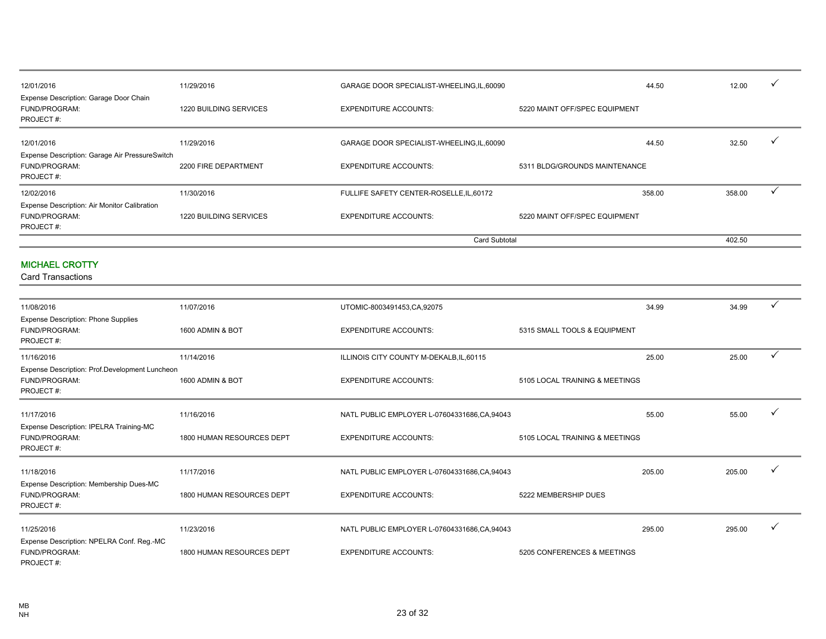| 12/01/2016                                                                 | 11/29/2016                    | GARAGE DOOR SPECIALIST-WHEELING, IL, 60090 |                               | 44.50  | 12.00  |  |
|----------------------------------------------------------------------------|-------------------------------|--------------------------------------------|-------------------------------|--------|--------|--|
| Expense Description: Garage Door Chain<br>FUND/PROGRAM:<br>PROJECT#:       | <b>1220 BUILDING SERVICES</b> | <b>EXPENDITURE ACCOUNTS:</b>               | 5220 MAINT OFF/SPEC EQUIPMENT |        |        |  |
| 12/01/2016<br>Expense Description: Garage Air PressureSwitch               | 11/29/2016                    | GARAGE DOOR SPECIALIST-WHEELING, IL, 60090 |                               | 44.50  | 32.50  |  |
| FUND/PROGRAM:<br>PROJECT#:                                                 | 2200 FIRE DEPARTMENT          | <b>EXPENDITURE ACCOUNTS:</b>               | 5311 BLDG/GROUNDS MAINTENANCE |        |        |  |
| 12/02/2016                                                                 | 11/30/2016                    | FULLIFE SAFETY CENTER-ROSELLE, IL, 60172   |                               | 358.00 | 358.00 |  |
| Expense Description: Air Monitor Calibration<br>FUND/PROGRAM:<br>PROJECT#: | <b>1220 BUILDING SERVICES</b> | <b>EXPENDITURE ACCOUNTS:</b>               | 5220 MAINT OFF/SPEC EQUIPMENT |        |        |  |
|                                                                            |                               | <b>Card Subtotal</b>                       |                               |        | 402.50 |  |

#### MICHAEL CROTTY

| 11/08/2016                                                                   | 11/07/2016                | UTOMIC-8003491453,CA,92075                    |                                | 34.99  | 34.99  | $\checkmark$ |
|------------------------------------------------------------------------------|---------------------------|-----------------------------------------------|--------------------------------|--------|--------|--------------|
| <b>Expense Description: Phone Supplies</b><br>FUND/PROGRAM:<br>PROJECT#:     | 1600 ADMIN & BOT          | <b>EXPENDITURE ACCOUNTS:</b>                  | 5315 SMALL TOOLS & EQUIPMENT   |        |        |              |
| 11/16/2016                                                                   | 11/14/2016                | ILLINOIS CITY COUNTY M-DEKALB, IL, 60115      |                                | 25.00  | 25.00  |              |
| Expense Description: Prof.Development Luncheon<br>FUND/PROGRAM:<br>PROJECT#: | 1600 ADMIN & BOT          | <b>EXPENDITURE ACCOUNTS:</b>                  | 5105 LOCAL TRAINING & MEETINGS |        |        |              |
| 11/17/2016                                                                   | 11/16/2016                | NATL PUBLIC EMPLOYER L-07604331686, CA, 94043 |                                | 55.00  | 55.00  | $\checkmark$ |
| Expense Description: IPELRA Training-MC<br>FUND/PROGRAM:<br>PROJECT#:        | 1800 HUMAN RESOURCES DEPT | <b>EXPENDITURE ACCOUNTS:</b>                  | 5105 LOCAL TRAINING & MEETINGS |        |        |              |
| 11/18/2016                                                                   | 11/17/2016                | NATL PUBLIC EMPLOYER L-07604331686, CA, 94043 |                                | 205.00 | 205.00 | $\checkmark$ |
| Expense Description: Membership Dues-MC<br>FUND/PROGRAM:<br>PROJECT#:        | 1800 HUMAN RESOURCES DEPT | <b>EXPENDITURE ACCOUNTS:</b>                  | 5222 MEMBERSHIP DUES           |        |        |              |
| 11/25/2016                                                                   | 11/23/2016                | NATL PUBLIC EMPLOYER L-07604331686, CA, 94043 |                                | 295.00 | 295.00 | $\checkmark$ |
| Expense Description: NPELRA Conf. Reg.-MC<br>FUND/PROGRAM:<br>PROJECT#:      | 1800 HUMAN RESOURCES DEPT | <b>EXPENDITURE ACCOUNTS:</b>                  | 5205 CONFERENCES & MEETINGS    |        |        |              |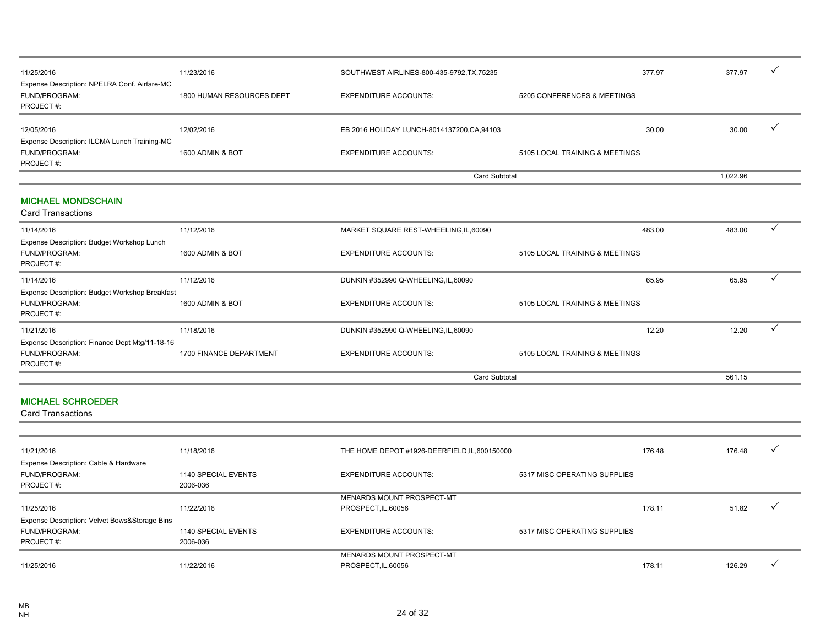| 11/25/2016                                                                 | 11/23/2016                | SOUTHWEST AIRLINES-800-435-9792, TX, 75235  |                                | 377.97 | 377.97   | $\checkmark$ |
|----------------------------------------------------------------------------|---------------------------|---------------------------------------------|--------------------------------|--------|----------|--------------|
| Expense Description: NPELRA Conf. Airfare-MC<br>FUND/PROGRAM:<br>PROJECT#: | 1800 HUMAN RESOURCES DEPT | <b>EXPENDITURE ACCOUNTS:</b>                | 5205 CONFERENCES & MEETINGS    |        |          |              |
| 12/05/2016                                                                 | 12/02/2016                | EB 2016 HOLIDAY LUNCH-8014137200, CA, 94103 |                                | 30.00  | 30.00    | $\mathbf v$  |
| Expense Description: ILCMA Lunch Training-MC<br>FUND/PROGRAM:<br>PROJECT#: | 1600 ADMIN & BOT          | <b>EXPENDITURE ACCOUNTS:</b>                | 5105 LOCAL TRAINING & MEETINGS |        |          |              |
|                                                                            |                           | Card Subtotal                               |                                |        | 1,022.96 |              |
| <b>MICHAEL MONDSCHAIN</b><br><b>Card Transactions</b>                      |                           |                                             |                                |        |          |              |
| 11/14/2016                                                                 | 11/12/2016                | MARKET SQUARE REST-WHEELING, IL, 60090      |                                | 483.00 | 483.00   | $\checkmark$ |
| Expense Description: Budget Workshop Lunch<br>FUND/PROGRAM:<br>PROJECT#:   | 1600 ADMIN & BOT          | <b>EXPENDITURE ACCOUNTS:</b>                | 5105 LOCAL TRAINING & MEETINGS |        |          |              |
| 11/14/2016<br>Expense Description: Budget Workshop Breakfast               | 11/12/2016                | DUNKIN #352990 Q-WHEELING, IL, 60090        |                                | 65.95  | 65.95    |              |

11/18/2016 11/18/2016 11/18/2016 11/18/2016 DUNKIN #352990 Q-WHEELING,IL,60090 12.20 12.20 12.20 12.20 12.20 1

Card Subtotal 561.15

FUND/PROGRAM: 1600 ADMIN & BOT EXPENDITURE ACCOUNTS: 5105 LOCAL TRAINING & MEETINGS

FUND/PROGRAM: 1700 FINANCE DEPARTMENT EXPENDITURE ACCOUNTS: 5105 LOCAL TRAINING & MEETINGS

### MICHAEL SCHROEDER

Expense Description: Finance Dept Mtg/11-18-16

Card Transactions

PROJECT #:

PROJECT #:

| 11/21/2016                                    | 11/18/2016          | THE HOME DEPOT #1926-DEERFIELD, IL, 600150000 |                              | 176.48 | 176.48 | $\mathbf{v}$         |
|-----------------------------------------------|---------------------|-----------------------------------------------|------------------------------|--------|--------|----------------------|
| Expense Description: Cable & Hardware         |                     |                                               |                              |        |        |                      |
| <b>FUND/PROGRAM:</b>                          | 1140 SPECIAL EVENTS | <b>EXPENDITURE ACCOUNTS:</b>                  | 5317 MISC OPERATING SUPPLIES |        |        |                      |
| PROJECT#:                                     | 2006-036            |                                               |                              |        |        |                      |
|                                               |                     | MENARDS MOUNT PROSPECT-MT                     |                              |        |        |                      |
| 11/25/2016                                    | 11/22/2016          | PROSPECT, IL, 60056                           |                              | 178.11 | 51.82  | $\ddot{\phantom{1}}$ |
| Expense Description: Velvet Bows&Storage Bins |                     |                                               |                              |        |        |                      |
| FUND/PROGRAM:                                 | 1140 SPECIAL EVENTS | <b>EXPENDITURE ACCOUNTS:</b>                  | 5317 MISC OPERATING SUPPLIES |        |        |                      |
| PROJECT#:                                     | 2006-036            |                                               |                              |        |        |                      |
|                                               |                     | MENARDS MOUNT PROSPECT-MT                     |                              |        |        |                      |
| 11/25/2016                                    | 11/22/2016          | PROSPECT, IL, 60056                           |                              | 178.11 | 126.29 |                      |
|                                               |                     |                                               |                              |        |        |                      |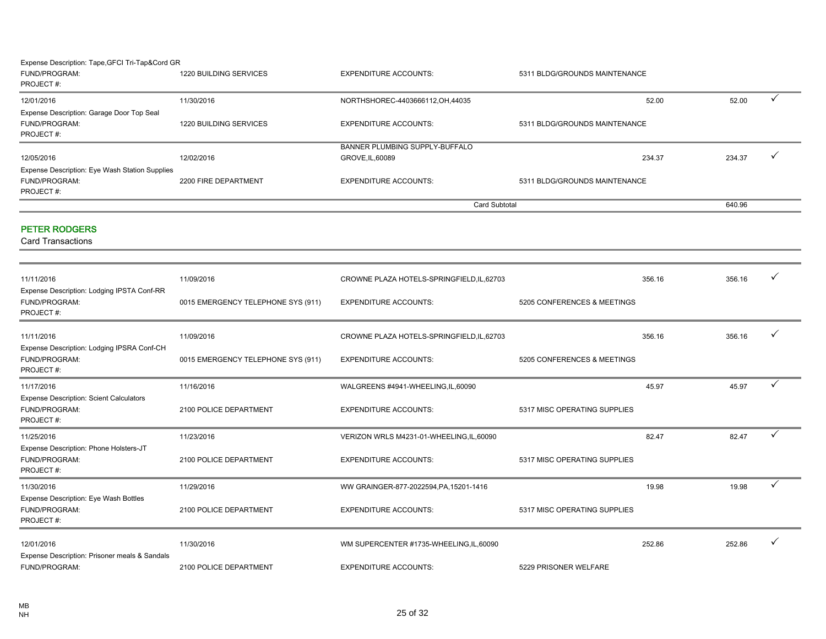#### Expense Description: Tape,GFCI Tri-Tap&Cord GR

| FUND/PROGRAM:<br>PROJECT#:                     | 1220 BUILDING SERVICES | <b>EXPENDITURE ACCOUNTS:</b>      | 5311 BLDG/GROUNDS MAINTENANCE |        |  |
|------------------------------------------------|------------------------|-----------------------------------|-------------------------------|--------|--|
| 12/01/2016                                     | 11/30/2016             | NORTHSHOREC-4403666112, OH, 44035 | 52.00                         | 52.00  |  |
| Expense Description: Garage Door Top Seal      |                        |                                   |                               |        |  |
| FUND/PROGRAM:                                  | 1220 BUILDING SERVICES | <b>EXPENDITURE ACCOUNTS:</b>      | 5311 BLDG/GROUNDS MAINTENANCE |        |  |
| PROJECT#:                                      |                        |                                   |                               |        |  |
|                                                |                        | BANNER PLUMBING SUPPLY-BUFFALO    |                               |        |  |
| 12/05/2016                                     | 12/02/2016             | GROVE.IL.60089                    | 234.37                        | 234.37 |  |
| Expense Description: Eye Wash Station Supplies |                        |                                   |                               |        |  |
| FUND/PROGRAM:                                  | 2200 FIRE DEPARTMENT   | <b>EXPENDITURE ACCOUNTS:</b>      | 5311 BLDG/GROUNDS MAINTENANCE |        |  |
| PROJECT#:                                      |                        |                                   |                               |        |  |
|                                                |                        |                                   | <b>Card Subtotal</b>          | 640.96 |  |

#### PETER RODGERS

| 11/11/2016                                                                      | 11/09/2016                         | CROWNE PLAZA HOTELS-SPRINGFIELD, IL, 62703 |                              | 356.16 | 356.16 | $\checkmark$ |
|---------------------------------------------------------------------------------|------------------------------------|--------------------------------------------|------------------------------|--------|--------|--------------|
| Expense Description: Lodging IPSTA Conf-RR<br><b>FUND/PROGRAM:</b><br>PROJECT#: | 0015 EMERGENCY TELEPHONE SYS (911) | <b>EXPENDITURE ACCOUNTS:</b>               | 5205 CONFERENCES & MEETINGS  |        |        |              |
| 11/11/2016                                                                      | 11/09/2016                         | CROWNE PLAZA HOTELS-SPRINGFIELD, IL, 62703 |                              | 356.16 | 356.16 |              |
| Expense Description: Lodging IPSRA Conf-CH<br>FUND/PROGRAM:<br>PROJECT#:        | 0015 EMERGENCY TELEPHONE SYS (911) | <b>EXPENDITURE ACCOUNTS:</b>               | 5205 CONFERENCES & MEETINGS  |        |        |              |
| 11/17/2016                                                                      | 11/16/2016                         | WALGREENS #4941-WHEELING,IL,60090          |                              | 45.97  | 45.97  | ✓            |
| <b>Expense Description: Scient Calculators</b><br>FUND/PROGRAM:<br>PROJECT#:    | 2100 POLICE DEPARTMENT             | <b>EXPENDITURE ACCOUNTS:</b>               | 5317 MISC OPERATING SUPPLIES |        |        |              |
| 11/25/2016                                                                      | 11/23/2016                         | VERIZON WRLS M4231-01-WHEELING, IL, 60090  |                              | 82.47  | 82.47  | $\checkmark$ |
| Expense Description: Phone Holsters-JT<br>FUND/PROGRAM:<br>PROJECT#:            | 2100 POLICE DEPARTMENT             | <b>EXPENDITURE ACCOUNTS:</b>               | 5317 MISC OPERATING SUPPLIES |        |        |              |
| 11/30/2016                                                                      | 11/29/2016                         | WW GRAINGER-877-2022594, PA, 15201-1416    |                              | 19.98  | 19.98  | ✓            |
| Expense Description: Eye Wash Bottles<br>FUND/PROGRAM:<br>PROJECT#:             | 2100 POLICE DEPARTMENT             | <b>EXPENDITURE ACCOUNTS:</b>               | 5317 MISC OPERATING SUPPLIES |        |        |              |
| 12/01/2016                                                                      | 11/30/2016                         | WM SUPERCENTER #1735-WHEELING, IL, 60090   |                              | 252.86 | 252.86 | v            |
| Expense Description: Prisoner meals & Sandals<br>FUND/PROGRAM:                  | 2100 POLICE DEPARTMENT             | <b>EXPENDITURE ACCOUNTS:</b>               | 5229 PRISONER WELFARE        |        |        |              |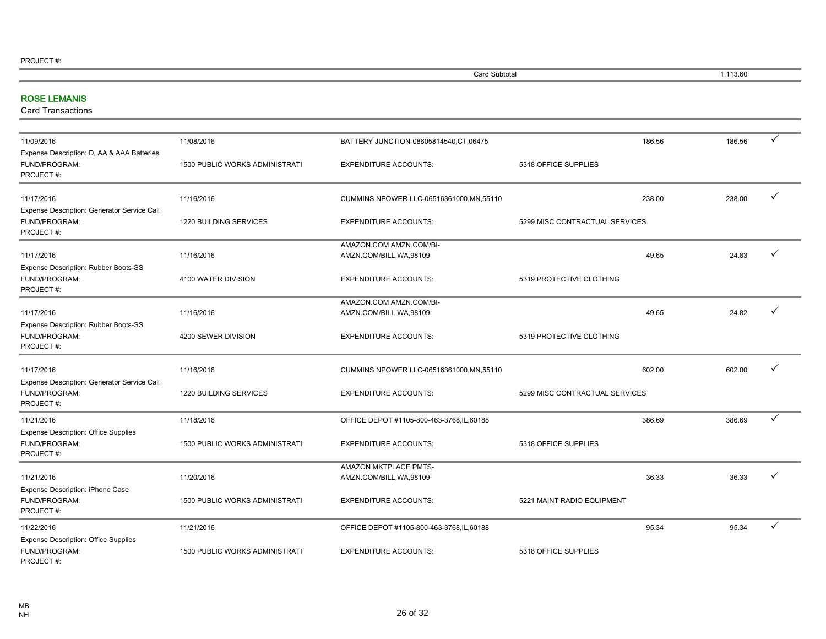| Card Subtotal | 113.60 |
|---------------|--------|
|               |        |

۰

### ROSE LEMANIS

| 11/09/2016                                                                | 11/08/2016                            | BATTERY JUNCTION-08605814540, CT, 06475             |                                | 186.56 | 186.56 | ✓            |
|---------------------------------------------------------------------------|---------------------------------------|-----------------------------------------------------|--------------------------------|--------|--------|--------------|
| Expense Description: D, AA & AAA Batteries<br>FUND/PROGRAM:<br>PROJECT#:  | <b>1500 PUBLIC WORKS ADMINISTRATI</b> | <b>EXPENDITURE ACCOUNTS:</b>                        | 5318 OFFICE SUPPLIES           |        |        |              |
| 11/17/2016                                                                | 11/16/2016                            | CUMMINS NPOWER LLC-06516361000, MN, 55110           |                                | 238.00 | 238.00 | $\checkmark$ |
| Expense Description: Generator Service Call<br>FUND/PROGRAM:<br>PROJECT#: | 1220 BUILDING SERVICES                | <b>EXPENDITURE ACCOUNTS:</b>                        | 5299 MISC CONTRACTUAL SERVICES |        |        |              |
| 11/17/2016                                                                | 11/16/2016                            | AMAZON.COM AMZN.COM/BI-<br>AMZN.COM/BILL, WA, 98109 |                                | 49.65  | 24.83  | ✓            |
| Expense Description: Rubber Boots-SS<br>FUND/PROGRAM:<br>PROJECT#:        | 4100 WATER DIVISION                   | <b>EXPENDITURE ACCOUNTS:</b>                        | 5319 PROTECTIVE CLOTHING       |        |        |              |
| 11/17/2016<br>Expense Description: Rubber Boots-SS                        | 11/16/2016                            | AMAZON.COM AMZN.COM/BI-<br>AMZN.COM/BILL, WA, 98109 |                                | 49.65  | 24.82  | ✓            |
| FUND/PROGRAM:<br>PROJECT#:                                                | 4200 SEWER DIVISION                   | <b>EXPENDITURE ACCOUNTS:</b>                        | 5319 PROTECTIVE CLOTHING       |        |        |              |
| 11/17/2016                                                                | 11/16/2016                            | CUMMINS NPOWER LLC-06516361000, MN, 55110           |                                | 602.00 | 602.00 | ✓            |
| Expense Description: Generator Service Call<br>FUND/PROGRAM:<br>PROJECT#: | 1220 BUILDING SERVICES                | <b>EXPENDITURE ACCOUNTS:</b>                        | 5299 MISC CONTRACTUAL SERVICES |        |        |              |
| 11/21/2016                                                                | 11/18/2016                            | OFFICE DEPOT #1105-800-463-3768,IL,60188            |                                | 386.69 | 386.69 | $\checkmark$ |
| <b>Expense Description: Office Supplies</b><br>FUND/PROGRAM:<br>PROJECT#: | <b>1500 PUBLIC WORKS ADMINISTRATI</b> | <b>EXPENDITURE ACCOUNTS:</b>                        | 5318 OFFICE SUPPLIES           |        |        |              |
| 11/21/2016<br>Expense Description: iPhone Case                            | 11/20/2016                            | AMAZON MKTPLACE PMTS-<br>AMZN.COM/BILL, WA, 98109   |                                | 36.33  | 36.33  |              |
| FUND/PROGRAM:<br>PROJECT#:                                                | <b>1500 PUBLIC WORKS ADMINISTRATI</b> | <b>EXPENDITURE ACCOUNTS:</b>                        | 5221 MAINT RADIO EQUIPMENT     |        |        |              |
| 11/22/2016                                                                | 11/21/2016                            | OFFICE DEPOT #1105-800-463-3768, IL, 60188          |                                | 95.34  | 95.34  | ✓            |
| <b>Expense Description: Office Supplies</b><br>FUND/PROGRAM:<br>PROJECT#: | <b>1500 PUBLIC WORKS ADMINISTRATI</b> | <b>EXPENDITURE ACCOUNTS:</b>                        | 5318 OFFICE SUPPLIES           |        |        |              |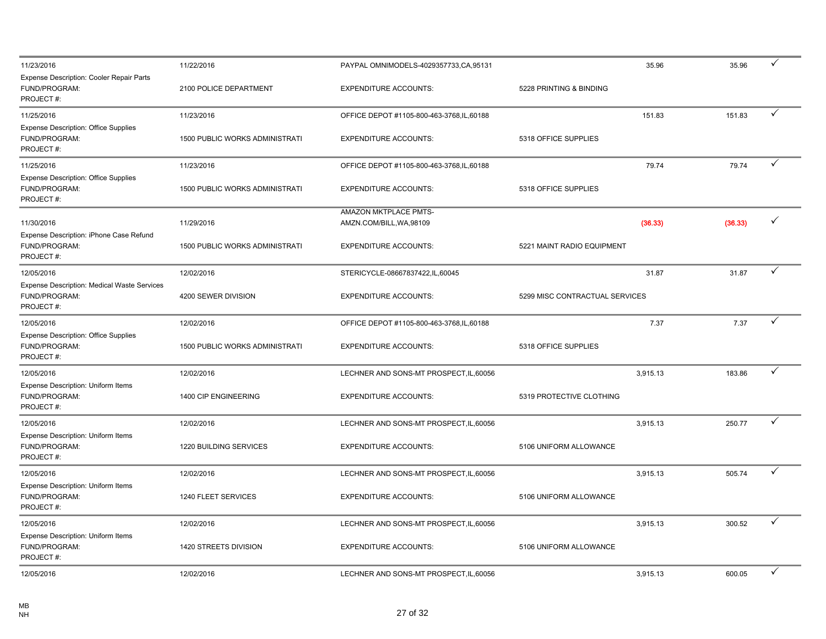| 11/23/2016                                                                | 11/22/2016                            | PAYPAL OMNIMODELS-4029357733, CA, 95131           | 35.96                          | 35.96   | ✓            |
|---------------------------------------------------------------------------|---------------------------------------|---------------------------------------------------|--------------------------------|---------|--------------|
| Expense Description: Cooler Repair Parts<br>FUND/PROGRAM:<br>PROJECT#:    | 2100 POLICE DEPARTMENT                | <b>EXPENDITURE ACCOUNTS:</b>                      | 5228 PRINTING & BINDING        |         |              |
| 11/25/2016                                                                | 11/23/2016                            | OFFICE DEPOT #1105-800-463-3768, IL, 60188        | 151.83                         | 151.83  | ✓            |
| <b>Expense Description: Office Supplies</b><br>FUND/PROGRAM:<br>PROJECT#: | 1500 PUBLIC WORKS ADMINISTRATI        | <b>EXPENDITURE ACCOUNTS:</b>                      | 5318 OFFICE SUPPLIES           |         |              |
| 11/25/2016                                                                | 11/23/2016                            | OFFICE DEPOT #1105-800-463-3768, IL, 60188        | 79.74                          | 79.74   | ✓            |
| <b>Expense Description: Office Supplies</b><br>FUND/PROGRAM:<br>PROJECT#: | <b>1500 PUBLIC WORKS ADMINISTRATI</b> | <b>EXPENDITURE ACCOUNTS:</b>                      | 5318 OFFICE SUPPLIES           |         |              |
| 11/30/2016                                                                | 11/29/2016                            | AMAZON MKTPLACE PMTS-<br>AMZN.COM/BILL, WA, 98109 | (36.33)                        | (36.33) | $\checkmark$ |
| Expense Description: iPhone Case Refund<br>FUND/PROGRAM:<br>PROJECT#:     | 1500 PUBLIC WORKS ADMINISTRATI        | <b>EXPENDITURE ACCOUNTS:</b>                      | 5221 MAINT RADIO EQUIPMENT     |         |              |
| 12/05/2016                                                                | 12/02/2016                            | STERICYCLE-08667837422,IL,60045                   | 31.87                          | 31.87   | $\checkmark$ |
| Expense Description: Medical Waste Services<br>FUND/PROGRAM:<br>PROJECT#: | 4200 SEWER DIVISION                   | <b>EXPENDITURE ACCOUNTS:</b>                      | 5299 MISC CONTRACTUAL SERVICES |         |              |
| 12/05/2016                                                                | 12/02/2016                            | OFFICE DEPOT #1105-800-463-3768, IL, 60188        | 7.37                           | 7.37    | ✓            |
| <b>Expense Description: Office Supplies</b><br>FUND/PROGRAM:<br>PROJECT#: | 1500 PUBLIC WORKS ADMINISTRATI        | <b>EXPENDITURE ACCOUNTS:</b>                      | 5318 OFFICE SUPPLIES           |         |              |
| 12/05/2016                                                                | 12/02/2016                            | LECHNER AND SONS-MT PROSPECT, IL, 60056           | 3,915.13                       | 183.86  | ✓            |
| Expense Description: Uniform Items<br>FUND/PROGRAM:<br>PROJECT#:          | 1400 CIP ENGINEERING                  | <b>EXPENDITURE ACCOUNTS:</b>                      | 5319 PROTECTIVE CLOTHING       |         |              |
| 12/05/2016                                                                | 12/02/2016                            | LECHNER AND SONS-MT PROSPECT, IL, 60056           | 3,915.13                       | 250.77  | ✓            |
| Expense Description: Uniform Items<br>FUND/PROGRAM:<br>PROJECT#:          | 1220 BUILDING SERVICES                | <b>EXPENDITURE ACCOUNTS:</b>                      | 5106 UNIFORM ALLOWANCE         |         |              |
| 12/05/2016                                                                | 12/02/2016                            | LECHNER AND SONS-MT PROSPECT, IL, 60056           | 3,915.13                       | 505.74  | ✓            |
| <b>Expense Description: Uniform Items</b><br>FUND/PROGRAM:<br>PROJECT#:   | 1240 FLEET SERVICES                   | <b>EXPENDITURE ACCOUNTS:</b>                      | 5106 UNIFORM ALLOWANCE         |         |              |
| 12/05/2016                                                                | 12/02/2016                            | LECHNER AND SONS-MT PROSPECT, IL, 60056           | 3,915.13                       | 300.52  | ✓            |
| Expense Description: Uniform Items<br>FUND/PROGRAM:<br>PROJECT#:          | 1420 STREETS DIVISION                 | <b>EXPENDITURE ACCOUNTS:</b>                      | 5106 UNIFORM ALLOWANCE         |         |              |
| 12/05/2016                                                                | 12/02/2016                            | LECHNER AND SONS-MT PROSPECT, IL, 60056           | 3,915.13                       | 600.05  | ✓            |
|                                                                           |                                       |                                                   |                                |         |              |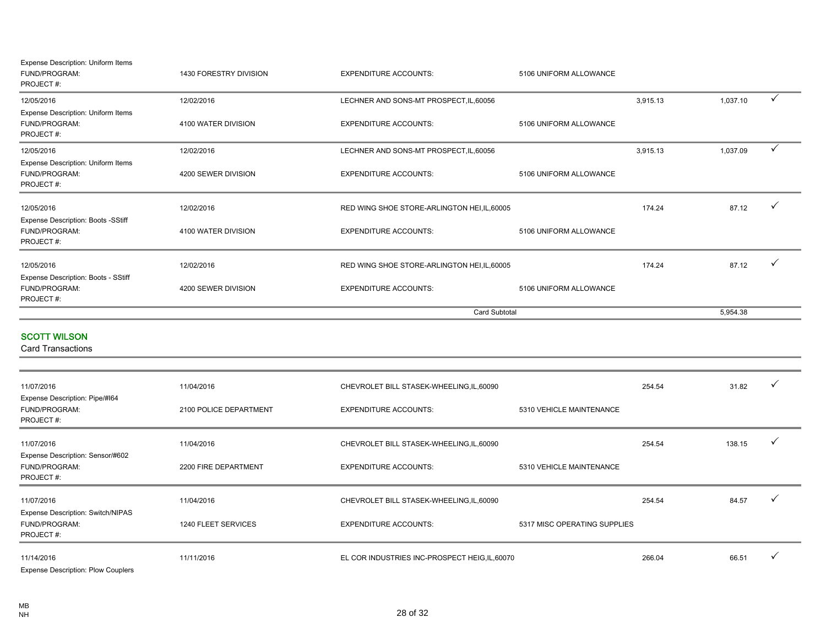| Expense Description: Uniform Items<br>FUND/PROGRAM:<br>PROJECT#:  | 1430 FORESTRY DIVISION | <b>EXPENDITURE ACCOUNTS:</b>                   | 5106 UNIFORM ALLOWANCE       |          |          |              |
|-------------------------------------------------------------------|------------------------|------------------------------------------------|------------------------------|----------|----------|--------------|
| 12/05/2016                                                        | 12/02/2016             | LECHNER AND SONS-MT PROSPECT, IL, 60056        |                              | 3,915.13 | 1,037.10 | ✓            |
| Expense Description: Uniform Items<br>FUND/PROGRAM:<br>PROJECT#:  | 4100 WATER DIVISION    | <b>EXPENDITURE ACCOUNTS:</b>                   | 5106 UNIFORM ALLOWANCE       |          |          |              |
| 12/05/2016                                                        | 12/02/2016             | LECHNER AND SONS-MT PROSPECT, IL, 60056        |                              | 3,915.13 | 1,037.09 | $\checkmark$ |
| Expense Description: Uniform Items<br>FUND/PROGRAM:<br>PROJECT#:  | 4200 SEWER DIVISION    | <b>EXPENDITURE ACCOUNTS:</b>                   | 5106 UNIFORM ALLOWANCE       |          |          |              |
| 12/05/2016                                                        | 12/02/2016             | RED WING SHOE STORE-ARLINGTON HEI, IL, 60005   |                              | 174.24   | 87.12    | ✓            |
| Expense Description: Boots -SStiff<br>FUND/PROGRAM:<br>PROJECT#:  | 4100 WATER DIVISION    | <b>EXPENDITURE ACCOUNTS:</b>                   | 5106 UNIFORM ALLOWANCE       |          |          |              |
| 12/05/2016                                                        | 12/02/2016             | RED WING SHOE STORE-ARLINGTON HEI, IL, 60005   |                              | 174.24   | 87.12    | ✓            |
| Expense Description: Boots - SStiff<br>FUND/PROGRAM:<br>PROJECT#: | 4200 SEWER DIVISION    | <b>EXPENDITURE ACCOUNTS:</b>                   | 5106 UNIFORM ALLOWANCE       |          |          |              |
|                                                                   |                        |                                                | <b>Card Subtotal</b>         |          | 5,954.38 |              |
| <b>SCOTT WILSON</b><br><b>Card Transactions</b>                   |                        |                                                |                              |          |          |              |
| 11/07/2016                                                        | 11/04/2016             | CHEVROLET BILL STASEK-WHEELING,IL,60090        |                              | 254.54   | 31.82    | ✓            |
| Expense Description: Pipe/#164<br>FUND/PROGRAM:<br>PROJECT#:      | 2100 POLICE DEPARTMENT | <b>EXPENDITURE ACCOUNTS:</b>                   | 5310 VEHICLE MAINTENANCE     |          |          |              |
| 11/07/2016                                                        | 11/04/2016             | CHEVROLET BILL STASEK-WHEELING, IL, 60090      |                              | 254.54   | 138.15   | ✓            |
| Expense Description: Sensor/#602<br>FUND/PROGRAM:<br>PROJECT#:    | 2200 FIRE DEPARTMENT   | <b>EXPENDITURE ACCOUNTS:</b>                   | 5310 VEHICLE MAINTENANCE     |          |          |              |
| 11/07/2016                                                        | 11/04/2016             | CHEVROLET BILL STASEK-WHEELING, IL, 60090      |                              | 254.54   | 84.57    | ✓            |
| Expense Description: Switch/NIPAS<br>FUND/PROGRAM:<br>PROJECT#:   | 1240 FLEET SERVICES    | <b>EXPENDITURE ACCOUNTS:</b>                   | 5317 MISC OPERATING SUPPLIES |          |          |              |
| 11/14/2016                                                        | 11/11/2016             | EL COR INDUSTRIES INC-PROSPECT HEIG, IL, 60070 |                              | 266.04   | 66.51    | ✓            |

Expense Description: Plow Couplers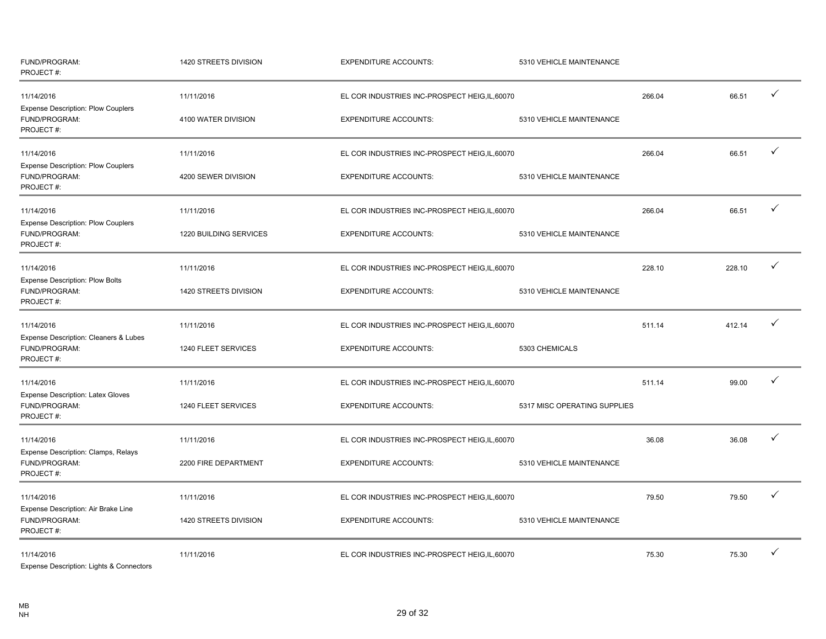| FUND/PROGRAM:<br>PROJECT#:                                              | 1420 STREETS DIVISION  | <b>EXPENDITURE ACCOUNTS:</b>                   | 5310 VEHICLE MAINTENANCE     |        |        |   |
|-------------------------------------------------------------------------|------------------------|------------------------------------------------|------------------------------|--------|--------|---|
| 11/14/2016<br><b>Expense Description: Plow Couplers</b>                 | 11/11/2016             | EL COR INDUSTRIES INC-PROSPECT HEIG,IL,60070   |                              | 266.04 | 66.51  |   |
| FUND/PROGRAM:<br>PROJECT#:                                              | 4100 WATER DIVISION    | <b>EXPENDITURE ACCOUNTS:</b>                   | 5310 VEHICLE MAINTENANCE     |        |        |   |
| 11/14/2016                                                              | 11/11/2016             | EL COR INDUSTRIES INC-PROSPECT HEIG, IL, 60070 |                              | 266.04 | 66.51  |   |
| <b>Expense Description: Plow Couplers</b><br>FUND/PROGRAM:<br>PROJECT#: | 4200 SEWER DIVISION    | <b>EXPENDITURE ACCOUNTS:</b>                   | 5310 VEHICLE MAINTENANCE     |        |        |   |
| 11/14/2016                                                              | 11/11/2016             | EL COR INDUSTRIES INC-PROSPECT HEIG, IL, 60070 |                              | 266.04 | 66.51  | ✓ |
| Expense Description: Plow Couplers<br>FUND/PROGRAM:<br>PROJECT #:       | 1220 BUILDING SERVICES | <b>EXPENDITURE ACCOUNTS:</b>                   | 5310 VEHICLE MAINTENANCE     |        |        |   |
| 11/14/2016                                                              | 11/11/2016             | EL COR INDUSTRIES INC-PROSPECT HEIG, IL, 60070 |                              | 228.10 | 228.10 |   |
| <b>Expense Description: Plow Bolts</b><br>FUND/PROGRAM:<br>PROJECT#:    | 1420 STREETS DIVISION  | <b>EXPENDITURE ACCOUNTS:</b>                   | 5310 VEHICLE MAINTENANCE     |        |        |   |
| 11/14/2016                                                              | 11/11/2016             | EL COR INDUSTRIES INC-PROSPECT HEIG, IL, 60070 |                              | 511.14 | 412.14 | ✓ |
| Expense Description: Cleaners & Lubes<br>FUND/PROGRAM:<br>PROJECT #:    | 1240 FLEET SERVICES    | <b>EXPENDITURE ACCOUNTS:</b>                   | 5303 CHEMICALS               |        |        |   |
| 11/14/2016                                                              | 11/11/2016             | EL COR INDUSTRIES INC-PROSPECT HEIG, IL, 60070 |                              | 511.14 | 99.00  | ✓ |
| <b>Expense Description: Latex Gloves</b><br>FUND/PROGRAM:<br>PROJECT#:  | 1240 FLEET SERVICES    | <b>EXPENDITURE ACCOUNTS:</b>                   | 5317 MISC OPERATING SUPPLIES |        |        |   |
| 11/14/2016                                                              | 11/11/2016             | EL COR INDUSTRIES INC-PROSPECT HEIG, IL, 60070 |                              | 36.08  | 36.08  |   |
| Expense Description: Clamps, Relays<br>FUND/PROGRAM:<br>PROJECT#:       | 2200 FIRE DEPARTMENT   | <b>EXPENDITURE ACCOUNTS:</b>                   | 5310 VEHICLE MAINTENANCE     |        |        |   |
| 11/14/2016                                                              | 11/11/2016             | EL COR INDUSTRIES INC-PROSPECT HEIG, IL, 60070 |                              | 79.50  | 79.50  | ✓ |
| Expense Description: Air Brake Line<br>FUND/PROGRAM:<br>PROJECT #:      | 1420 STREETS DIVISION  | <b>EXPENDITURE ACCOUNTS:</b>                   | 5310 VEHICLE MAINTENANCE     |        |        |   |
| 11/14/2016<br>Evening Department Lights & Connectors                    | 11/11/2016             | EL COR INDUSTRIES INC-PROSPECT HEIG, IL, 60070 |                              | 75.30  | 75.30  |   |

Expense Description: Lights & Conne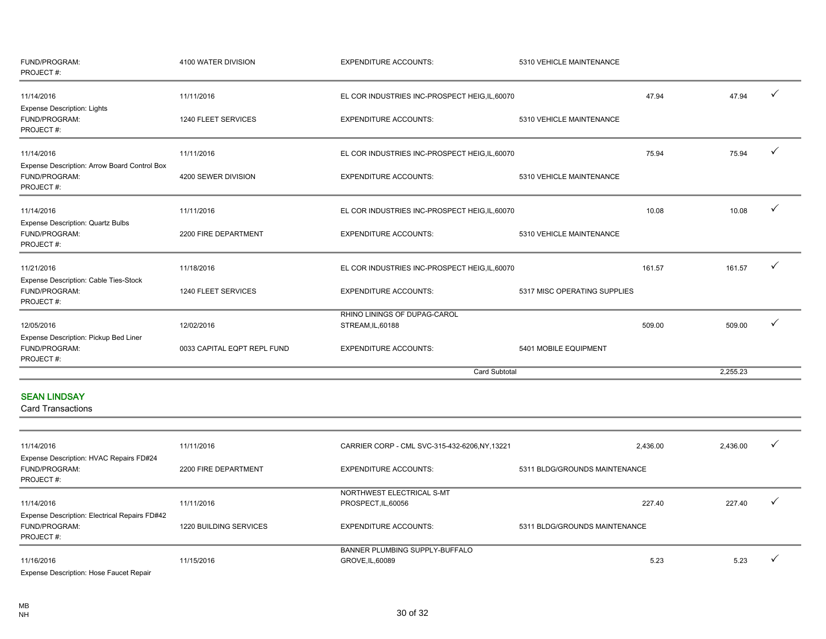| FUND/PROGRAM:<br>PROJECT#:                                                 | 4100 WATER DIVISION         | <b>EXPENDITURE ACCOUNTS:</b>                     | 5310 VEHICLE MAINTENANCE      |                  |              |
|----------------------------------------------------------------------------|-----------------------------|--------------------------------------------------|-------------------------------|------------------|--------------|
| 11/14/2016                                                                 | 11/11/2016                  | EL COR INDUSTRIES INC-PROSPECT HEIG, IL, 60070   |                               | 47.94<br>47.94   | $\checkmark$ |
| <b>Expense Description: Lights</b><br>FUND/PROGRAM:<br>PROJECT#:           | 1240 FLEET SERVICES         | <b>EXPENDITURE ACCOUNTS:</b>                     | 5310 VEHICLE MAINTENANCE      |                  |              |
| 11/14/2016                                                                 | 11/11/2016                  | EL COR INDUSTRIES INC-PROSPECT HEIG, IL, 60070   |                               | 75.94<br>75.94   |              |
| Expense Description: Arrow Board Control Box<br>FUND/PROGRAM:<br>PROJECT#: | 4200 SEWER DIVISION         | <b>EXPENDITURE ACCOUNTS:</b>                     | 5310 VEHICLE MAINTENANCE      |                  |              |
| 11/14/2016                                                                 | 11/11/2016                  | EL COR INDUSTRIES INC-PROSPECT HEIG, IL, 60070   |                               | 10.08<br>10.08   |              |
| Expense Description: Quartz Bulbs<br>FUND/PROGRAM:<br>PROJECT#:            | 2200 FIRE DEPARTMENT        | <b>EXPENDITURE ACCOUNTS:</b>                     | 5310 VEHICLE MAINTENANCE      |                  |              |
| 11/21/2016                                                                 | 11/18/2016                  | EL COR INDUSTRIES INC-PROSPECT HEIG, IL, 60070   |                               | 161.57<br>161.57 |              |
| Expense Description: Cable Ties-Stock<br>FUND/PROGRAM:<br>PROJECT#:        | 1240 FLEET SERVICES         | <b>EXPENDITURE ACCOUNTS:</b>                     | 5317 MISC OPERATING SUPPLIES  |                  |              |
|                                                                            |                             | RHINO LININGS OF DUPAG-CAROL                     |                               |                  |              |
| 12/05/2016                                                                 | 12/02/2016                  | STREAM, IL, 60188                                |                               | 509.00<br>509.00 |              |
| Expense Description: Pickup Bed Liner<br>FUND/PROGRAM:<br>PROJECT#:        | 0033 CAPITAL EQPT REPL FUND | <b>EXPENDITURE ACCOUNTS:</b>                     | 5401 MOBILE EQUIPMENT         |                  |              |
|                                                                            |                             |                                                  | <b>Card Subtotal</b>          | 2,255.23         |              |
| <b>SEAN LINDSAY</b><br><b>Card Transactions</b>                            |                             |                                                  |                               |                  |              |
| 11/14/2016                                                                 | 11/11/2016                  | CARRIER CORP - CML SVC-315-432-6206, NY, 13221   | 2,436.00                      | 2,436.00         |              |
| Expense Description: HVAC Repairs FD#24<br>FUND/PROGRAM:<br>PROJECT#:      | 2200 FIRE DEPARTMENT        | <b>EXPENDITURE ACCOUNTS:</b>                     | 5311 BLDG/GROUNDS MAINTENANCE |                  |              |
| 11/14/2016                                                                 | 11/11/2016                  | NORTHWEST ELECTRICAL S-MT<br>PROSPECT, IL, 60056 |                               | 227.40<br>227.40 | $\checkmark$ |

| Expense Description: Electrical Repairs FD#42<br><b>FUND/PROGRAM:</b><br>PROJECT#: | 1220 BUILDING SERVICES | <b>EXPENDITURE ACCOUNTS:</b>                       | 5311 BLDG/GROUNDS MAINTENANCE |      |      |  |
|------------------------------------------------------------------------------------|------------------------|----------------------------------------------------|-------------------------------|------|------|--|
| 11/16/2016                                                                         | 11/15/2016             | BANNER PLUMBING SUPPLY-BUFFALO<br>GROVE, IL, 60089 |                               | 5.23 | 5.23 |  |
| _____________<br>$\sim$ $-$<br>$\overline{\phantom{0}}$                            |                        |                                                    |                               |      |      |  |

Expense Description: Hose Faucet Repair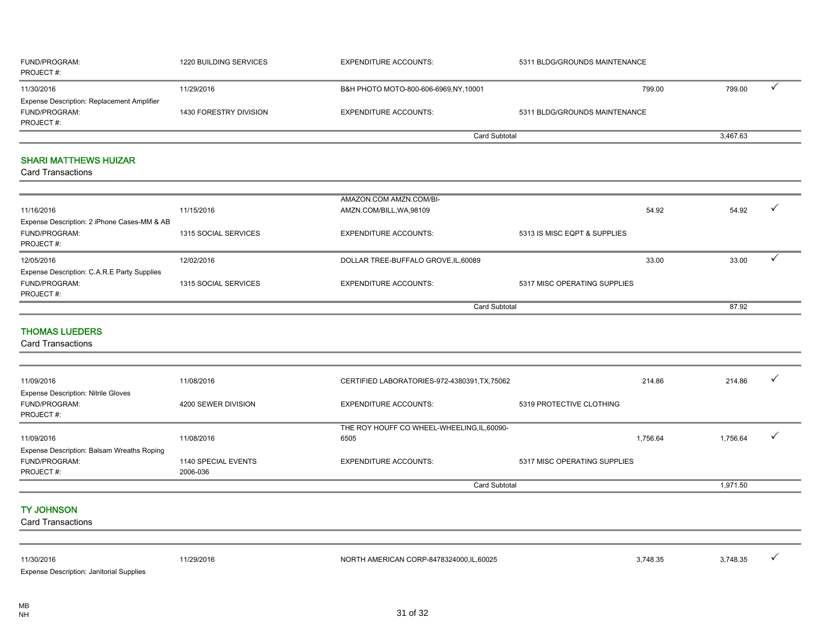| <b>FUND/PROGRAM:</b><br>PROJECT#:                 | 1220 BUILDING SERVICES | <b>EXPENDITURE ACCOUNTS:</b>         | 5311 BLDG/GROUNDS MAINTENANCE |          |  |
|---------------------------------------------------|------------------------|--------------------------------------|-------------------------------|----------|--|
| 11/30/2016                                        | 11/29/2016             | B&H PHOTO MOTO-800-606-6969,NY,10001 | 799.00                        | 799.00   |  |
| <b>Expense Description: Replacement Amplifier</b> |                        |                                      |                               |          |  |
| <b>FUND/PROGRAM:</b>                              | 1430 FORESTRY DIVISION | <b>EXPENDITURE ACCOUNTS:</b>         | 5311 BLDG/GROUNDS MAINTENANCE |          |  |
| PROJECT#:                                         |                        |                                      |                               |          |  |
|                                                   |                        | Card Subtotal                        |                               | 3,467.63 |  |

#### SHARI MATTHEWS HUIZAR

Card Transactions

|                                             |                      | AMAZON.COM AMZN.COM/BI-              |                              |       |       |  |
|---------------------------------------------|----------------------|--------------------------------------|------------------------------|-------|-------|--|
| 11/16/2016                                  | 11/15/2016           | AMZN.COM/BILL, WA, 98109             |                              | 54.92 | 54.92 |  |
| Expense Description: 2 iPhone Cases-MM & AB |                      |                                      |                              |       |       |  |
| FUND/PROGRAM:                               | 1315 SOCIAL SERVICES | <b>EXPENDITURE ACCOUNTS:</b>         | 5313 IS MISC EQPT & SUPPLIES |       |       |  |
| PROJECT#:                                   |                      |                                      |                              |       |       |  |
| 12/05/2016                                  | 12/02/2016           | DOLLAR TREE-BUFFALO GROVE, IL, 60089 |                              | 33.00 | 33.00 |  |
| Expense Description: C.A.R.E Party Supplies |                      |                                      |                              |       |       |  |
| FUND/PROGRAM:                               | 1315 SOCIAL SERVICES | <b>EXPENDITURE ACCOUNTS:</b>         | 5317 MISC OPERATING SUPPLIES |       |       |  |
| PROJECT#:                                   |                      |                                      |                              |       |       |  |
|                                             |                      | <b>Card Subtotal</b>                 |                              |       | 87.92 |  |

#### THOMAS LUEDERS

Card Transactions

| 11/09/2016                                                                      | 11/08/2016                      | CERTIFIED LABORATORIES-972-4380391, TX, 75062       |                              | 214.86   | 214.86   | $\overline{\phantom{a}}$ |
|---------------------------------------------------------------------------------|---------------------------------|-----------------------------------------------------|------------------------------|----------|----------|--------------------------|
| <b>Expense Description: Nitrile Gloves</b><br><b>FUND/PROGRAM:</b><br>PROJECT#: | 4200 SEWER DIVISION             | <b>EXPENDITURE ACCOUNTS:</b>                        | 5319 PROTECTIVE CLOTHING     |          |          |                          |
| 11/09/2016                                                                      | 11/08/2016                      | THE ROY HOUFF CO WHEEL-WHEELING, IL, 60090-<br>6505 |                              | 1,756.64 | 1,756.64 |                          |
| Expense Description: Balsam Wreaths Roping<br><b>FUND/PROGRAM:</b><br>PROJECT#: | 1140 SPECIAL EVENTS<br>2006-036 | <b>EXPENDITURE ACCOUNTS:</b>                        | 5317 MISC OPERATING SUPPLIES |          |          |                          |
|                                                                                 |                                 |                                                     | <b>Card Subtotal</b>         |          | 1,971.50 |                          |

#### TY JOHNSON

| 11/30/2016                                      | 1/29/2016 | NORTH AMERICAN CORP-8478324000,IL,60025 | 3,748.35 | 3,748.35 |  |
|-------------------------------------------------|-----------|-----------------------------------------|----------|----------|--|
| <b>Expense Description: Janitorial Supplies</b> |           |                                         |          |          |  |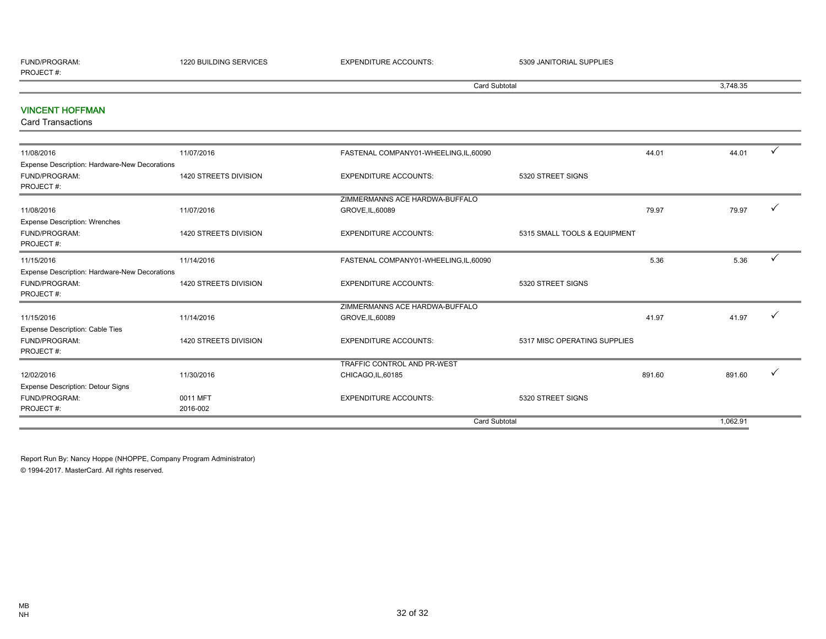| <b>FUND/PROGRAM</b><br>)GRAM | 1220 BUILDING SERVICES | TYPENIT.<br>╹╹┡┙╹ | <b>JANITORIAL SUPPLIES</b><br>5304 |
|------------------------------|------------------------|-------------------|------------------------------------|
| PROJECT#                     |                        |                   |                                    |

Card Subtotal 3,748.35

#### VINCENT HOFFMAN

Card Transactions

| 11/08/2016                                    | 11/07/2016            | FASTENAL COMPANY01-WHEELING,IL,60090 |                              | 44.01  | 44.01    |              |
|-----------------------------------------------|-----------------------|--------------------------------------|------------------------------|--------|----------|--------------|
| Expense Description: Hardware-New Decorations |                       |                                      |                              |        |          |              |
| FUND/PROGRAM:                                 | 1420 STREETS DIVISION | <b>EXPENDITURE ACCOUNTS:</b>         | 5320 STREET SIGNS            |        |          |              |
| PROJECT#:                                     |                       |                                      |                              |        |          |              |
|                                               |                       | ZIMMERMANNS ACE HARDWA-BUFFALO       |                              |        |          |              |
| 11/08/2016                                    | 11/07/2016            | GROVE, IL, 60089                     |                              | 79.97  | 79.97    |              |
| <b>Expense Description: Wrenches</b>          |                       |                                      |                              |        |          |              |
| FUND/PROGRAM:                                 | 1420 STREETS DIVISION | <b>EXPENDITURE ACCOUNTS:</b>         | 5315 SMALL TOOLS & EQUIPMENT |        |          |              |
| PROJECT#:                                     |                       |                                      |                              |        |          |              |
| 11/15/2016                                    | 11/14/2016            | FASTENAL COMPANY01-WHEELING,IL,60090 |                              | 5.36   | 5.36     | $\checkmark$ |
| Expense Description: Hardware-New Decorations |                       |                                      |                              |        |          |              |
| FUND/PROGRAM:                                 | 1420 STREETS DIVISION | <b>EXPENDITURE ACCOUNTS:</b>         | 5320 STREET SIGNS            |        |          |              |
| PROJECT#:                                     |                       |                                      |                              |        |          |              |
|                                               |                       | ZIMMERMANNS ACE HARDWA-BUFFALO       |                              |        |          |              |
| 11/15/2016                                    | 11/14/2016            | GROVE, IL, 60089                     |                              | 41.97  | 41.97    |              |
| <b>Expense Description: Cable Ties</b>        |                       |                                      |                              |        |          |              |
| FUND/PROGRAM:                                 | 1420 STREETS DIVISION | <b>EXPENDITURE ACCOUNTS:</b>         | 5317 MISC OPERATING SUPPLIES |        |          |              |
| PROJECT#:                                     |                       |                                      |                              |        |          |              |
|                                               |                       | TRAFFIC CONTROL AND PR-WEST          |                              |        |          |              |
| 12/02/2016                                    | 11/30/2016            | CHICAGO, IL, 60185                   |                              | 891.60 | 891.60   |              |
| <b>Expense Description: Detour Signs</b>      |                       |                                      |                              |        |          |              |
| FUND/PROGRAM:                                 | 0011 MFT              | <b>EXPENDITURE ACCOUNTS:</b>         | 5320 STREET SIGNS            |        |          |              |
| PROJECT#:                                     | 2016-002              |                                      |                              |        |          |              |
|                                               |                       | <b>Card Subtotal</b>                 |                              |        | 1,062.91 |              |
|                                               |                       |                                      |                              |        |          |              |

Report Run By: Nancy Hoppe (NHOPPE, Company Program Administrator) © 1994-2017. MasterCard. All rights reserved.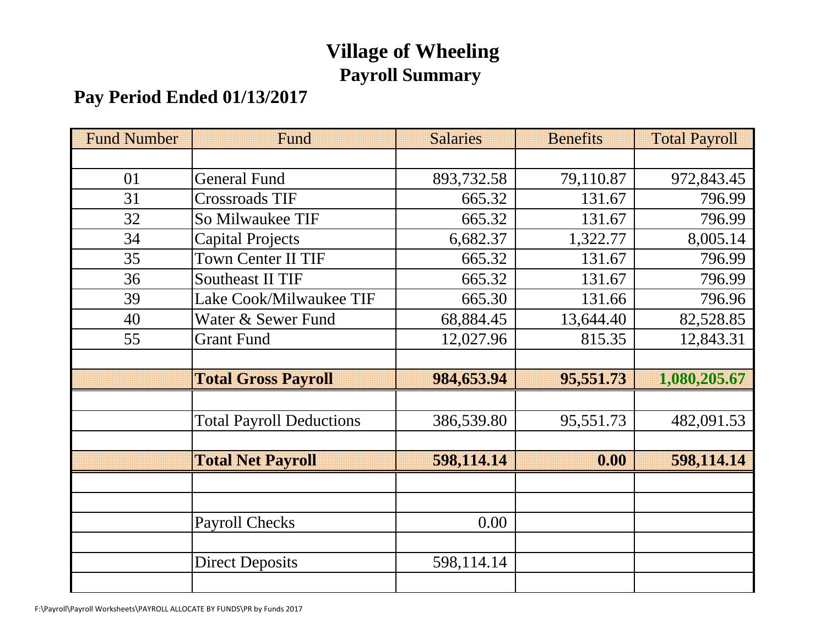# **Village of Wheeling Payroll Summary**

# **Pay Period Ended 01/13/2017**

| <b>Fund Number</b> | Fund                            | <b>Salaries</b> | <b>Benefits</b> | <b>Total Payroll</b> |
|--------------------|---------------------------------|-----------------|-----------------|----------------------|
|                    |                                 |                 |                 |                      |
| 01                 | <b>General Fund</b>             | 893,732.58      | 79,110.87       | 972,843.45           |
| 31                 | <b>Crossroads TIF</b>           | 665.32          | 131.67          | 796.99               |
| 32                 | So Milwaukee TIF                | 665.32          | 131.67          | 796.99               |
| 34                 | <b>Capital Projects</b>         | 6,682.37        | 1,322.77        | 8,005.14             |
| 35                 | <b>Town Center II TIF</b>       | 665.32          | 131.67          | 796.99               |
| 36                 | <b>Southeast II TIF</b>         | 665.32          | 131.67          | 796.99               |
| 39                 | Lake Cook/Milwaukee TIF         | 665.30          | 131.66          | 796.96               |
| 40                 | Water & Sewer Fund              | 68,884.45       | 13,644.40       | 82,528.85            |
| 55                 | <b>Grant Fund</b>               | 12,027.96       | 815.35          | 12,843.31            |
|                    |                                 |                 |                 |                      |
|                    | <b>Total Gross Payroll</b>      | 984,653.94      | 95,551.73       | 1,080,205.67         |
|                    |                                 |                 |                 |                      |
|                    | <b>Total Payroll Deductions</b> | 386,539.80      | 95,551.73       | 482,091.53           |
|                    |                                 |                 |                 |                      |
|                    | <b>Total Net Payroll</b>        | 598,114.14      | 0.00            | 598,114.14           |
|                    |                                 |                 |                 |                      |
|                    |                                 |                 |                 |                      |
|                    | <b>Payroll Checks</b>           | 0.00            |                 |                      |
|                    |                                 |                 |                 |                      |
|                    | <b>Direct Deposits</b>          | 598,114.14      |                 |                      |
|                    |                                 |                 |                 |                      |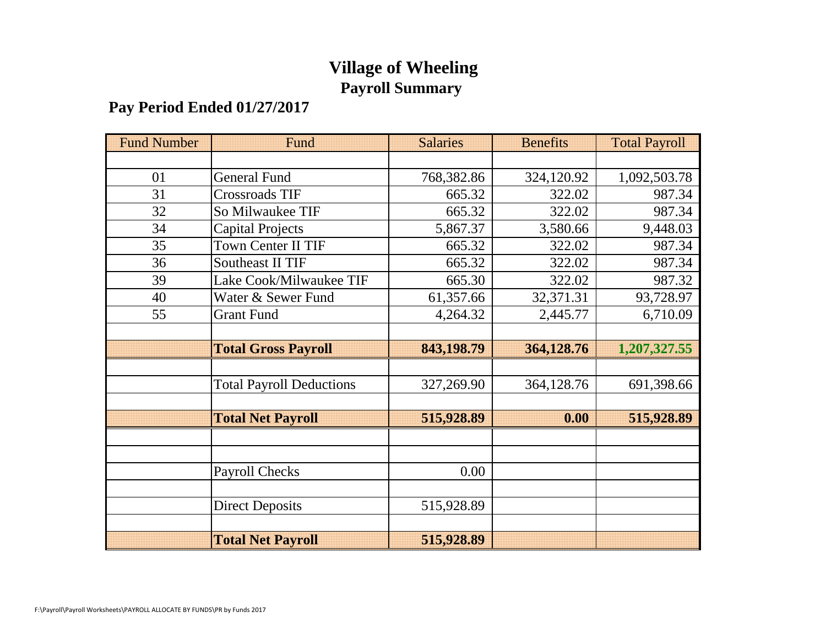# **Village of Wheeling Payroll Summary**

# **Pay Period Ended 01/27/2017**

| <b>Fund Number</b> | Fund                            | <b>Salaries</b> | <b>Benefits</b> | <b>Total Payroll</b> |
|--------------------|---------------------------------|-----------------|-----------------|----------------------|
|                    |                                 |                 |                 |                      |
| 01                 | <b>General Fund</b>             | 768,382.86      | 324,120.92      | 1,092,503.78         |
| 31                 | Crossroads TIF                  | 665.32          | 322.02          | 987.34               |
| 32                 | So Milwaukee TIF                | 665.32          | 322.02          | 987.34               |
| 34                 | Capital Projects                | 5,867.37        | 3,580.66        | 9,448.03             |
| 35                 | Town Center II TIF              | 665.32          | 322.02          | 987.34               |
| 36                 | <b>Southeast II TIF</b>         | 665.32          | 322.02          | 987.34               |
| 39                 | Lake Cook/Milwaukee TIF         | 665.30          | 322.02          | 987.32               |
| 40                 | Water & Sewer Fund              | 61,357.66       | 32,371.31       | 93,728.97            |
| 55                 | <b>Grant Fund</b>               | 4,264.32        | 2,445.77        | 6,710.09             |
|                    |                                 |                 |                 |                      |
|                    | <b>Total Gross Payroll</b>      | 843,198.79      | 364,128.76      | 1,207,327.55         |
|                    |                                 |                 |                 |                      |
|                    | <b>Total Payroll Deductions</b> | 327,269.90      | 364,128.76      | 691,398.66           |
|                    |                                 |                 |                 |                      |
|                    | <b>Total Net Payroll</b>        | 515,928.89      | 0.00            | 515,928.89           |
|                    |                                 |                 |                 |                      |
|                    |                                 |                 |                 |                      |
|                    | Payroll Checks                  | 0.00            |                 |                      |
|                    |                                 |                 |                 |                      |
|                    | <b>Direct Deposits</b>          | 515,928.89      |                 |                      |
|                    |                                 |                 |                 |                      |
|                    | <b>Total Net Payroll</b>        | 515,928.89      |                 |                      |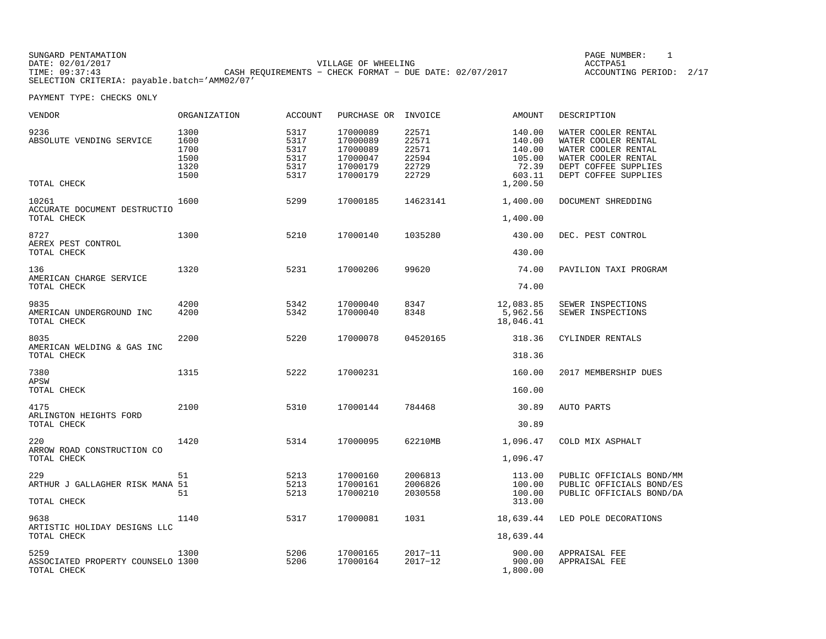SUNGARD PENTAMATION PAGE NUMBER: 1DATE: 02/01/2017 VILLAGE OF WHEELING ACCTPA51TIME: 09:37:43<br>TIME: 09:37:43 CASH REQUIREMENTS − CHECK FORMAT − DUE DATE: 02/07/2017 SELECTION CRITERIA: payable.batch='AMM02/07'

ACCOUNTING PERIOD: 2/17

| VENDOR                                                   | ORGANIZATION                                 | <b>ACCOUNT</b>                               | PURCHASE OR                                                          | INVOICE                                            | AMOUNT                                                              | DESCRIPTION                                                                                                                              |
|----------------------------------------------------------|----------------------------------------------|----------------------------------------------|----------------------------------------------------------------------|----------------------------------------------------|---------------------------------------------------------------------|------------------------------------------------------------------------------------------------------------------------------------------|
| 9236<br>ABSOLUTE VENDING SERVICE<br>TOTAL CHECK          | 1300<br>1600<br>1700<br>1500<br>1320<br>1500 | 5317<br>5317<br>5317<br>5317<br>5317<br>5317 | 17000089<br>17000089<br>17000089<br>17000047<br>17000179<br>17000179 | 22571<br>22571<br>22571<br>22594<br>22729<br>22729 | 140.00<br>140.00<br>140.00<br>105.00<br>72.39<br>603.11<br>1,200.50 | WATER COOLER RENTAL<br>WATER COOLER RENTAL<br>WATER COOLER RENTAL<br>WATER COOLER RENTAL<br>DEPT COFFEE SUPPLIES<br>DEPT COFFEE SUPPLIES |
| 10261<br>ACCURATE DOCUMENT DESTRUCTIO<br>TOTAL CHECK     | 1600                                         | 5299                                         | 17000185                                                             | 14623141                                           | 1,400.00<br>1,400.00                                                | DOCUMENT SHREDDING                                                                                                                       |
| 8727<br>AEREX PEST CONTROL<br>TOTAL CHECK                | 1300                                         | 5210                                         | 17000140                                                             | 1035280                                            | 430.00<br>430.00                                                    | DEC. PEST CONTROL                                                                                                                        |
| 136<br>AMERICAN CHARGE SERVICE<br>TOTAL CHECK            | 1320                                         | 5231                                         | 17000206                                                             | 99620                                              | 74.00<br>74.00                                                      | PAVILION TAXI PROGRAM                                                                                                                    |
| 9835<br>AMERICAN UNDERGROUND INC<br>TOTAL CHECK          | 4200<br>4200                                 | 5342<br>5342                                 | 17000040<br>17000040                                                 | 8347<br>8348                                       | 12,083.85<br>5,962.56<br>18,046.41                                  | SEWER INSPECTIONS<br>SEWER INSPECTIONS                                                                                                   |
| 8035<br>AMERICAN WELDING & GAS INC<br>TOTAL CHECK        | 2200                                         | 5220                                         | 17000078                                                             | 04520165                                           | 318.36<br>318.36                                                    | CYLINDER RENTALS                                                                                                                         |
| 7380<br>APSW<br>TOTAL CHECK                              | 1315                                         | 5222                                         | 17000231                                                             |                                                    | 160.00<br>160.00                                                    | 2017 MEMBERSHIP DUES                                                                                                                     |
| 4175<br>ARLINGTON HEIGHTS FORD<br>TOTAL CHECK            | 2100                                         | 5310                                         | 17000144                                                             | 784468                                             | 30.89<br>30.89                                                      | AUTO PARTS                                                                                                                               |
| 220<br>ARROW ROAD CONSTRUCTION CO<br>TOTAL CHECK         | 1420                                         | 5314                                         | 17000095                                                             | 62210MB                                            | 1,096.47<br>1,096.47                                                | COLD MIX ASPHALT                                                                                                                         |
| 229<br>ARTHUR J GALLAGHER RISK MANA 51<br>TOTAL CHECK    | 51<br>51                                     | 5213<br>5213<br>5213                         | 17000160<br>17000161<br>17000210                                     | 2006813<br>2006826<br>2030558                      | 113.00<br>100.00<br>100.00<br>313.00                                | PUBLIC OFFICIALS BOND/MM<br>PUBLIC OFFICIALS BOND/ES<br>PUBLIC OFFICIALS BOND/DA                                                         |
| 9638<br>ARTISTIC HOLIDAY DESIGNS LLC<br>TOTAL CHECK      | 1140                                         | 5317                                         | 17000081                                                             | 1031                                               | 18,639.44<br>18,639.44                                              | LED POLE DECORATIONS                                                                                                                     |
| 5259<br>ASSOCIATED PROPERTY COUNSELO 1300<br>TOTAL CHECK | 1300                                         | 5206<br>5206                                 | 17000165<br>17000164                                                 | $2017 - 11$<br>$2017 - 12$                         | 900.00<br>900.00<br>1,800.00                                        | APPRAISAL FEE<br>APPRAISAL FEE                                                                                                           |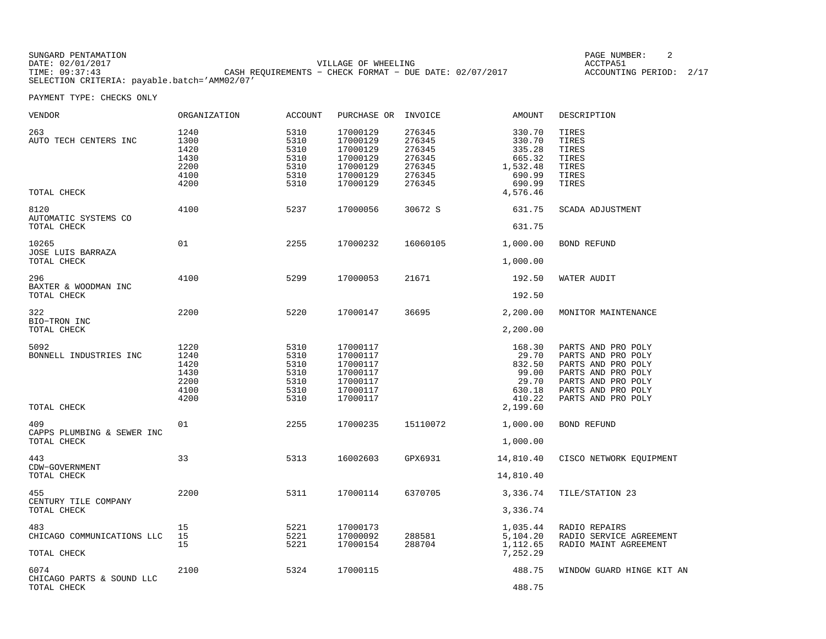| SUNGARD PENTAMATION                          |                                                         | PAGE NUMBER:       |  |
|----------------------------------------------|---------------------------------------------------------|--------------------|--|
| DATE: 02/01/2017                             | VILLAGE OF WHEELING                                     | ACCTPA51           |  |
| TIME: 09:37:43                               | CASH REOUIREMENTS - CHECK FORMAT - DUE DATE: 02/07/2017 | ACCOUNTING PERIOD: |  |
| SELECTION CRITERIA: payable.batch='AMM02/07' |                                                         |                    |  |

| VENDOR                                           | ORGANIZATION                                         | <b>ACCOUNT</b>                                       | PURCHASE OR                                                                      | INVOICE                                                            | AMOUNT                                                                      | DESCRIPTION                                                                                                                                            |
|--------------------------------------------------|------------------------------------------------------|------------------------------------------------------|----------------------------------------------------------------------------------|--------------------------------------------------------------------|-----------------------------------------------------------------------------|--------------------------------------------------------------------------------------------------------------------------------------------------------|
| 263<br>AUTO TECH CENTERS INC                     | 1240<br>1300<br>1420<br>1430<br>2200<br>4100<br>4200 | 5310<br>5310<br>5310<br>5310<br>5310<br>5310<br>5310 | 17000129<br>17000129<br>17000129<br>17000129<br>17000129<br>17000129<br>17000129 | 276345<br>276345<br>276345<br>276345<br>276345<br>276345<br>276345 | 330.70<br>330.70<br>335.28<br>665.32<br>1,532.48<br>690.99<br>690.99        | TIRES<br>TIRES<br>TIRES<br>TIRES<br>TIRES<br>TIRES<br>TIRES                                                                                            |
| TOTAL CHECK                                      |                                                      |                                                      |                                                                                  |                                                                    | 4,576.46                                                                    |                                                                                                                                                        |
| 8120<br>AUTOMATIC SYSTEMS CO<br>TOTAL CHECK      | 4100                                                 | 5237                                                 | 17000056                                                                         | 30672 S                                                            | 631.75<br>631.75                                                            | SCADA ADJUSTMENT                                                                                                                                       |
| 10265<br>JOSE LUIS BARRAZA                       | 01                                                   | 2255                                                 | 17000232                                                                         | 16060105                                                           | 1,000.00                                                                    | <b>BOND REFUND</b>                                                                                                                                     |
| TOTAL CHECK                                      |                                                      |                                                      |                                                                                  |                                                                    | 1,000.00                                                                    |                                                                                                                                                        |
| 296<br>BAXTER & WOODMAN INC<br>TOTAL CHECK       | 4100                                                 | 5299                                                 | 17000053                                                                         | 21671                                                              | 192.50<br>192.50                                                            | WATER AUDIT                                                                                                                                            |
| 322                                              | 2200                                                 | 5220                                                 | 17000147                                                                         | 36695                                                              | 2,200.00                                                                    | MONITOR MAINTENANCE                                                                                                                                    |
| BIO-TRON INC<br>TOTAL CHECK                      |                                                      |                                                      |                                                                                  |                                                                    | 2,200.00                                                                    |                                                                                                                                                        |
| 5092<br>BONNELL INDUSTRIES INC<br>TOTAL CHECK    | 1220<br>1240<br>1420<br>1430<br>2200<br>4100<br>4200 | 5310<br>5310<br>5310<br>5310<br>5310<br>5310<br>5310 | 17000117<br>17000117<br>17000117<br>17000117<br>17000117<br>17000117<br>17000117 |                                                                    | 168.30<br>29.70<br>832.50<br>99.00<br>29.70<br>630.18<br>410.22<br>2,199.60 | PARTS AND PRO POLY<br>PARTS AND PRO POLY<br>PARTS AND PRO POLY<br>PARTS AND PRO POLY<br>PARTS AND PRO POLY<br>PARTS AND PRO POLY<br>PARTS AND PRO POLY |
| 409<br>CAPPS PLUMBING & SEWER INC                | 01                                                   | 2255                                                 | 17000235                                                                         | 15110072                                                           | 1,000.00                                                                    | BOND REFUND                                                                                                                                            |
| TOTAL CHECK                                      |                                                      |                                                      |                                                                                  |                                                                    | 1,000.00                                                                    |                                                                                                                                                        |
| 443<br>CDW-GOVERNMENT<br>TOTAL CHECK             | 33                                                   | 5313                                                 | 16002603                                                                         | GPX6931                                                            | 14,810.40<br>14,810.40                                                      | CISCO NETWORK EQUIPMENT                                                                                                                                |
|                                                  |                                                      |                                                      |                                                                                  |                                                                    |                                                                             |                                                                                                                                                        |
| 455<br>CENTURY TILE COMPANY<br>TOTAL CHECK       | 2200                                                 | 5311                                                 | 17000114                                                                         | 6370705                                                            | 3,336.74<br>3,336.74                                                        | TILE/STATION 23                                                                                                                                        |
| 483<br>CHICAGO COMMUNICATIONS LLC<br>TOTAL CHECK | 15<br>15<br>15                                       | 5221<br>5221<br>5221                                 | 17000173<br>17000092<br>17000154                                                 | 288581<br>288704                                                   | 1,035.44<br>5,104.20<br>1,112.65<br>7,252.29                                | RADIO REPAIRS<br>RADIO SERVICE AGREEMENT<br>RADIO MAINT AGREEMENT                                                                                      |
| 6074<br>CHICAGO PARTS & SOUND LLC<br>TOTAL CHECK | 2100                                                 | 5324                                                 | 17000115                                                                         |                                                                    | 488.75<br>488.75                                                            | WINDOW GUARD HINGE KIT AN                                                                                                                              |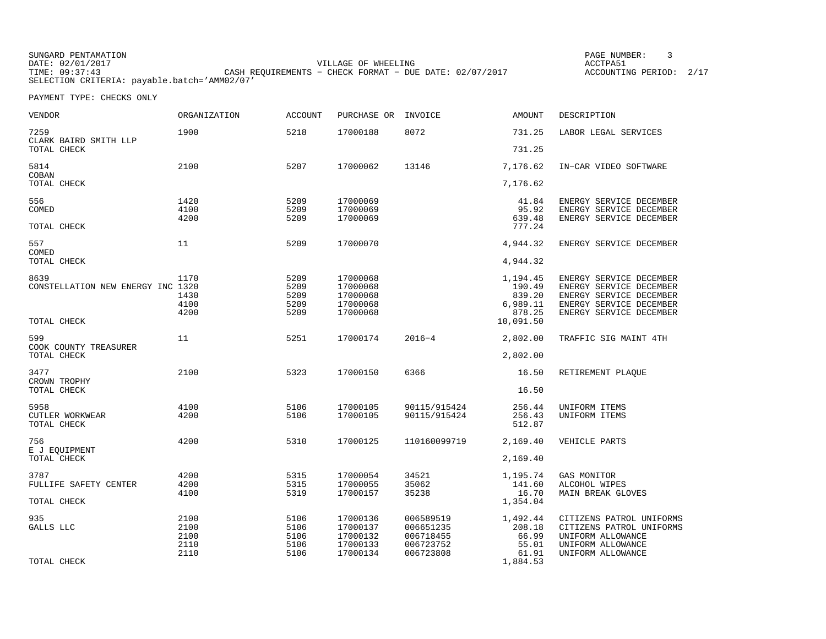SUNGARD PENTAMATION PAGE NUMBER: 3DATE: 02/01/2017 VILLAGE OF WHEELING ACCTPA51ACCOUNTING PERIOD: 2/17 TIME: 09:37:43 CASH REQUIREMENTS − CHECK FORMAT − DUE DATE: 02/07/2017 SELECTION CRITERIA: payable.batch='AMM02/07'

| <b>VENDOR</b>                        | <b>ORGANIZATION</b> | <b>ACCOUNT</b> | PURCHASE OR          | INVOICE                      | <b>AMOUNT</b>      | DESCRIPTION                                          |
|--------------------------------------|---------------------|----------------|----------------------|------------------------------|--------------------|------------------------------------------------------|
| 7259<br>CLARK BAIRD SMITH LLP        | 1900                | 5218           | 17000188             | 8072                         | 731.25             | LABOR LEGAL SERVICES                                 |
| TOTAL CHECK                          |                     |                |                      |                              | 731.25             |                                                      |
| 5814<br>COBAN                        | 2100                | 5207           | 17000062             | 13146                        | 7,176.62           | IN-CAR VIDEO SOFTWARE                                |
| TOTAL CHECK                          |                     |                |                      |                              | 7,176.62           |                                                      |
| 556                                  | 1420                | 5209           | 17000069             |                              | 41.84              | ENERGY SERVICE DECEMBER                              |
| COMED                                | 4100                | 5209           | 17000069             |                              | 95.92              | ENERGY SERVICE DECEMBER                              |
| TOTAL CHECK                          | 4200                | 5209           | 17000069             |                              | 639.48<br>777.24   | ENERGY SERVICE DECEMBER                              |
| 557<br>COMED                         | 11                  | 5209           | 17000070             |                              | 4,944.32           | ENERGY SERVICE DECEMBER                              |
| TOTAL CHECK                          |                     |                |                      |                              | 4,944.32           |                                                      |
| 8639                                 | 1170                | 5209           | 17000068             |                              | 1,194.45           | ENERGY SERVICE DECEMBER                              |
| CONSTELLATION NEW ENERGY INC 1320    |                     | 5209           | 17000068             |                              | 190.49             | ENERGY SERVICE DECEMBER                              |
|                                      | 1430<br>4100        | 5209<br>5209   | 17000068<br>17000068 |                              | 839.20<br>6,989.11 | ENERGY SERVICE DECEMBER<br>ENERGY SERVICE DECEMBER   |
|                                      | 4200                | 5209           | 17000068             |                              | 878.25             | ENERGY SERVICE DECEMBER                              |
| TOTAL CHECK                          |                     |                |                      |                              | 10,091.50          |                                                      |
| 599                                  | 11                  | 5251           | 17000174             | $2016 - 4$                   | 2,802.00           | TRAFFIC SIG MAINT 4TH                                |
| COOK COUNTY TREASURER<br>TOTAL CHECK |                     |                |                      |                              | 2,802.00           |                                                      |
| 3477                                 | 2100                | 5323           | 17000150             | 6366                         | 16.50              | RETIREMENT PLAQUE                                    |
| CROWN TROPHY<br>TOTAL CHECK          |                     |                |                      |                              | 16.50              |                                                      |
|                                      |                     |                |                      |                              |                    |                                                      |
| 5958<br><b>CUTLER WORKWEAR</b>       | 4100<br>4200        | 5106<br>5106   | 17000105<br>17000105 | 90115/915424<br>90115/915424 | 256.44<br>256.43   | UNIFORM ITEMS<br>UNIFORM ITEMS                       |
| TOTAL CHECK                          |                     |                |                      |                              | 512.87             |                                                      |
| 756                                  | 4200                | 5310           | 17000125             | 110160099719                 | 2,169.40           | VEHICLE PARTS                                        |
| E J EQUIPMENT<br>TOTAL CHECK         |                     |                |                      |                              | 2,169.40           |                                                      |
| 3787                                 | 4200                | 5315           | 17000054             | 34521                        | 1,195.74           | GAS MONITOR                                          |
| FULLIFE SAFETY CENTER                | 4200                | 5315           | 17000055             | 35062                        | 141.60             | ALCOHOL WIPES                                        |
| TOTAL CHECK                          | 4100                | 5319           | 17000157             | 35238                        | 16.70<br>1,354.04  | MAIN BREAK GLOVES                                    |
|                                      |                     |                |                      |                              |                    |                                                      |
| 935<br>GALLS LLC                     | 2100<br>2100        | 5106<br>5106   | 17000136<br>17000137 | 006589519<br>006651235       | 1,492.44<br>208.18 | CITIZENS PATROL UNIFORMS<br>CITIZENS PATROL UNIFORMS |
|                                      | 2100                | 5106           | 17000132             | 006718455                    | 66.99              | UNIFORM ALLOWANCE                                    |
|                                      | 2110                | 5106           | 17000133             | 006723752                    | 55.01              | UNIFORM ALLOWANCE                                    |
|                                      | 2110                | 5106           | 17000134             | 006723808                    | 61.91              | UNIFORM ALLOWANCE                                    |
| TOTAL CHECK                          |                     |                |                      |                              | 1,884.53           |                                                      |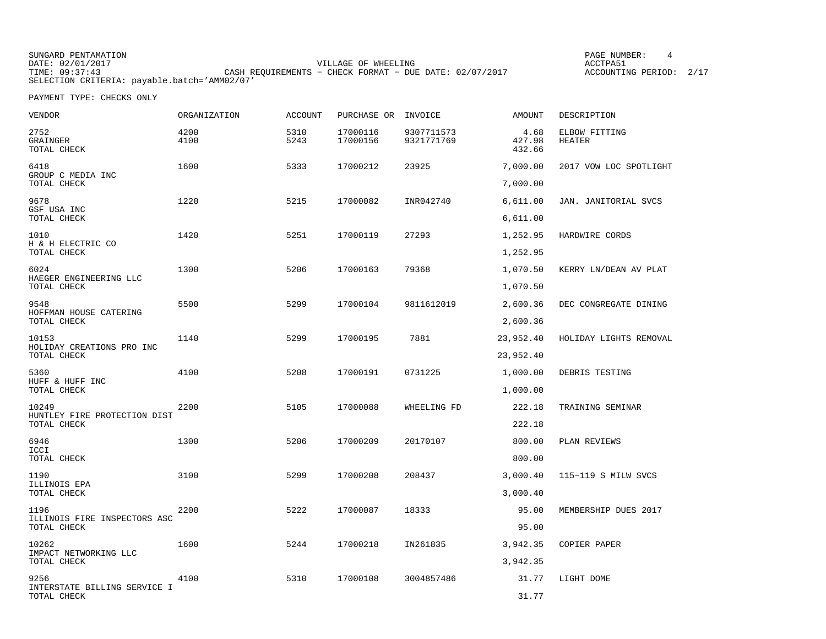SUNGARD PENTAMATION PAGE NUMBER: 4DATE: 02/01/2017 VILLAGE OF WHEELING ACCTPA51CASH REQUIREMENTS - CHECK FORMAT - DUE DATE: 02/07/2017 SELECTION CRITERIA: payable.batch='AMM02/07'

ACCOUNTING PERIOD: 2/17

| VENDOR                                | <b>ORGANIZATION</b> | <b>ACCOUNT</b> | PURCHASE OR INVOICE  |                          | AMOUNT                   | DESCRIPTION             |
|---------------------------------------|---------------------|----------------|----------------------|--------------------------|--------------------------|-------------------------|
| 2752<br>GRAINGER<br>TOTAL CHECK       | 4200<br>4100        | 5310<br>5243   | 17000116<br>17000156 | 9307711573<br>9321771769 | 4.68<br>427.98<br>432.66 | ELBOW FITTING<br>HEATER |
| 6418                                  | 1600                | 5333           | 17000212             | 23925                    | 7,000.00                 | 2017 VOW LOC SPOTLIGHT  |
| GROUP C MEDIA INC<br>TOTAL CHECK      |                     |                |                      |                          | 7,000.00                 |                         |
| 9678                                  | 1220                | 5215           | 17000082             | INR042740                | 6,611.00                 | JAN. JANITORIAL SVCS    |
| GSF USA INC<br>TOTAL CHECK            |                     |                |                      |                          | 6,611.00                 |                         |
| 1010                                  | 1420                | 5251           | 17000119             | 27293                    | 1,252.95                 | HARDWIRE CORDS          |
| H & H ELECTRIC CO<br>TOTAL CHECK      |                     |                |                      |                          | 1,252.95                 |                         |
| 6024<br>HAEGER ENGINEERING LLC        | 1300                | 5206           | 17000163             | 79368                    | 1,070.50                 | KERRY LN/DEAN AV PLAT   |
| TOTAL CHECK                           |                     |                |                      |                          | 1,070.50                 |                         |
| 9548<br>HOFFMAN HOUSE CATERING        | 5500                | 5299           | 17000104             | 9811612019               | 2,600.36                 | DEC CONGREGATE DINING   |
| TOTAL CHECK                           |                     |                |                      |                          | 2,600.36                 |                         |
| 10153<br>HOLIDAY CREATIONS PRO INC    | 1140                | 5299           | 17000195             | 7881                     | 23,952.40                | HOLIDAY LIGHTS REMOVAL  |
| TOTAL CHECK                           |                     |                |                      |                          | 23,952.40                |                         |
| 5360<br>HUFF & HUFF INC               | 4100                | 5208           | 17000191             | 0731225                  | 1,000.00                 | DEBRIS TESTING          |
| TOTAL CHECK                           |                     |                |                      |                          | 1,000.00                 |                         |
| 10249<br>HUNTLEY FIRE PROTECTION DIST | 2200                | 5105           | 17000088             | WHEELING FD              | 222.18                   | TRAINING SEMINAR        |
| TOTAL CHECK                           |                     |                |                      |                          | 222.18                   |                         |
| 6946<br>ICCI                          | 1300                | 5206           | 17000209             | 20170107                 | 800.00                   | PLAN REVIEWS            |
| TOTAL CHECK                           |                     |                |                      |                          | 800.00                   |                         |
| 1190<br>ILLINOIS EPA                  | 3100                | 5299           | 17000208             | 208437                   | 3,000.40                 | 115-119 S MILW SVCS     |
| TOTAL CHECK                           |                     |                |                      |                          | 3,000.40                 |                         |
| 1196<br>ILLINOIS FIRE INSPECTORS ASC  | 2200                | 5222           | 17000087             | 18333                    | 95.00                    | MEMBERSHIP DUES 2017    |
| TOTAL CHECK                           |                     |                |                      |                          | 95.00                    |                         |
| 10262<br>IMPACT NETWORKING LLC        | 1600                | 5244           | 17000218             | IN261835                 | 3,942.35                 | COPIER PAPER            |
| TOTAL CHECK                           |                     |                |                      |                          | 3,942.35                 |                         |
| 9256<br>INTERSTATE BILLING SERVICE I  | 4100                | 5310           | 17000108             | 3004857486               | 31.77                    | LIGHT DOME              |
| TOTAL CHECK                           |                     |                |                      |                          | 31.77                    |                         |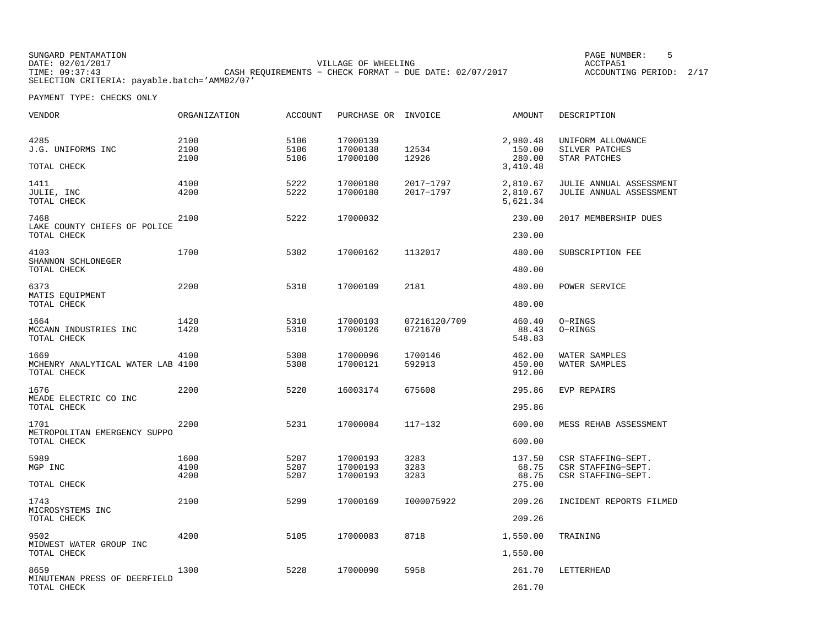SUNGARD PENTAMATION PAGE NUMBER: 5DATE: 02/01/2017 VILLAGE OF WHEELING ACCTPA51TIME: 09:37:43 CASH REQUIREMENTS − CHECK FORMAT − DUE DATE: 02/07/2017 SELECTION CRITERIA: payable.batch='AMM02/07'

ACCOUNTING PERIOD: 2/17

| VENDOR                                                   | ORGANIZATION         | <b>ACCOUNT</b>       | PURCHASE OR INVOICE              |                         | AMOUNT                                   | DESCRIPTION                                                    |
|----------------------------------------------------------|----------------------|----------------------|----------------------------------|-------------------------|------------------------------------------|----------------------------------------------------------------|
| 4285<br>J.G. UNIFORMS INC<br>TOTAL CHECK                 | 2100<br>2100<br>2100 | 5106<br>5106<br>5106 | 17000139<br>17000138<br>17000100 | 12534<br>12926          | 2,980.48<br>150.00<br>280.00<br>3,410.48 | UNIFORM ALLOWANCE<br>SILVER PATCHES<br>STAR PATCHES            |
| 1411<br>JULIE, INC<br>TOTAL CHECK                        | 4100<br>4200         | 5222<br>5222         | 17000180<br>17000180             | 2017-1797<br>2017-1797  | 2,810.67<br>2,810.67<br>5,621.34         | JULIE ANNUAL ASSESSMENT<br>JULIE ANNUAL ASSESSMENT             |
| 7468                                                     | 2100                 | 5222                 | 17000032                         |                         | 230.00                                   | 2017 MEMBERSHIP DUES                                           |
| LAKE COUNTY CHIEFS OF POLICE<br>TOTAL CHECK              |                      |                      |                                  |                         | 230.00                                   |                                                                |
| 4103<br>SHANNON SCHLONEGER                               | 1700                 | 5302                 | 17000162                         | 1132017                 | 480.00                                   | SUBSCRIPTION FEE                                               |
| TOTAL CHECK                                              |                      |                      |                                  |                         | 480.00                                   |                                                                |
| 6373<br>MATIS EQUIPMENT                                  | 2200                 | 5310                 | 17000109                         | 2181                    | 480.00                                   | POWER SERVICE                                                  |
| TOTAL CHECK                                              |                      |                      |                                  |                         | 480.00                                   |                                                                |
| 1664<br>MCCANN INDUSTRIES INC<br>TOTAL CHECK             | 1420<br>1420         | 5310<br>5310         | 17000103<br>17000126             | 07216120/709<br>0721670 | 460.40<br>88.43<br>548.83                | O-RINGS<br>O-RINGS                                             |
| 1669<br>MCHENRY ANALYTICAL WATER LAB 4100<br>TOTAL CHECK | 4100                 | 5308<br>5308         | 17000096<br>17000121             | 1700146<br>592913       | 462.00<br>450.00<br>912.00               | WATER SAMPLES<br>WATER SAMPLES                                 |
| 1676                                                     | 2200                 | 5220                 | 16003174                         | 675608                  | 295.86                                   | EVP REPAIRS                                                    |
| MEADE ELECTRIC CO INC<br>TOTAL CHECK                     |                      |                      |                                  |                         | 295.86                                   |                                                                |
| 1701                                                     | 2200                 | 5231                 | 17000084                         | $117 - 132$             | 600.00                                   | MESS REHAB ASSESSMENT                                          |
| METROPOLITAN EMERGENCY SUPPO<br>TOTAL CHECK              |                      |                      |                                  |                         | 600.00                                   |                                                                |
| 5989<br>MGP INC                                          | 1600<br>4100<br>4200 | 5207<br>5207<br>5207 | 17000193<br>17000193<br>17000193 | 3283<br>3283<br>3283    | 137.50<br>68.75<br>68.75                 | CSR STAFFING-SEPT.<br>CSR STAFFING-SEPT.<br>CSR STAFFING-SEPT. |
| TOTAL CHECK                                              |                      |                      |                                  |                         | 275.00                                   |                                                                |
| 1743<br>MICROSYSTEMS INC                                 | 2100                 | 5299                 | 17000169                         | I000075922              | 209.26                                   | INCIDENT REPORTS FILMED                                        |
| TOTAL CHECK                                              |                      |                      |                                  |                         | 209.26                                   |                                                                |
| 9502<br>MIDWEST WATER GROUP INC<br>TOTAL CHECK           | 4200                 | 5105                 | 17000083                         | 8718                    | 1,550.00<br>1,550.00                     | TRAINING                                                       |
|                                                          |                      |                      |                                  |                         |                                          |                                                                |
| 8659<br>MINUTEMAN PRESS OF DEERFIELD<br>TOTAL CHECK      | 1300                 | 5228                 | 17000090                         | 5958                    | 261.70<br>261.70                         | LETTERHEAD                                                     |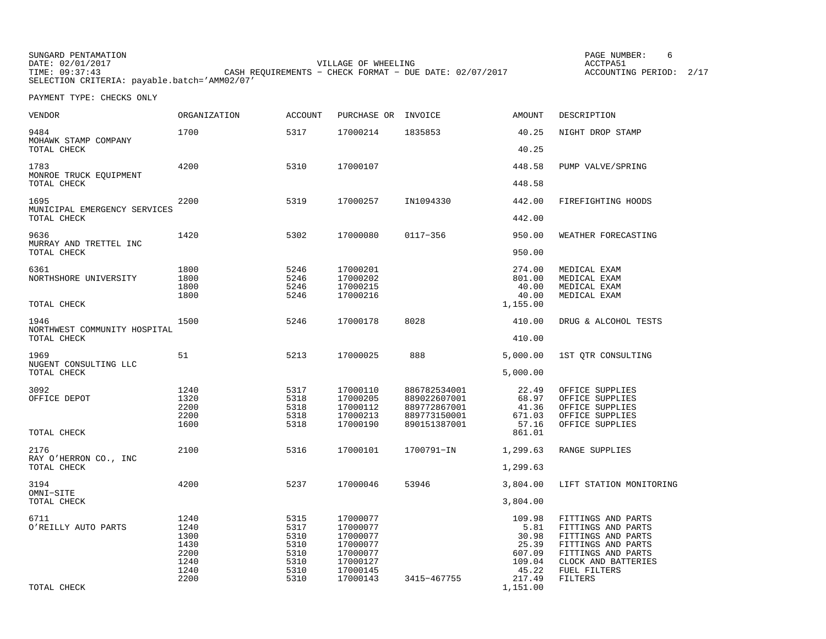| SUNGARD PENTAMATION                          |                                                           | PAGE NUMBER:            |  |
|----------------------------------------------|-----------------------------------------------------------|-------------------------|--|
| DATE: 02/01/2017                             | VILLAGE OF WHEELING                                       | ACCTPA51                |  |
| TIME: 09:37:43                               | CASH REOUIREMENTS - CHECK FORMAT - DUE DATE: $02/07/2017$ | ACCOUNTING PERIOD: 2/17 |  |
| SELECTION CRITERIA: payable.batch='AMM02/07' |                                                           |                         |  |

| VENDOR                                              | ORGANIZATION                 | <b>ACCOUNT</b>               | PURCHASE OR                                  | INVOICE                      | AMOUNT                                         | DESCRIPTION                                                  |
|-----------------------------------------------------|------------------------------|------------------------------|----------------------------------------------|------------------------------|------------------------------------------------|--------------------------------------------------------------|
| 9484<br>MOHAWK STAMP COMPANY                        | 1700                         | 5317                         | 17000214                                     | 1835853                      | 40.25                                          | NIGHT DROP STAMP                                             |
| TOTAL CHECK                                         |                              |                              |                                              |                              | 40.25                                          |                                                              |
| 1783<br>MONROE TRUCK EQUIPMENT                      | 4200                         | 5310                         | 17000107                                     |                              | 448.58                                         | PUMP VALVE/SPRING                                            |
| TOTAL CHECK                                         |                              |                              |                                              |                              | 448.58                                         |                                                              |
| 1695<br>MUNICIPAL EMERGENCY SERVICES                | 2200                         | 5319                         | 17000257                                     | IN1094330                    | 442.00                                         | FIREFIGHTING HOODS                                           |
| TOTAL CHECK                                         |                              |                              |                                              |                              | 442.00                                         |                                                              |
| 9636<br>MURRAY AND TRETTEL INC                      | 1420                         | 5302                         | 17000080                                     | 0117-356                     | 950.00                                         | WEATHER FORECASTING                                          |
| TOTAL CHECK                                         |                              |                              |                                              |                              | 950.00                                         |                                                              |
| 6361<br>NORTHSHORE UNIVERSITY<br>TOTAL CHECK        | 1800<br>1800<br>1800<br>1800 | 5246<br>5246<br>5246<br>5246 | 17000201<br>17000202<br>17000215<br>17000216 |                              | 274.00<br>801.00<br>40.00<br>40.00<br>1,155.00 | MEDICAL EXAM<br>MEDICAL EXAM<br>MEDICAL EXAM<br>MEDICAL EXAM |
|                                                     |                              |                              |                                              |                              |                                                |                                                              |
| 1946<br>NORTHWEST COMMUNITY HOSPITAL<br>TOTAL CHECK | 1500                         | 5246                         | 17000178                                     | 8028                         | 410.00<br>410.00                               | DRUG & ALCOHOL TESTS                                         |
|                                                     |                              |                              |                                              |                              |                                                |                                                              |
| 1969<br>NUGENT CONSULTING LLC<br>TOTAL CHECK        | 51                           | 5213                         | 17000025                                     | 888                          | 5,000.00<br>5,000.00                           | 1ST QTR CONSULTING                                           |
|                                                     |                              |                              |                                              |                              |                                                |                                                              |
| 3092<br>OFFICE DEPOT                                | 1240<br>1320                 | 5317<br>5318                 | 17000110<br>17000205                         | 886782534001<br>889022607001 | 22.49<br>68.97                                 | OFFICE SUPPLIES<br>OFFICE SUPPLIES                           |
|                                                     | 2200                         | 5318                         | 17000112                                     | 889772867001                 | 41.36                                          | OFFICE SUPPLIES                                              |
|                                                     | 2200                         | 5318                         | 17000213                                     | 889773150001                 | 671.03                                         | OFFICE SUPPLIES                                              |
| TOTAL CHECK                                         | 1600                         | 5318                         | 17000190                                     | 890151387001                 | 57.16<br>861.01                                | OFFICE SUPPLIES                                              |
| 2176<br>RAY O'HERRON CO., INC                       | 2100                         | 5316                         | 17000101                                     | 1700791-IN                   | 1,299.63                                       | RANGE SUPPLIES                                               |
| TOTAL CHECK                                         |                              |                              |                                              |                              | 1,299.63                                       |                                                              |
| 3194<br>OMNI-SITE                                   | 4200                         | 5237                         | 17000046                                     | 53946                        | 3,804.00                                       | LIFT STATION MONITORING                                      |
| TOTAL CHECK                                         |                              |                              |                                              |                              | 3,804.00                                       |                                                              |
| 6711                                                | 1240                         | 5315                         | 17000077                                     |                              | 109.98                                         | FITTINGS AND PARTS                                           |
| O'REILLY AUTO PARTS                                 | 1240                         | 5317                         | 17000077                                     |                              | 5.81                                           | FITTINGS AND PARTS                                           |
|                                                     | 1300                         | 5310                         | 17000077                                     |                              | 30.98                                          | FITTINGS AND PARTS                                           |
|                                                     | 1430                         | 5310                         | 17000077                                     |                              | 25.39                                          | FITTINGS AND PARTS                                           |
|                                                     | 2200<br>1240                 | 5310<br>5310                 | 17000077<br>17000127                         |                              | 607.09<br>109.04                               | FITTINGS AND PARTS<br>CLOCK AND BATTERIES                    |
|                                                     | 1240                         | 5310                         | 17000145                                     |                              | 45.22                                          | FUEL FILTERS                                                 |
|                                                     | 2200                         | 5310                         | 17000143                                     | 3415-467755                  | 217.49                                         | FILTERS                                                      |
| TOTAL CHECK                                         |                              |                              |                                              |                              | 1,151.00                                       |                                                              |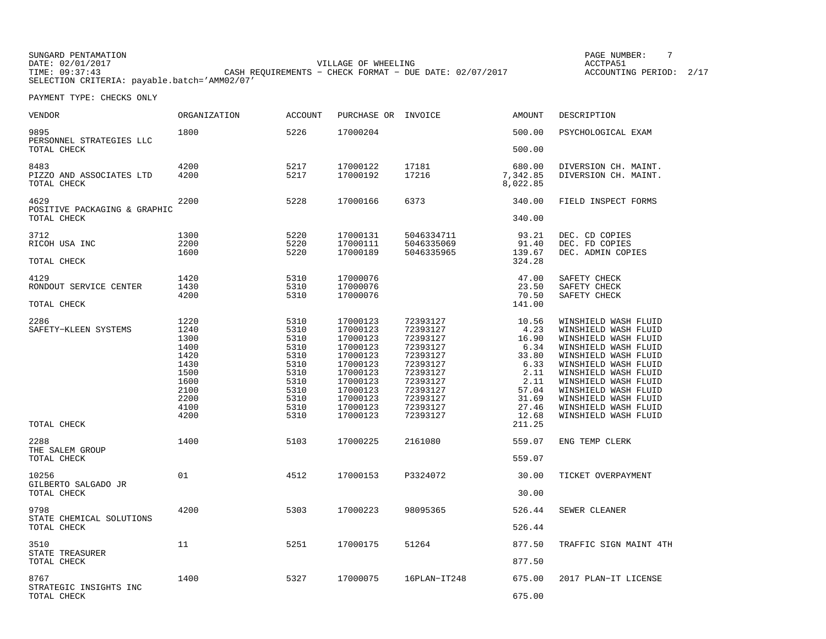SUNGARD PENTAMATION PAGE NUMBER: 7DATE: 02/01/2017 VILLAGE OF WHEELING ACCTPA51TIME: 09:37:43 CASH REQUIREMENTS − CHECK FORMAT − DUE DATE: 02/07/2017 SELECTION CRITERIA: payable.batch='AMM02/07'

ACCOUNTING PERIOD: 2/17

| <b>VENDOR</b>                           | <b>ORGANIZATION</b> | <b>ACCOUNT</b> | PURCHASE OR INVOICE  |                      | AMOUNT               | DESCRIPTION                                  |
|-----------------------------------------|---------------------|----------------|----------------------|----------------------|----------------------|----------------------------------------------|
| 9895<br>PERSONNEL STRATEGIES LLC        | 1800                | 5226           | 17000204             |                      | 500.00               | PSYCHOLOGICAL EXAM                           |
| TOTAL CHECK                             |                     |                |                      |                      | 500.00               |                                              |
| 8483                                    | 4200                | 5217           | 17000122             | 17181                | 680.00               | DIVERSION CH. MAINT.                         |
| PIZZO AND ASSOCIATES LTD<br>TOTAL CHECK | 4200                | 5217           | 17000192             | 17216                | 7,342.85<br>8,022.85 | DIVERSION CH. MAINT.                         |
| 4629<br>POSITIVE PACKAGING & GRAPHIC    | 2200                | 5228           | 17000166             | 6373                 | 340.00               | FIELD INSPECT FORMS                          |
| TOTAL CHECK                             |                     |                |                      |                      | 340.00               |                                              |
| 3712                                    | 1300                | 5220           | 17000131             | 5046334711           | 93.21                | DEC. CD COPIES                               |
| RICOH USA INC                           | 2200                | 5220           | 17000111             | 5046335069           | 91.40                | DEC. FD COPIES                               |
| TOTAL CHECK                             | 1600                | 5220           | 17000189             | 5046335965           | 139.67<br>324.28     | DEC. ADMIN COPIES                            |
| 4129                                    | 1420                | 5310           | 17000076             |                      | 47.00                | SAFETY CHECK                                 |
| RONDOUT SERVICE CENTER                  | 1430                | 5310           | 17000076             |                      | 23.50                | SAFETY CHECK                                 |
| TOTAL CHECK                             | 4200                | 5310           | 17000076             |                      | 70.50<br>141.00      | SAFETY CHECK                                 |
| 2286                                    | 1220                | 5310           | 17000123             | 72393127             | 10.56                | WINSHIELD WASH FLUID                         |
| SAFETY-KLEEN SYSTEMS                    | 1240                | 5310           | 17000123             | 72393127             | 4.23                 | WINSHIELD WASH FLUID                         |
|                                         | 1300                | 5310           | 17000123             | 72393127             | 16.90                | WINSHIELD WASH FLUID                         |
|                                         | 1400                | 5310           | 17000123             | 72393127             | 6.34                 | WINSHIELD WASH FLUID                         |
|                                         | 1420                | 5310           | 17000123             | 72393127             | 33.80                | WINSHIELD WASH FLUID                         |
|                                         | 1430<br>1500        | 5310<br>5310   | 17000123<br>17000123 | 72393127<br>72393127 | 6.33<br>2.11         | WINSHIELD WASH FLUID<br>WINSHIELD WASH FLUID |
|                                         | 1600                | 5310           | 17000123             | 72393127             | 2.11                 | WINSHIELD WASH FLUID                         |
|                                         | 2100                | 5310           | 17000123             | 72393127             | 57.04                | WINSHIELD WASH FLUID                         |
|                                         | 2200                | 5310           | 17000123             | 72393127             | 31.69                | WINSHIELD WASH FLUID                         |
|                                         | 4100                | 5310           | 17000123             | 72393127             | 27.46                | WINSHIELD WASH FLUID                         |
|                                         | 4200                | 5310           | 17000123             | 72393127             | 12.68                | WINSHIELD WASH FLUID                         |
| TOTAL CHECK                             |                     |                |                      |                      | 211.25               |                                              |
| 2288<br>THE SALEM GROUP                 | 1400                | 5103           | 17000225             | 2161080              | 559.07               | ENG TEMP CLERK                               |
| TOTAL CHECK                             |                     |                |                      |                      | 559.07               |                                              |
| 10256<br>GILBERTO SALGADO JR            | 01                  | 4512           | 17000153             | P3324072             | 30.00                | TICKET OVERPAYMENT                           |
| TOTAL CHECK                             |                     |                |                      |                      | 30.00                |                                              |
| 9798                                    | 4200                | 5303           | 17000223             | 98095365             | 526.44               | SEWER CLEANER                                |
| STATE CHEMICAL SOLUTIONS<br>TOTAL CHECK |                     |                |                      |                      | 526.44               |                                              |
| 3510                                    | 11                  | 5251           | 17000175             | 51264                | 877.50               | TRAFFIC SIGN MAINT 4TH                       |
| STATE TREASURER<br>TOTAL CHECK          |                     |                |                      |                      | 877.50               |                                              |
| 8767                                    | 1400                | 5327           | 17000075             | 16PLAN-IT248         | 675.00               | 2017 PLAN-IT LICENSE                         |
| STRATEGIC INSIGHTS INC<br>TOTAL CHECK   |                     |                |                      |                      | 675.00               |                                              |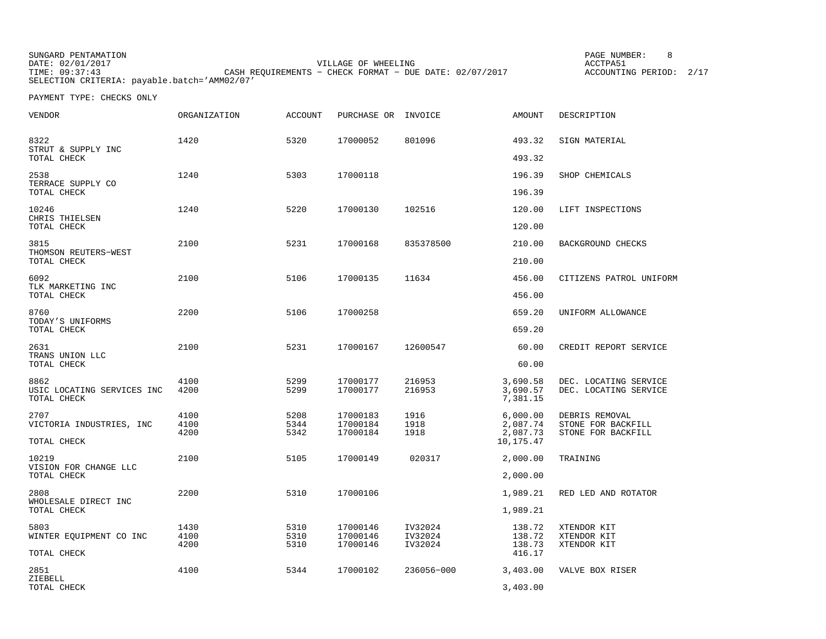SUNGARD PENTAMATION PAGE NUMBER: 8DATE: 02/01/2017 VILLAGE OF WHEELING ACCTPA51TIME: 09:37:43 CASH REQUIREMENTS − CHECK FORMAT − DUE DATE: 02/07/2017 SELECTION CRITERIA: payable.batch='AMM02/07'

ACCOUNTING PERIOD: 2/17

| VENDOR                                            | <b>ORGANIZATION</b>  | <b>ACCOUNT</b>       | PURCHASE OR                      | INVOICE                       | <b>AMOUNT</b>                                 | DESCRIPTION                                                |
|---------------------------------------------------|----------------------|----------------------|----------------------------------|-------------------------------|-----------------------------------------------|------------------------------------------------------------|
| 8322<br>STRUT & SUPPLY INC<br>TOTAL CHECK         | 1420                 | 5320                 | 17000052                         | 801096                        | 493.32<br>493.32                              | SIGN MATERIAL                                              |
| 2538<br>TERRACE SUPPLY CO<br>TOTAL CHECK          | 1240                 | 5303                 | 17000118                         |                               | 196.39<br>196.39                              | SHOP CHEMICALS                                             |
| 10246<br>CHRIS THIELSEN<br>TOTAL CHECK            | 1240                 | 5220                 | 17000130                         | 102516                        | 120.00<br>120.00                              | LIFT INSPECTIONS                                           |
| 3815<br>THOMSON REUTERS-WEST<br>TOTAL CHECK       | 2100                 | 5231                 | 17000168                         | 835378500                     | 210.00<br>210.00                              | BACKGROUND CHECKS                                          |
| 6092<br>TLK MARKETING INC<br>TOTAL CHECK          | 2100                 | 5106                 | 17000135                         | 11634                         | 456.00<br>456.00                              | CITIZENS PATROL UNIFORM                                    |
| 8760<br>TODAY'S UNIFORMS<br>TOTAL CHECK           | 2200                 | 5106                 | 17000258                         |                               | 659.20<br>659.20                              | UNIFORM ALLOWANCE                                          |
| 2631<br>TRANS UNION LLC<br>TOTAL CHECK            | 2100                 | 5231                 | 17000167                         | 12600547                      | 60.00<br>60.00                                | CREDIT REPORT SERVICE                                      |
| 8862<br>USIC LOCATING SERVICES INC<br>TOTAL CHECK | 4100<br>4200         | 5299<br>5299         | 17000177<br>17000177             | 216953<br>216953              | 3,690.58<br>3,690.57<br>7,381.15              | DEC. LOCATING SERVICE<br>DEC. LOCATING SERVICE             |
| 2707<br>VICTORIA INDUSTRIES, INC<br>TOTAL CHECK   | 4100<br>4100<br>4200 | 5208<br>5344<br>5342 | 17000183<br>17000184<br>17000184 | 1916<br>1918<br>1918          | 6,000.00<br>2,087.74<br>2,087.73<br>10,175.47 | DEBRIS REMOVAL<br>STONE FOR BACKFILL<br>STONE FOR BACKFILL |
| 10219<br>VISION FOR CHANGE LLC<br>TOTAL CHECK     | 2100                 | 5105                 | 17000149                         | 020317                        | 2,000.00<br>2,000.00                          | TRAINING                                                   |
| 2808<br>WHOLESALE DIRECT INC<br>TOTAL CHECK       | 2200                 | 5310                 | 17000106                         |                               | 1,989.21<br>1,989.21                          | RED LED AND ROTATOR                                        |
| 5803<br>WINTER EQUIPMENT CO INC<br>TOTAL CHECK    | 1430<br>4100<br>4200 | 5310<br>5310<br>5310 | 17000146<br>17000146<br>17000146 | IV32024<br>IV32024<br>IV32024 | 138.72<br>138.72<br>138.73<br>416.17          | XTENDOR KIT<br>XTENDOR KIT<br>XTENDOR KIT                  |
| 2851<br>ZIEBELL<br>TOTAL CHECK                    | 4100                 | 5344                 | 17000102                         | 236056-000                    | 3,403.00<br>3,403,00                          | VALVE BOX RISER                                            |